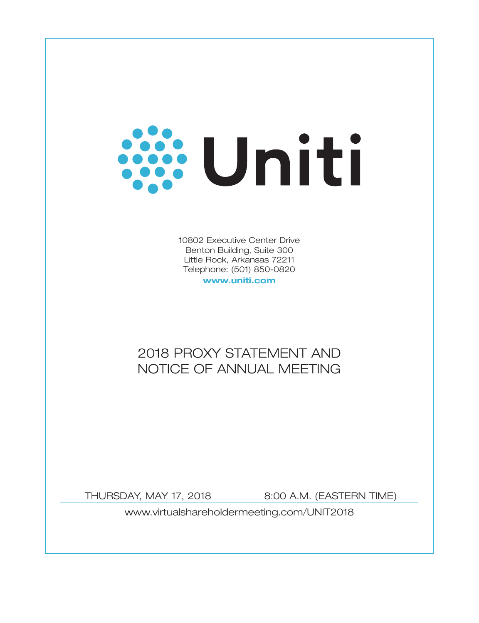

10802 Executive Center Drive Benton Building, Suite 300 Little Rock, Arkansas 72211 Telephone: (501) 850-0820

**www.uniti.com**

# 2018 PROXY STATEMENT AND NOTICE OF ANNUAL MEETING

THURSDAY, MAY 17, 2018 | 8:00 A.M. (EASTERN TIME)

www.virtualshareholdermeeting.com/UNIT2018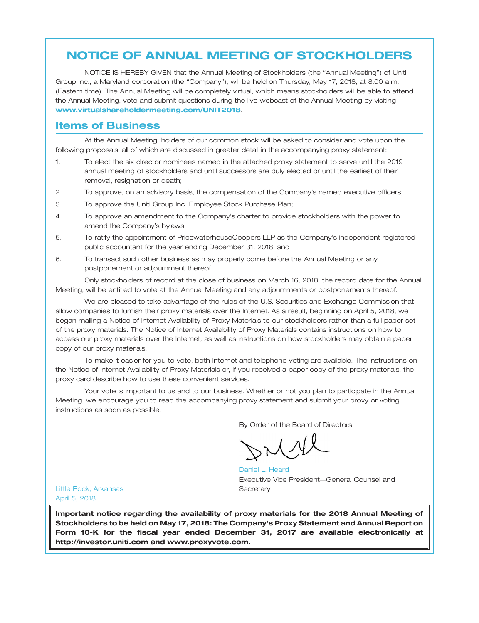# **NOTICE OF ANNUAL MEETING OF STOCKHOLDERS**

NOTICE IS HEREBY GIVEN that the Annual Meeting of Stockholders (the ''Annual Meeting'') of Uniti Group Inc., a Maryland corporation (the ''Company''), will be held on Thursday, May 17, 2018, at 8:00 a.m. (Eastern time). The Annual Meeting will be completely virtual, which means stockholders will be able to attend the Annual Meeting, vote and submit questions during the live webcast of the Annual Meeting by visiting . **www.virtualshareholdermeeting.com/UNIT2018**

## **Items of Business**

At the Annual Meeting, holders of our common stock will be asked to consider and vote upon the following proposals, all of which are discussed in greater detail in the accompanying proxy statement:

- 1. To elect the six director nominees named in the attached proxy statement to serve until the 2019 annual meeting of stockholders and until successors are duly elected or until the earliest of their removal, resignation or death;
- 2. To approve, on an advisory basis, the compensation of the Company's named executive officers;
- 3. To approve the Uniti Group Inc. Employee Stock Purchase Plan;
- 4. To approve an amendment to the Company's charter to provide stockholders with the power to amend the Company's bylaws;
- 5. To ratify the appointment of PricewaterhouseCoopers LLP as the Company's independent registered public accountant for the year ending December 31, 2018; and
- 6. To transact such other business as may properly come before the Annual Meeting or any postponement or adjournment thereof.

Only stockholders of record at the close of business on March 16, 2018, the record date for the Annual Meeting, will be entitled to vote at the Annual Meeting and any adjournments or postponements thereof.

We are pleased to take advantage of the rules of the U.S. Securities and Exchange Commission that allow companies to furnish their proxy materials over the Internet. As a result, beginning on April 5, 2018, we began mailing a Notice of Internet Availability of Proxy Materials to our stockholders rather than a full paper set of the proxy materials. The Notice of Internet Availability of Proxy Materials contains instructions on how to access our proxy materials over the Internet, as well as instructions on how stockholders may obtain a paper copy of our proxy materials.

To make it easier for you to vote, both Internet and telephone voting are available. The instructions on the Notice of Internet Availability of Proxy Materials or, if you received a paper copy of the proxy materials, the proxy card describe how to use these convenient services.

Your vote is important to us and to our business. Whether or not you plan to participate in the Annual Meeting, we encourage you to read the accompanying proxy statement and submit your proxy or voting instructions as soon as possible.

By Order of the Board of Directors,

Executive Vice President—General Counsel and **Secretary** Daniel L. Heard

Little Rock, Arkansas April 5, 2018

**Important notice regarding the availability of proxy materials for the 2018 Annual Meeting of Stockholders to be held on May 17, 2018: The Company's Proxy Statement and Annual Report on Form 10-K for the fiscal year ended December 31, 2017 are available electronically at http://investor.uniti.com and www.proxyvote.com.**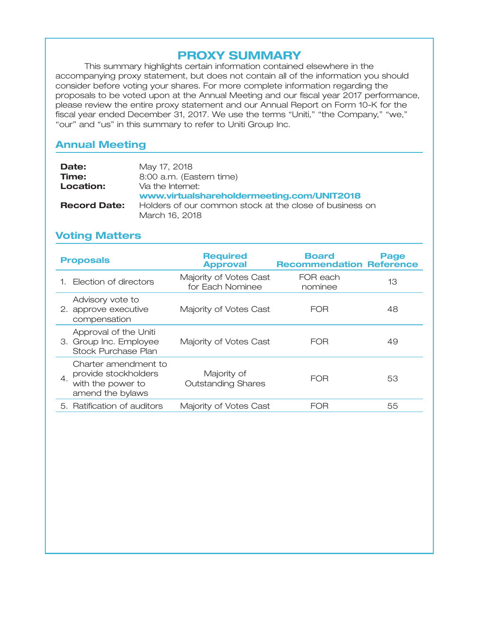# **PROXY SUMMARY**

This summary highlights certain information contained elsewhere in the accompanying proxy statement, but does not contain all of the information you should consider before voting your shares. For more complete information regarding the proposals to be voted upon at the Annual Meeting and our fiscal year 2017 performance, please review the entire proxy statement and our Annual Report on Form 10-K for the fiscal year ended December 31, 2017. We use the terms "Uniti," "the Company," "we," "our" and "us" in this summary to refer to Uniti Group Inc.

# **Annual Meeting**

| Date:               | May 17, 2018                                            |
|---------------------|---------------------------------------------------------|
| Time:               | 8:00 a.m. (Eastern time)                                |
| Location:           | Via the Internet:                                       |
|                     | www.virtualshareholdermeeting.com/UNIT2018              |
| <b>Record Date:</b> | Holders of our common stock at the close of business on |
|                     | March 16, 2018                                          |

# **Voting Matters**

| <b>Proposals</b>                                                                            | <b>Required</b><br><b>Approval</b>         | Board<br><b>Recommendation Reference</b> | Page |
|---------------------------------------------------------------------------------------------|--------------------------------------------|------------------------------------------|------|
| Election of directors                                                                       | Majority of Votes Cast<br>for Each Nominee | FOR each<br>nominee                      | 13   |
| Advisory vote to<br>2. approve executive<br>compensation                                    | Majority of Votes Cast                     | FOR                                      | 48   |
| Approval of the Uniti<br>3. Group Inc. Employee<br>Stock Purchase Plan                      | Majority of Votes Cast                     | <b>FOR</b>                               | 49   |
| Charter amendment to<br>provide stockholders<br>4.<br>with the power to<br>amend the bylaws | Majority of<br><b>Outstanding Shares</b>   | FOR                                      | 53   |
| 5. Ratification of auditors                                                                 | Majority of Votes Cast                     | FOR                                      | 55   |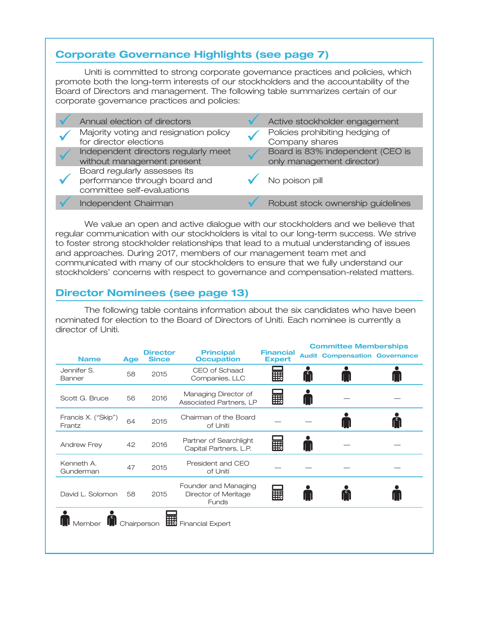# **Corporate Governance Highlights (see page 7)**

Uniti is committed to strong corporate governance practices and policies, which promote both the long-term interests of our stockholders and the accountability of the Board of Directors and management. The following table summarizes certain of our corporate governance practices and policies:

|  | Annual election of directors                                                                | Active stockholder engagement                                 |
|--|---------------------------------------------------------------------------------------------|---------------------------------------------------------------|
|  | Majority voting and resignation policy<br>for director elections                            | Policies prohibiting hedging of<br>Company shares             |
|  | Independent directors regularly meet<br>without management present                          | Board is 83% independent (CEO is<br>only management director) |
|  | Board regularly assesses its<br>performance through board and<br>committee self-evaluations | No poison pill                                                |
|  | Independent Chairman                                                                        | Robust stock ownership guidelines                             |

We value an open and active dialogue with our stockholders and we believe that regular communication with our stockholders is vital to our long-term success. We strive to foster strong stockholder relationships that lead to a mutual understanding of issues and approaches. During 2017, members of our management team met and communicated with many of our stockholders to ensure that we fully understand our stockholders' concerns with respect to governance and compensation-related matters.

# **Director Nominees (see page 13)**

The following table contains information about the six candidates who have been nominated for election to the Board of Directors of Uniti. Each nominee is currently a director of Uniti.

|                               |            |                                 |                                                              |                                   | <b>Committee Memberships</b>         |  |
|-------------------------------|------------|---------------------------------|--------------------------------------------------------------|-----------------------------------|--------------------------------------|--|
| <b>Name</b>                   | <b>Age</b> | <b>Director</b><br><b>Since</b> | <b>Principal</b><br><b>Occupation</b>                        | <b>Financial</b><br><b>Expert</b> | <b>Audit Compensation Governance</b> |  |
| Jennifer S.<br>Banner         | 58         | 2015                            | CEO of Schaad<br>Companies, LLC                              | E                                 |                                      |  |
| Scott G. Bruce                | 56         | 2016                            | Managing Director of<br>Associated Partners, LP              | E                                 |                                      |  |
| Francis X. ("Skip")<br>Frantz | 64         | 2015                            | Chairman of the Board<br>of Uniti                            |                                   |                                      |  |
| Andrew Frey                   | 42         | 2016                            | Partner of Searchlight<br>Capital Partners, L.P.             | 噩                                 |                                      |  |
| Kenneth A.<br>Gunderman       | 47         | 2015                            | President and CEO<br>of Uniti                                |                                   |                                      |  |
| David L. Solomon              | 58         | 2015                            | Founder and Managing<br>Director of Meritage<br><b>Funds</b> | 噩                                 |                                      |  |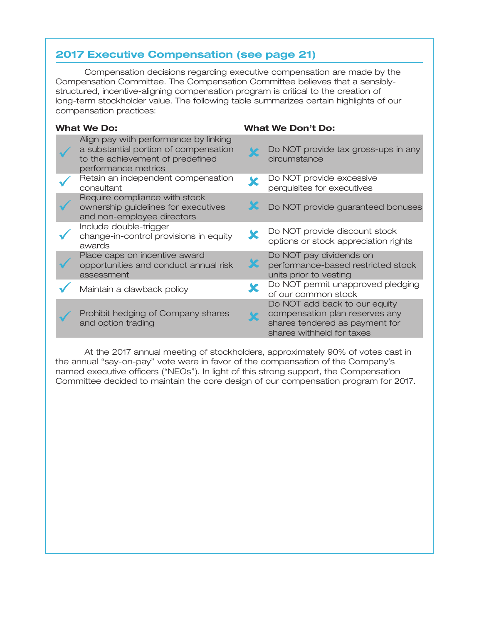# **2017 Executive Compensation (see page 21)**

Compensation decisions regarding executive compensation are made by the Compensation Committee. The Compensation Committee believes that a sensiblystructured, incentive-aligning compensation program is critical to the creation of long-term stockholder value. The following table summarizes certain highlights of our compensation practices:

| <b>What We Do:</b>                                                                                                                        | <b>What We Don't Do:</b>                                                                                                       |
|-------------------------------------------------------------------------------------------------------------------------------------------|--------------------------------------------------------------------------------------------------------------------------------|
| Align pay with performance by linking<br>a substantial portion of compensation<br>to the achievement of predefined<br>performance metrics | Do NOT provide tax gross-ups in any<br>circumstance                                                                            |
| Retain an independent compensation<br>consultant                                                                                          | Do NOT provide excessive<br>perquisites for executives                                                                         |
| Require compliance with stock<br>ownership guidelines for executives<br>and non-employee directors                                        | Do NOT provide guaranteed bonuses                                                                                              |
| Include double-trigger<br>change-in-control provisions in equity<br>awards                                                                | Do NOT provide discount stock<br>options or stock appreciation rights                                                          |
| Place caps on incentive award<br>opportunities and conduct annual risk<br>assessment                                                      | Do NOT pay dividends on<br>performance-based restricted stock<br>units prior to vesting                                        |
| Maintain a clawback policy                                                                                                                | Do NOT permit unapproved pledging<br>of our common stock                                                                       |
| Prohibit hedging of Company shares<br>and option trading                                                                                  | Do NOT add back to our equity<br>compensation plan reserves any<br>shares tendered as payment for<br>shares withheld for taxes |

At the 2017 annual meeting of stockholders, approximately 90% of votes cast in the annual "say-on-pay" vote were in favor of the compensation of the Company's named executive officers (''NEOs''). In light of this strong support, the Compensation Committee decided to maintain the core design of our compensation program for 2017.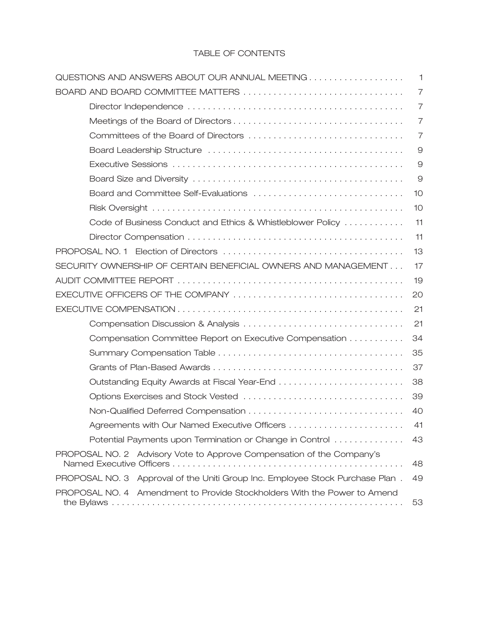## TABLE OF CONTENTS

| QUESTIONS AND ANSWERS ABOUT OUR ANNUAL MEETING                                | $\mathbf{1}$   |
|-------------------------------------------------------------------------------|----------------|
| BOARD AND BOARD COMMITTEE MATTERS                                             | $\overline{7}$ |
|                                                                               | $\overline{7}$ |
|                                                                               | $\overline{7}$ |
|                                                                               | $\overline{7}$ |
|                                                                               | $\Theta$       |
|                                                                               | $\Theta$       |
|                                                                               | 9              |
|                                                                               | 10             |
|                                                                               | 10             |
| Code of Business Conduct and Ethics & Whistleblower Policy                    | 11             |
|                                                                               | 11             |
|                                                                               | 13             |
| SECURITY OWNERSHIP OF CERTAIN BENEFICIAL OWNERS AND MANAGEMENT                | 17             |
|                                                                               | 19             |
|                                                                               | 20             |
|                                                                               | 21             |
|                                                                               | 21             |
| Compensation Committee Report on Executive Compensation                       | 34             |
|                                                                               | 35             |
|                                                                               | 37             |
| Outstanding Equity Awards at Fiscal Year-End                                  | 38             |
|                                                                               | 39             |
|                                                                               | 40             |
|                                                                               | 41             |
| Potential Payments upon Termination or Change in Control                      | 43             |
| PROPOSAL NO. 2 Advisory Vote to Approve Compensation of the Company's         | 48             |
| PROPOSAL NO. 3 Approval of the Uniti Group Inc. Employee Stock Purchase Plan. | 49             |
| PROPOSAL NO. 4 Amendment to Provide Stockholders With the Power to Amend      | 53             |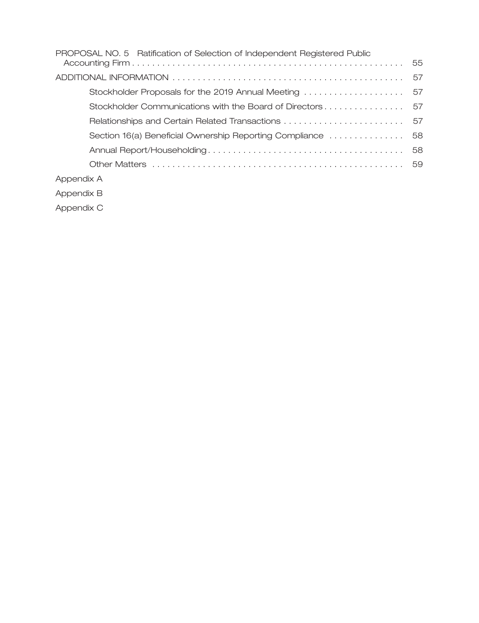| PROPOSAL NO. 5 Ratification of Selection of Independent Registered Public |  |
|---------------------------------------------------------------------------|--|
| 55                                                                        |  |
| 57                                                                        |  |
| Stockholder Proposals for the 2019 Annual Meeting<br>57                   |  |
| Stockholder Communications with the Board of Directors 57                 |  |
| 57                                                                        |  |
| Section 16(a) Beneficial Ownership Reporting Compliance<br>58             |  |
| 58                                                                        |  |
|                                                                           |  |
| Appendix A                                                                |  |
| Appendix B                                                                |  |

Appendix C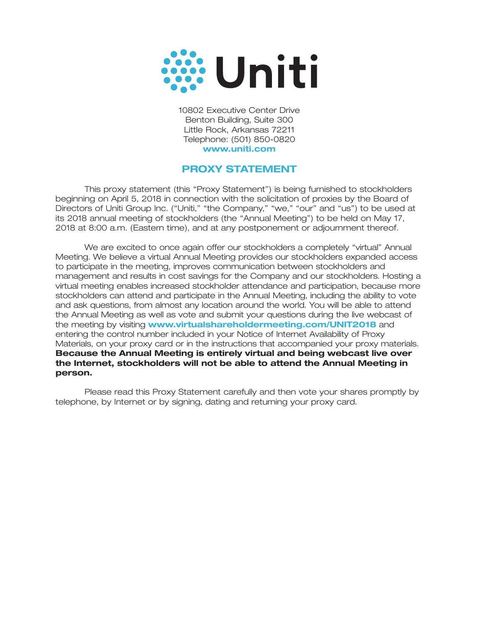

10802 Executive Center Drive Benton Building, Suite 300 Little Rock, Arkansas 72211 Telephone: (501) 850-0820 **www.uniti.com**

## **PROXY STATEMENT**

This proxy statement (this ''Proxy Statement'') is being furnished to stockholders beginning on April 5, 2018 in connection with the solicitation of proxies by the Board of Directors of Uniti Group Inc. ("Uniti," "the Company," "we," "our" and "us") to be used at its 2018 annual meeting of stockholders (the ''Annual Meeting'') to be held on May 17, 2018 at 8:00 a.m. (Eastern time), and at any postponement or adjournment thereof.

We are excited to once again offer our stockholders a completely ''virtual'' Annual Meeting. We believe a virtual Annual Meeting provides our stockholders expanded access to participate in the meeting, improves communication between stockholders and management and results in cost savings for the Company and our stockholders. Hosting a virtual meeting enables increased stockholder attendance and participation, because more stockholders can attend and participate in the Annual Meeting, including the ability to vote and ask questions, from almost any location around the world. You will be able to attend the Annual Meeting as well as vote and submit your questions during the live webcast of the meeting by visiting **www.virtualshareholdermeeting.com/UNIT2018** and entering the control number included in your Notice of Internet Availability of Proxy Materials, on your proxy card or in the instructions that accompanied your proxy materials. **Because the Annual Meeting is entirely virtual and being webcast live over the Internet, stockholders will not be able to attend the Annual Meeting in person.**

Please read this Proxy Statement carefully and then vote your shares promptly by telephone, by Internet or by signing, dating and returning your proxy card.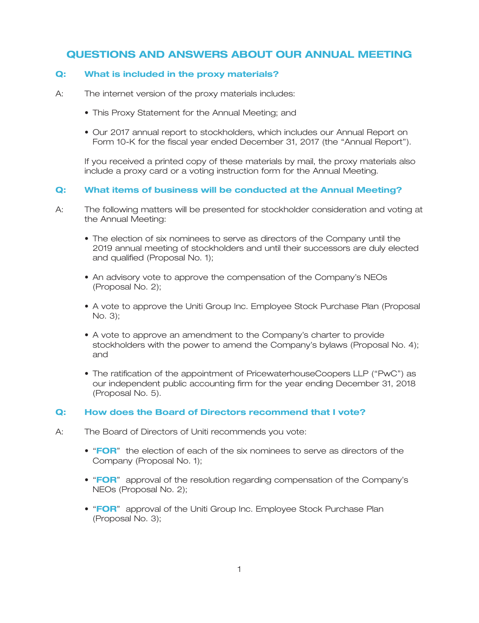## **QUESTIONS AND ANSWERS ABOUT OUR ANNUAL MEETING**

## **Q: What is included in the proxy materials?**

- A: The internet version of the proxy materials includes:
	- This Proxy Statement for the Annual Meeting; and
	- Our 2017 annual report to stockholders, which includes our Annual Report on Form 10-K for the fiscal year ended December 31, 2017 (the "Annual Report").

If you received a printed copy of these materials by mail, the proxy materials also include a proxy card or a voting instruction form for the Annual Meeting.

## **Q: What items of business will be conducted at the Annual Meeting?**

- A: The following matters will be presented for stockholder consideration and voting at the Annual Meeting:
	- The election of six nominees to serve as directors of the Company until the 2019 annual meeting of stockholders and until their successors are duly elected and qualified (Proposal No. 1);
	- An advisory vote to approve the compensation of the Company's NEOs (Proposal No. 2);
	- A vote to approve the Uniti Group Inc. Employee Stock Purchase Plan (Proposal No. 3);
	- A vote to approve an amendment to the Company's charter to provide stockholders with the power to amend the Company's bylaws (Proposal No. 4); and
	- The ratification of the appointment of PricewaterhouseCoopers LLP (''PwC'') as our independent public accounting firm for the year ending December 31, 2018 (Proposal No. 5).

## **Q: How does the Board of Directors recommend that I vote?**

- A: The Board of Directors of Uniti recommends you vote:
	- "FOR" the election of each of the six nominees to serve as directors of the Company (Proposal No. 1);
	- "FOR" approval of the resolution regarding compensation of the Company's NEOs (Proposal No. 2);
	- "FOR" approval of the Uniti Group Inc. Employee Stock Purchase Plan (Proposal No. 3);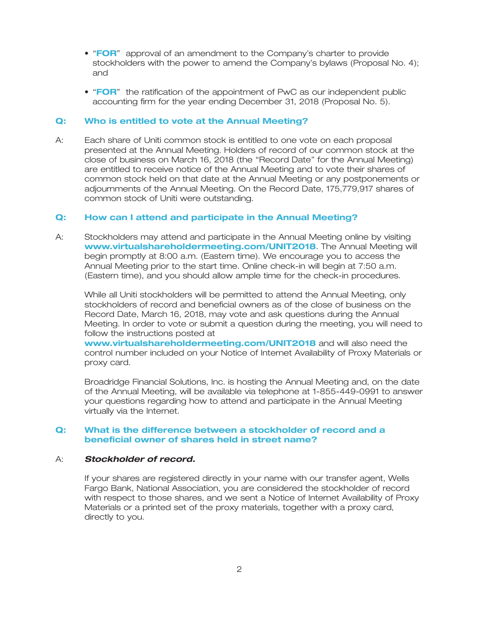- "FOR" approval of an amendment to the Company's charter to provide stockholders with the power to amend the Company's bylaws (Proposal No. 4); and
- "FOR" the ratification of the appointment of PwC as our independent public accounting firm for the year ending December 31, 2018 (Proposal No. 5).

#### **Q: Who is entitled to vote at the Annual Meeting?**

A: Each share of Uniti common stock is entitled to one vote on each proposal presented at the Annual Meeting. Holders of record of our common stock at the close of business on March 16, 2018 (the ''Record Date'' for the Annual Meeting) are entitled to receive notice of the Annual Meeting and to vote their shares of common stock held on that date at the Annual Meeting or any postponements or adjournments of the Annual Meeting. On the Record Date, 175,779,917 shares of common stock of Uniti were outstanding.

#### **Q: How can I attend and participate in the Annual Meeting?**

A: Stockholders may attend and participate in the Annual Meeting online by visiting www.virtualshareholdermeeting.com/UNIT2018. The Annual Meeting will begin promptly at 8:00 a.m. (Eastern time). We encourage you to access the Annual Meeting prior to the start time. Online check-in will begin at 7:50 a.m. (Eastern time), and you should allow ample time for the check-in procedures.

While all Uniti stockholders will be permitted to attend the Annual Meeting, only stockholders of record and beneficial owners as of the close of business on the Record Date, March 16, 2018, may vote and ask questions during the Annual Meeting. In order to vote or submit a question during the meeting, you will need to follow the instructions posted at

www.virtualshareholdermeeting.com/UNIT2018 and will also need the control number included on your Notice of Internet Availability of Proxy Materials or proxy card.

Broadridge Financial Solutions, Inc. is hosting the Annual Meeting and, on the date of the Annual Meeting, will be available via telephone at 1-855-449-0991 to answer your questions regarding how to attend and participate in the Annual Meeting virtually via the Internet.

#### **Q: What is the difference between a stockholder of record and a beneficial owner of shares held in street name?**

#### A: *Stockholder of record.*

If your shares are registered directly in your name with our transfer agent, Wells Fargo Bank, National Association, you are considered the stockholder of record with respect to those shares, and we sent a Notice of Internet Availability of Proxy Materials or a printed set of the proxy materials, together with a proxy card, directly to you.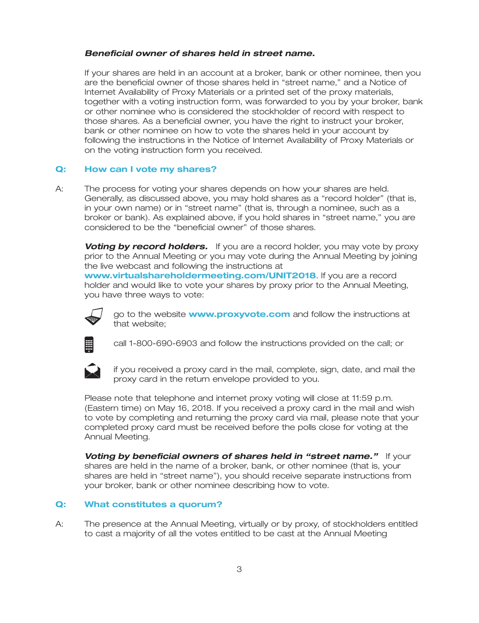### *Beneficial owner of shares held in street name.*

If your shares are held in an account at a broker, bank or other nominee, then you are the beneficial owner of those shares held in ''street name,'' and a Notice of Internet Availability of Proxy Materials or a printed set of the proxy materials, together with a voting instruction form, was forwarded to you by your broker, bank or other nominee who is considered the stockholder of record with respect to those shares. As a beneficial owner, you have the right to instruct your broker, bank or other nominee on how to vote the shares held in your account by following the instructions in the Notice of Internet Availability of Proxy Materials or on the voting instruction form you received.

#### **Q: How can I vote my shares?**

A: The process for voting your shares depends on how your shares are held. Generally, as discussed above, you may hold shares as a ''record holder'' (that is, in your own name) or in ''street name'' (that is, through a nominee, such as a broker or bank). As explained above, if you hold shares in ''street name,'' you are considered to be the ''beneficial owner'' of those shares.

**Voting by record holders.** If you are a record holder, you may vote by proxy prior to the Annual Meeting or you may vote during the Annual Meeting by joining the live webcast and following the instructions at www.virtualshareholdermeeting.com/UNIT2018. If you are a record holder and would like to vote your shares by proxy prior to the Annual Meeting, you have three ways to vote:



go to the website **www.proxyvote.com** and follow the instructions at that website;



call 1-800-690-6903 and follow the instructions provided on the call; or



if you received a proxy card in the mail, complete, sign, date, and mail the proxy card in the return envelope provided to you.

Please note that telephone and internet proxy voting will close at 11:59 p.m. (Eastern time) on May 16, 2018. If you received a proxy card in the mail and wish to vote by completing and returning the proxy card via mail, please note that your completed proxy card must be received before the polls close for voting at the Annual Meeting.

*Voting by beneficial owners of shares held in "street name."* **If your** shares are held in the name of a broker, bank, or other nominee (that is, your shares are held in ''street name''), you should receive separate instructions from your broker, bank or other nominee describing how to vote.

#### **Q: What constitutes a quorum?**

A: The presence at the Annual Meeting, virtually or by proxy, of stockholders entitled to cast a majority of all the votes entitled to be cast at the Annual Meeting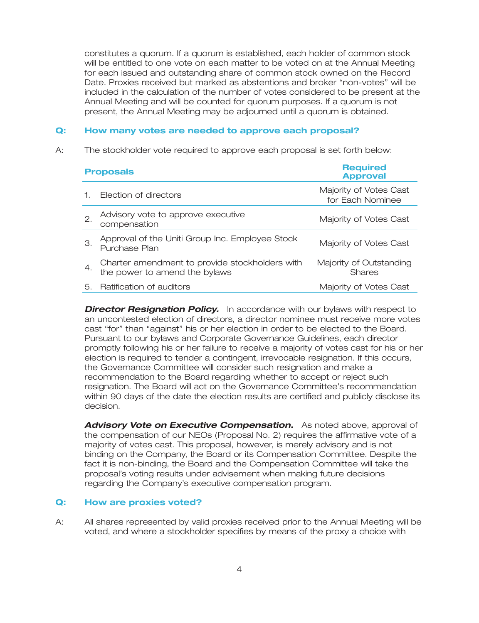constitutes a quorum. If a quorum is established, each holder of common stock will be entitled to one vote on each matter to be voted on at the Annual Meeting for each issued and outstanding share of common stock owned on the Record Date. Proxies received but marked as abstentions and broker ''non-votes'' will be included in the calculation of the number of votes considered to be present at the Annual Meeting and will be counted for quorum purposes. If a quorum is not present, the Annual Meeting may be adjourned until a quorum is obtained.

## **Q: How many votes are needed to approve each proposal?**

A: The stockholder vote required to approve each proposal is set forth below:

|                 | <b>Proposals</b>                                                                | <b>Required</b><br><b>Approval</b>         |
|-----------------|---------------------------------------------------------------------------------|--------------------------------------------|
|                 | Election of directors                                                           | Majority of Votes Cast<br>for Each Nominee |
| $\mathcal{P}$ . | Advisory vote to approve executive<br>compensation                              | Majority of Votes Cast                     |
| З.              | Approval of the Uniti Group Inc. Employee Stock<br>Purchase Plan                | Majority of Votes Cast                     |
| 4.              | Charter amendment to provide stockholders with<br>the power to amend the bylaws | Majority of Outstanding<br><b>Shares</b>   |
| 5.              | Ratification of auditors                                                        | Majority of Votes Cast                     |

**Director Resignation Policy.** In accordance with our bylaws with respect to an uncontested election of directors, a director nominee must receive more votes cast ''for'' than ''against'' his or her election in order to be elected to the Board. Pursuant to our bylaws and Corporate Governance Guidelines, each director promptly following his or her failure to receive a majority of votes cast for his or her election is required to tender a contingent, irrevocable resignation. If this occurs, the Governance Committee will consider such resignation and make a recommendation to the Board regarding whether to accept or reject such resignation. The Board will act on the Governance Committee's recommendation within 90 days of the date the election results are certified and publicly disclose its decision.

*Advisory Vote on Executive Compensation.* As noted above, approval of the compensation of our NEOs (Proposal No. 2) requires the affirmative vote of a majority of votes cast. This proposal, however, is merely advisory and is not binding on the Company, the Board or its Compensation Committee. Despite the fact it is non-binding, the Board and the Compensation Committee will take the proposal's voting results under advisement when making future decisions regarding the Company's executive compensation program.

## **Q: How are proxies voted?**

A: All shares represented by valid proxies received prior to the Annual Meeting will be voted, and where a stockholder specifies by means of the proxy a choice with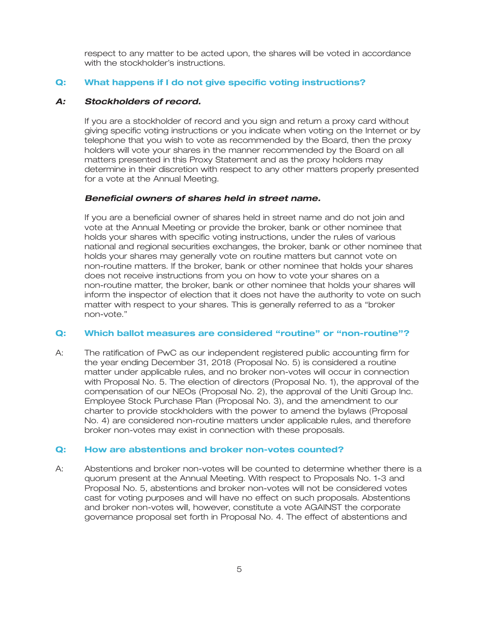respect to any matter to be acted upon, the shares will be voted in accordance with the stockholder's instructions.

## **Q: What happens if I do not give specific voting instructions?**

## *A: Stockholders of record.*

If you are a stockholder of record and you sign and return a proxy card without giving specific voting instructions or you indicate when voting on the Internet or by telephone that you wish to vote as recommended by the Board, then the proxy holders will vote your shares in the manner recommended by the Board on all matters presented in this Proxy Statement and as the proxy holders may determine in their discretion with respect to any other matters properly presented for a vote at the Annual Meeting.

## *Beneficial owners of shares held in street name.*

If you are a beneficial owner of shares held in street name and do not join and vote at the Annual Meeting or provide the broker, bank or other nominee that holds your shares with specific voting instructions, under the rules of various national and regional securities exchanges, the broker, bank or other nominee that holds your shares may generally vote on routine matters but cannot vote on non-routine matters. If the broker, bank or other nominee that holds your shares does not receive instructions from you on how to vote your shares on a non-routine matter, the broker, bank or other nominee that holds your shares will inform the inspector of election that it does not have the authority to vote on such matter with respect to your shares. This is generally referred to as a ''broker non-vote.''

## **Q: Which ballot measures are considered ''routine'' or ''non-routine''?**

A: The ratification of PwC as our independent registered public accounting firm for the year ending December 31, 2018 (Proposal No. 5) is considered a routine matter under applicable rules, and no broker non-votes will occur in connection with Proposal No. 5. The election of directors (Proposal No. 1), the approval of the compensation of our NEOs (Proposal No. 2), the approval of the Uniti Group Inc. Employee Stock Purchase Plan (Proposal No. 3), and the amendment to our charter to provide stockholders with the power to amend the bylaws (Proposal No. 4) are considered non-routine matters under applicable rules, and therefore broker non-votes may exist in connection with these proposals.

## **Q: How are abstentions and broker non-votes counted?**

A: Abstentions and broker non-votes will be counted to determine whether there is a quorum present at the Annual Meeting. With respect to Proposals No. 1-3 and Proposal No. 5, abstentions and broker non-votes will not be considered votes cast for voting purposes and will have no effect on such proposals. Abstentions and broker non-votes will, however, constitute a vote AGAINST the corporate governance proposal set forth in Proposal No. 4. The effect of abstentions and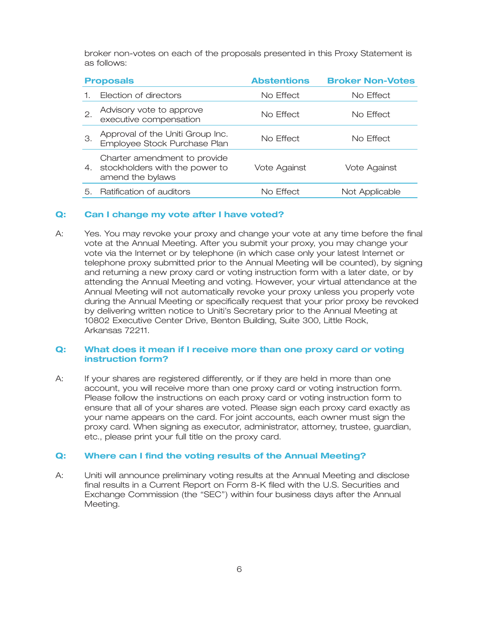broker non-votes on each of the proposals presented in this Proxy Statement is as follows:

|    | <b>Proposals</b>                                                                   | <b>Abstentions</b> | <b>Broker Non-Votes</b> |
|----|------------------------------------------------------------------------------------|--------------------|-------------------------|
|    | Election of directors                                                              | No Effect          | No Effect               |
| 2. | Advisory vote to approve<br>executive compensation                                 | No Effect          | No Effect               |
| З. | Approval of the Uniti Group Inc.<br>Employee Stock Purchase Plan                   | No Effect          | No Effect               |
| 4. | Charter amendment to provide<br>stockholders with the power to<br>amend the bylaws | Vote Against       | Vote Against            |
| 5. | Ratification of auditors                                                           | No Effect          | Not Applicable          |

#### **Q: Can I change my vote after I have voted?**

A: Yes. You may revoke your proxy and change your vote at any time before the final vote at the Annual Meeting. After you submit your proxy, you may change your vote via the Internet or by telephone (in which case only your latest Internet or telephone proxy submitted prior to the Annual Meeting will be counted), by signing and returning a new proxy card or voting instruction form with a later date, or by attending the Annual Meeting and voting. However, your virtual attendance at the Annual Meeting will not automatically revoke your proxy unless you properly vote during the Annual Meeting or specifically request that your prior proxy be revoked by delivering written notice to Uniti's Secretary prior to the Annual Meeting at 10802 Executive Center Drive, Benton Building, Suite 300, Little Rock, Arkansas 72211.

## **Q: What does it mean if I receive more than one proxy card or voting instruction form?**

A: If your shares are registered differently, or if they are held in more than one account, you will receive more than one proxy card or voting instruction form. Please follow the instructions on each proxy card or voting instruction form to ensure that all of your shares are voted. Please sign each proxy card exactly as your name appears on the card. For joint accounts, each owner must sign the proxy card. When signing as executor, administrator, attorney, trustee, guardian, etc., please print your full title on the proxy card.

## **Q: Where can I find the voting results of the Annual Meeting?**

A: Uniti will announce preliminary voting results at the Annual Meeting and disclose final results in a Current Report on Form 8-K filed with the U.S. Securities and Exchange Commission (the ''SEC'') within four business days after the Annual Meeting.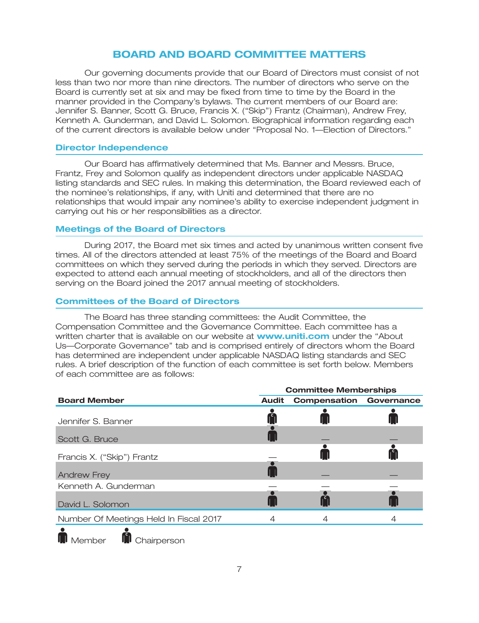## **BOARD AND BOARD COMMITTEE MATTERS**

Our governing documents provide that our Board of Directors must consist of not less than two nor more than nine directors. The number of directors who serve on the Board is currently set at six and may be fixed from time to time by the Board in the manner provided in the Company's bylaws. The current members of our Board are: Jennifer S. Banner, Scott G. Bruce, Francis X. (''Skip'') Frantz (Chairman), Andrew Frey, Kenneth A. Gunderman, and David L. Solomon. Biographical information regarding each of the current directors is available below under ''Proposal No. 1—Election of Directors.''

## **Director Independence**

Our Board has affirmatively determined that Ms. Banner and Messrs. Bruce, Frantz, Frey and Solomon qualify as independent directors under applicable NASDAQ listing standards and SEC rules. In making this determination, the Board reviewed each of the nominee's relationships, if any, with Uniti and determined that there are no relationships that would impair any nominee's ability to exercise independent judgment in carrying out his or her responsibilities as a director.

## **Meetings of the Board of Directors**

During 2017, the Board met six times and acted by unanimous written consent five times. All of the directors attended at least 75% of the meetings of the Board and Board committees on which they served during the periods in which they served. Directors are expected to attend each annual meeting of stockholders, and all of the directors then serving on the Board joined the 2017 annual meeting of stockholders.

#### **Committees of the Board of Directors**

The Board has three standing committees: the Audit Committee, the Compensation Committee and the Governance Committee. Each committee has a written charter that is available on our website at **www.uniti.com** under the "About Us—Corporate Governance'' tab and is comprised entirely of directors whom the Board has determined are independent under applicable NASDAQ listing standards and SEC rules. A brief description of the function of each committee is set forth below. Members of each committee are as follows:

|                                        | <b>Committee Memberships</b> |                                |  |  |
|----------------------------------------|------------------------------|--------------------------------|--|--|
| <b>Board Member</b>                    | <b>Audit</b>                 | <b>Compensation Governance</b> |  |  |
| Jennifer S. Banner                     |                              |                                |  |  |
| Scott G. Bruce                         |                              |                                |  |  |
| Francis X. ("Skip") Frantz             |                              |                                |  |  |
| <b>Andrew Frey</b>                     |                              |                                |  |  |
| Kenneth A. Gunderman                   |                              |                                |  |  |
| David L. Solomon                       |                              |                                |  |  |
| Number Of Meetings Held In Fiscal 2017 |                              |                                |  |  |
|                                        |                              |                                |  |  |

**In**I Member **In**I Chairperson

7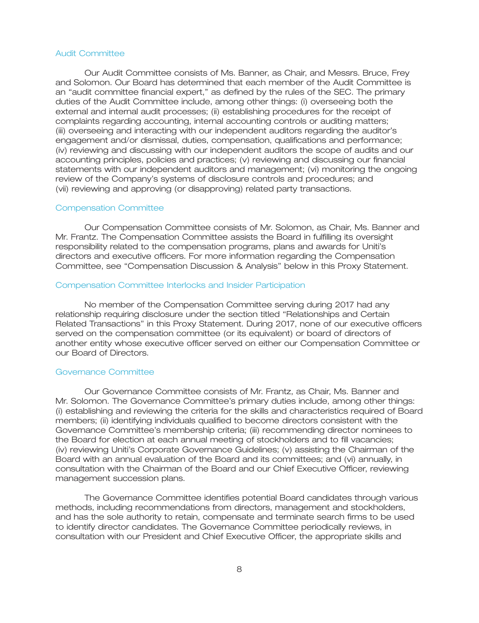#### Audit Committee

Our Audit Committee consists of Ms. Banner, as Chair, and Messrs. Bruce, Frey and Solomon. Our Board has determined that each member of the Audit Committee is an ''audit committee financial expert,'' as defined by the rules of the SEC. The primary duties of the Audit Committee include, among other things: (i) overseeing both the external and internal audit processes; (ii) establishing procedures for the receipt of complaints regarding accounting, internal accounting controls or auditing matters; (iii) overseeing and interacting with our independent auditors regarding the auditor's engagement and/or dismissal, duties, compensation, qualifications and performance; (iv) reviewing and discussing with our independent auditors the scope of audits and our accounting principles, policies and practices; (v) reviewing and discussing our financial statements with our independent auditors and management; (vi) monitoring the ongoing review of the Company's systems of disclosure controls and procedures; and (vii) reviewing and approving (or disapproving) related party transactions.

#### Compensation Committee

Our Compensation Committee consists of Mr. Solomon, as Chair, Ms. Banner and Mr. Frantz. The Compensation Committee assists the Board in fulfilling its oversight responsibility related to the compensation programs, plans and awards for Uniti's directors and executive officers. For more information regarding the Compensation Committee, see ''Compensation Discussion & Analysis'' below in this Proxy Statement.

#### Compensation Committee Interlocks and Insider Participation

No member of the Compensation Committee serving during 2017 had any relationship requiring disclosure under the section titled ''Relationships and Certain Related Transactions'' in this Proxy Statement. During 2017, none of our executive officers served on the compensation committee (or its equivalent) or board of directors of another entity whose executive officer served on either our Compensation Committee or our Board of Directors.

#### Governance Committee

Our Governance Committee consists of Mr. Frantz, as Chair, Ms. Banner and Mr. Solomon. The Governance Committee's primary duties include, among other things: (i) establishing and reviewing the criteria for the skills and characteristics required of Board members; (ii) identifying individuals qualified to become directors consistent with the Governance Committee's membership criteria; (iii) recommending director nominees to the Board for election at each annual meeting of stockholders and to fill vacancies; (iv) reviewing Uniti's Corporate Governance Guidelines; (v) assisting the Chairman of the Board with an annual evaluation of the Board and its committees; and (vi) annually, in consultation with the Chairman of the Board and our Chief Executive Officer, reviewing management succession plans.

The Governance Committee identifies potential Board candidates through various methods, including recommendations from directors, management and stockholders, and has the sole authority to retain, compensate and terminate search firms to be used to identify director candidates. The Governance Committee periodically reviews, in consultation with our President and Chief Executive Officer, the appropriate skills and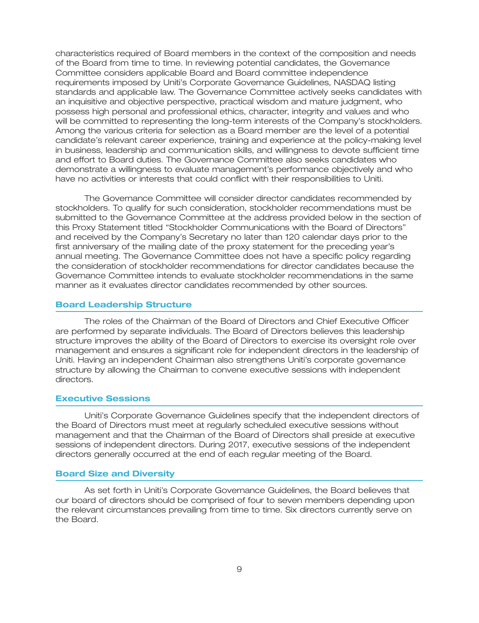characteristics required of Board members in the context of the composition and needs of the Board from time to time. In reviewing potential candidates, the Governance Committee considers applicable Board and Board committee independence requirements imposed by Uniti's Corporate Governance Guidelines, NASDAQ listing standards and applicable law. The Governance Committee actively seeks candidates with an inquisitive and objective perspective, practical wisdom and mature judgment, who possess high personal and professional ethics, character, integrity and values and who will be committed to representing the long-term interests of the Company's stockholders. Among the various criteria for selection as a Board member are the level of a potential candidate's relevant career experience, training and experience at the policy-making level in business, leadership and communication skills, and willingness to devote sufficient time and effort to Board duties. The Governance Committee also seeks candidates who demonstrate a willingness to evaluate management's performance objectively and who have no activities or interests that could conflict with their responsibilities to Uniti.

The Governance Committee will consider director candidates recommended by stockholders. To qualify for such consideration, stockholder recommendations must be submitted to the Governance Committee at the address provided below in the section of this Proxy Statement titled ''Stockholder Communications with the Board of Directors'' and received by the Company's Secretary no later than 120 calendar days prior to the first anniversary of the mailing date of the proxy statement for the preceding year's annual meeting. The Governance Committee does not have a specific policy regarding the consideration of stockholder recommendations for director candidates because the Governance Committee intends to evaluate stockholder recommendations in the same manner as it evaluates director candidates recommended by other sources.

#### **Board Leadership Structure**

The roles of the Chairman of the Board of Directors and Chief Executive Officer are performed by separate individuals. The Board of Directors believes this leadership structure improves the ability of the Board of Directors to exercise its oversight role over management and ensures a significant role for independent directors in the leadership of Uniti. Having an independent Chairman also strengthens Uniti's corporate governance structure by allowing the Chairman to convene executive sessions with independent directors.

#### **Executive Sessions**

Uniti's Corporate Governance Guidelines specify that the independent directors of the Board of Directors must meet at regularly scheduled executive sessions without management and that the Chairman of the Board of Directors shall preside at executive sessions of independent directors. During 2017, executive sessions of the independent directors generally occurred at the end of each regular meeting of the Board.

#### **Board Size and Diversity**

As set forth in Uniti's Corporate Governance Guidelines, the Board believes that our board of directors should be comprised of four to seven members depending upon the relevant circumstances prevailing from time to time. Six directors currently serve on the Board.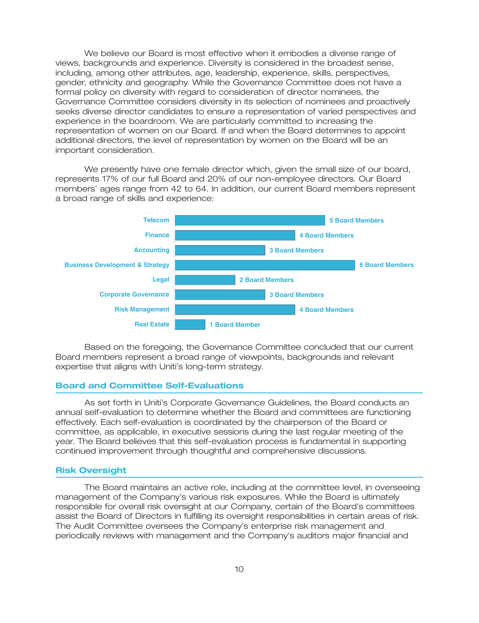We believe our Board is most effective when it embodies a diverse range of views, backgrounds and experience. Diversity is considered in the broadest sense, including, among other attributes, age, leadership, experience, skills, perspectives, gender, ethnicity and geography. While the Governance Committee does not have a formal policy on diversity with regard to consideration of director nominees, the Governance Committee considers diversity in its selection of nominees and proactively seeks diverse director candidates to ensure a representation of varied perspectives and experience in the boardroom. We are particularly committed to increasing the representation of women on our Board. If and when the Board determines to appoint additional directors, the level of representation by women on the Board will be an important consideration.

We presently have one female director which, given the small size of our board, represents 17% of our full Board and 20% of our non-employee directors. Our Board members' ages range from 42 to 64. In addition, our current Board members represent a broad range of skills and experience:



Based on the foregoing, the Governance Committee concluded that our current Board members represent a broad range of viewpoints, backgrounds and relevant expertise that aligns with Uniti's long-term strategy.

## **Board and Committee Self-Evaluations**

As set forth in Uniti's Corporate Governance Guidelines, the Board conducts an annual self-evaluation to determine whether the Board and committees are functioning effectively. Each self-evaluation is coordinated by the chairperson of the Board or committee, as applicable, in executive sessions during the last regular meeting of the year. The Board believes that this self-evaluation process is fundamental in supporting continued improvement through thoughtful and comprehensive discussions.

#### **Risk Oversight**

The Board maintains an active role, including at the committee level, in overseeing management of the Company's various risk exposures. While the Board is ultimately responsible for overall risk oversight at our Company, certain of the Board's committees assist the Board of Directors in fulfilling its oversight responsibilities in certain areas of risk. The Audit Committee oversees the Company's enterprise risk management and periodically reviews with management and the Company's auditors major financial and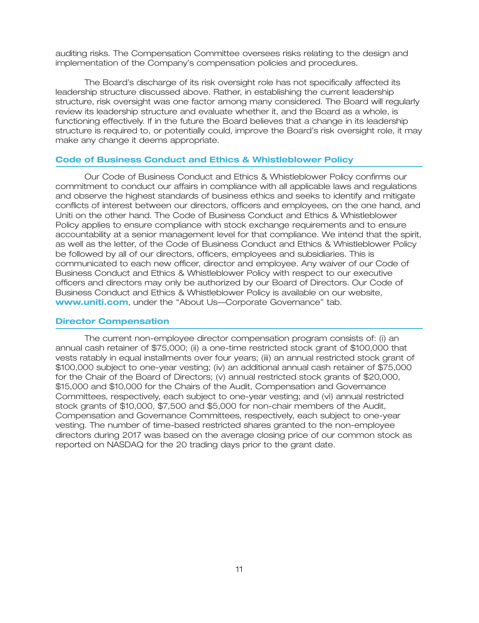auditing risks. The Compensation Committee oversees risks relating to the design and implementation of the Company's compensation policies and procedures.

The Board's discharge of its risk oversight role has not specifically affected its leadership structure discussed above. Rather, in establishing the current leadership structure, risk oversight was one factor among many considered. The Board will regularly review its leadership structure and evaluate whether it, and the Board as a whole, is functioning effectively. If in the future the Board believes that a change in its leadership structure is required to, or potentially could, improve the Board's risk oversight role, it may make any change it deems appropriate.

## **Code of Business Conduct and Ethics & Whistleblower Policy**

Our Code of Business Conduct and Ethics & Whistleblower Policy confirms our commitment to conduct our affairs in compliance with all applicable laws and regulations and observe the highest standards of business ethics and seeks to identify and mitigate conflicts of interest between our directors, officers and employees, on the one hand, and Uniti on the other hand. The Code of Business Conduct and Ethics & Whistleblower Policy applies to ensure compliance with stock exchange requirements and to ensure accountability at a senior management level for that compliance. We intend that the spirit, as well as the letter, of the Code of Business Conduct and Ethics & Whistleblower Policy be followed by all of our directors, officers, employees and subsidiaries. This is communicated to each new officer, director and employee. Any waiver of our Code of Business Conduct and Ethics & Whistleblower Policy with respect to our executive officers and directors may only be authorized by our Board of Directors. Our Code of Business Conduct and Ethics & Whistleblower Policy is available on our website, www.uniti.com, under the "About Us-Corporate Governance" tab.

#### **Director Compensation**

The current non-employee director compensation program consists of: (i) an annual cash retainer of \$75,000; (ii) a one-time restricted stock grant of \$100,000 that vests ratably in equal installments over four years; (iii) an annual restricted stock grant of \$100,000 subject to one-year vesting; (iv) an additional annual cash retainer of \$75,000 for the Chair of the Board of Directors; (v) annual restricted stock grants of \$20,000, \$15,000 and \$10,000 for the Chairs of the Audit, Compensation and Governance Committees, respectively, each subject to one-year vesting; and (vi) annual restricted stock grants of \$10,000, \$7,500 and \$5,000 for non-chair members of the Audit, Compensation and Governance Committees, respectively, each subject to one-year vesting. The number of time-based restricted shares granted to the non-employee directors during 2017 was based on the average closing price of our common stock as reported on NASDAQ for the 20 trading days prior to the grant date.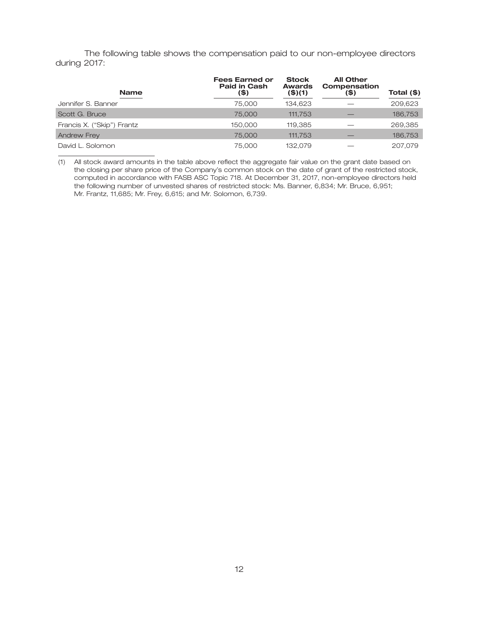The following table shows the compensation paid to our non-employee directors during 2017:

| <b>Name</b>                | <b>Fees Earned or</b><br><b>Paid in Cash</b><br>(\$) | <b>Stock</b><br><b>Awards</b><br>$($ \$)(1) | <b>All Other</b><br>Compensation<br>(\$) | Total $(\$)$ |
|----------------------------|------------------------------------------------------|---------------------------------------------|------------------------------------------|--------------|
| Jennifer S. Banner         | 75,000                                               | 134.623                                     |                                          | 209,623      |
| Scott G. Bruce             | 75,000                                               | 111,753                                     |                                          | 186,753      |
| Francis X. ("Skip") Frantz | 150,000                                              | 119.385                                     |                                          | 269,385      |
| <b>Andrew Frey</b>         | 75,000                                               | 111,753                                     |                                          | 186,753      |
| David L. Solomon           | 75,000                                               | 132.079                                     |                                          | 207.079      |

(1) All stock award amounts in the table above reflect the aggregate fair value on the grant date based on the closing per share price of the Company's common stock on the date of grant of the restricted stock, computed in accordance with FASB ASC Topic 718. At December 31, 2017, non-employee directors held the following number of unvested shares of restricted stock: Ms. Banner, 6,834; Mr. Bruce, 6,951; Mr. Frantz, 11,685; Mr. Frey, 6,615; and Mr. Solomon, 6,739.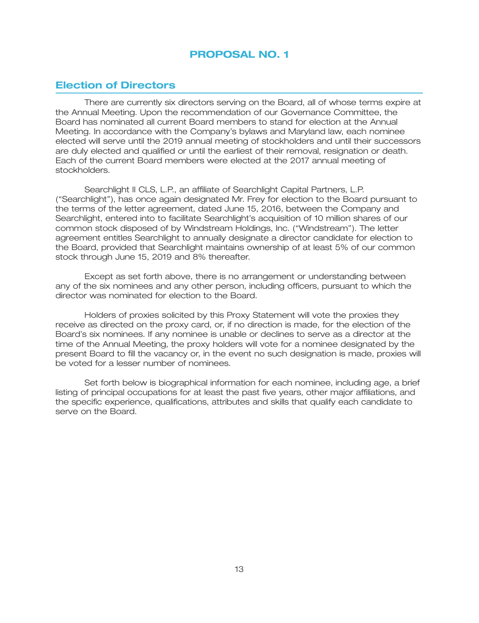## **PROPOSAL NO. 1**

## **Election of Directors**

There are currently six directors serving on the Board, all of whose terms expire at the Annual Meeting. Upon the recommendation of our Governance Committee, the Board has nominated all current Board members to stand for election at the Annual Meeting. In accordance with the Company's bylaws and Maryland law, each nominee elected will serve until the 2019 annual meeting of stockholders and until their successors are duly elected and qualified or until the earliest of their removal, resignation or death. Each of the current Board members were elected at the 2017 annual meeting of stockholders.

Searchlight II CLS, L.P., an affiliate of Searchlight Capital Partners, L.P. (''Searchlight''), has once again designated Mr. Frey for election to the Board pursuant to the terms of the letter agreement, dated June 15, 2016, between the Company and Searchlight, entered into to facilitate Searchlight's acquisition of 10 million shares of our common stock disposed of by Windstream Holdings, Inc. (''Windstream''). The letter agreement entitles Searchlight to annually designate a director candidate for election to the Board, provided that Searchlight maintains ownership of at least 5% of our common stock through June 15, 2019 and 8% thereafter.

Except as set forth above, there is no arrangement or understanding between any of the six nominees and any other person, including officers, pursuant to which the director was nominated for election to the Board.

Holders of proxies solicited by this Proxy Statement will vote the proxies they receive as directed on the proxy card, or, if no direction is made, for the election of the Board's six nominees. If any nominee is unable or declines to serve as a director at the time of the Annual Meeting, the proxy holders will vote for a nominee designated by the present Board to fill the vacancy or, in the event no such designation is made, proxies will be voted for a lesser number of nominees.

Set forth below is biographical information for each nominee, including age, a brief listing of principal occupations for at least the past five years, other major affiliations, and the specific experience, qualifications, attributes and skills that qualify each candidate to serve on the Board.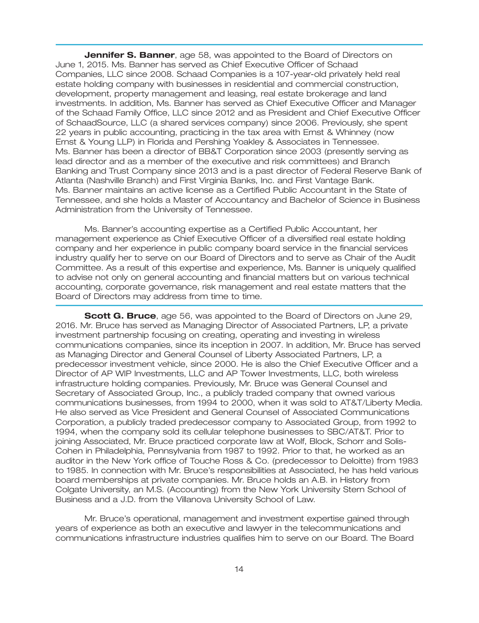**Jennifer S. Banner**, age 58, was appointed to the Board of Directors on June 1, 2015. Ms. Banner has served as Chief Executive Officer of Schaad Companies, LLC since 2008. Schaad Companies is a 107-year-old privately held real estate holding company with businesses in residential and commercial construction, development, property management and leasing, real estate brokerage and land investments. In addition, Ms. Banner has served as Chief Executive Officer and Manager of the Schaad Family Office, LLC since 2012 and as President and Chief Executive Officer of SchaadSource, LLC (a shared services company) since 2006. Previously, she spent 22 years in public accounting, practicing in the tax area with Ernst & Whinney (now Ernst & Young LLP) in Florida and Pershing Yoakley & Associates in Tennessee. Ms. Banner has been a director of BB&T Corporation since 2003 (presently serving as lead director and as a member of the executive and risk committees) and Branch Banking and Trust Company since 2013 and is a past director of Federal Reserve Bank of Atlanta (Nashville Branch) and First Virginia Banks, Inc. and First Vantage Bank. Ms. Banner maintains an active license as a Certified Public Accountant in the State of Tennessee, and she holds a Master of Accountancy and Bachelor of Science in Business Administration from the University of Tennessee.

Ms. Banner's accounting expertise as a Certified Public Accountant, her management experience as Chief Executive Officer of a diversified real estate holding company and her experience in public company board service in the financial services industry qualify her to serve on our Board of Directors and to serve as Chair of the Audit Committee. As a result of this expertise and experience, Ms. Banner is uniquely qualified to advise not only on general accounting and financial matters but on various technical accounting, corporate governance, risk management and real estate matters that the Board of Directors may address from time to time.

**Scott G. Bruce**, age 56, was appointed to the Board of Directors on June 29, 2016. Mr. Bruce has served as Managing Director of Associated Partners, LP, a private investment partnership focusing on creating, operating and investing in wireless communications companies, since its inception in 2007. In addition, Mr. Bruce has served as Managing Director and General Counsel of Liberty Associated Partners, LP, a predecessor investment vehicle, since 2000. He is also the Chief Executive Officer and a Director of AP WIP Investments, LLC and AP Tower Investments, LLC, both wireless infrastructure holding companies. Previously, Mr. Bruce was General Counsel and Secretary of Associated Group, Inc., a publicly traded company that owned various communications businesses, from 1994 to 2000, when it was sold to AT&T/Liberty Media. He also served as Vice President and General Counsel of Associated Communications Corporation, a publicly traded predecessor company to Associated Group, from 1992 to 1994, when the company sold its cellular telephone businesses to SBC/AT&T. Prior to joining Associated, Mr. Bruce practiced corporate law at Wolf, Block, Schorr and Solis-Cohen in Philadelphia, Pennsylvania from 1987 to 1992. Prior to that, he worked as an auditor in the New York office of Touche Ross & Co. (predecessor to Deloitte) from 1983 to 1985. In connection with Mr. Bruce's responsibilities at Associated, he has held various board memberships at private companies. Mr. Bruce holds an A.B. in History from Colgate University, an M.S. (Accounting) from the New York University Stern School of Business and a J.D. from the Villanova University School of Law.

Mr. Bruce's operational, management and investment expertise gained through years of experience as both an executive and lawyer in the telecommunications and communications infrastructure industries qualifies him to serve on our Board. The Board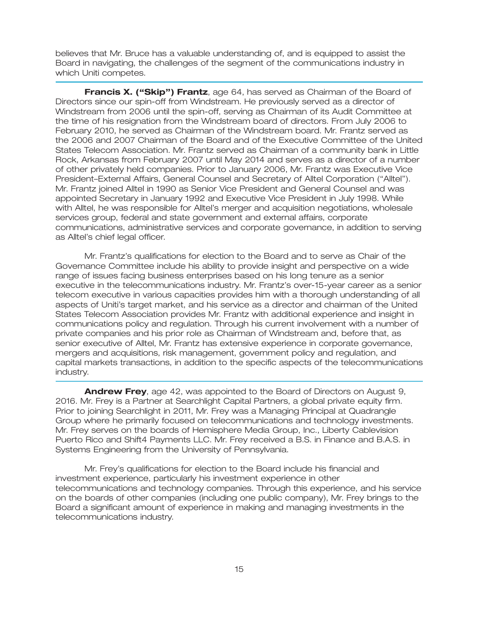believes that Mr. Bruce has a valuable understanding of, and is equipped to assist the Board in navigating, the challenges of the segment of the communications industry in which Uniti competes.

**Francis X. (''Skip'') Frantz**, age 64, has served as Chairman of the Board of Directors since our spin-off from Windstream. He previously served as a director of Windstream from 2006 until the spin-off, serving as Chairman of its Audit Committee at the time of his resignation from the Windstream board of directors. From July 2006 to February 2010, he served as Chairman of the Windstream board. Mr. Frantz served as the 2006 and 2007 Chairman of the Board and of the Executive Committee of the United States Telecom Association. Mr. Frantz served as Chairman of a community bank in Little Rock, Arkansas from February 2007 until May 2014 and serves as a director of a number of other privately held companies. Prior to January 2006, Mr. Frantz was Executive Vice President–External Affairs, General Counsel and Secretary of Alltel Corporation (''Alltel''). Mr. Frantz joined Alltel in 1990 as Senior Vice President and General Counsel and was appointed Secretary in January 1992 and Executive Vice President in July 1998. While with Alltel, he was responsible for Alltel's merger and acquisition negotiations, wholesale services group, federal and state government and external affairs, corporate communications, administrative services and corporate governance, in addition to serving as Alltel's chief legal officer.

Mr. Frantz's qualifications for election to the Board and to serve as Chair of the Governance Committee include his ability to provide insight and perspective on a wide range of issues facing business enterprises based on his long tenure as a senior executive in the telecommunications industry. Mr. Frantz's over-15-year career as a senior telecom executive in various capacities provides him with a thorough understanding of all aspects of Uniti's target market, and his service as a director and chairman of the United States Telecom Association provides Mr. Frantz with additional experience and insight in communications policy and regulation. Through his current involvement with a number of private companies and his prior role as Chairman of Windstream and, before that, as senior executive of Alltel, Mr. Frantz has extensive experience in corporate governance, mergers and acquisitions, risk management, government policy and regulation, and capital markets transactions, in addition to the specific aspects of the telecommunications industry.

**Andrew Frey**, age 42, was appointed to the Board of Directors on August 9, 2016. Mr. Frey is a Partner at Searchlight Capital Partners, a global private equity firm. Prior to joining Searchlight in 2011, Mr. Frey was a Managing Principal at Quadrangle Group where he primarily focused on telecommunications and technology investments. Mr. Frey serves on the boards of Hemisphere Media Group, Inc., Liberty Cablevision Puerto Rico and Shift4 Payments LLC. Mr. Frey received a B.S. in Finance and B.A.S. in Systems Engineering from the University of Pennsylvania.

Mr. Frey's qualifications for election to the Board include his financial and investment experience, particularly his investment experience in other telecommunications and technology companies. Through this experience, and his service on the boards of other companies (including one public company), Mr. Frey brings to the Board a significant amount of experience in making and managing investments in the telecommunications industry.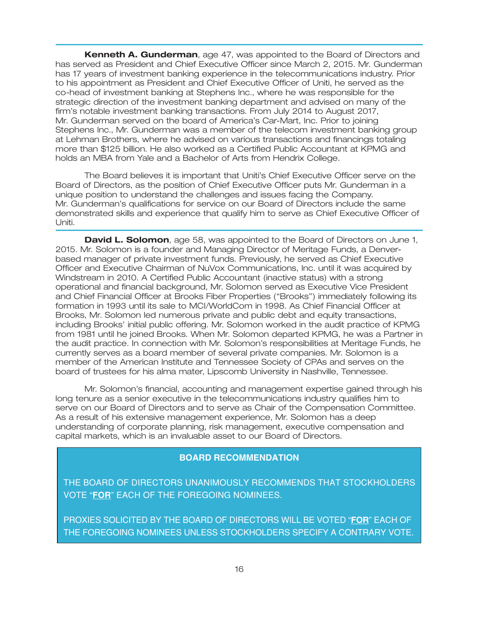**Kenneth A. Gunderman**, age 47, was appointed to the Board of Directors and has served as President and Chief Executive Officer since March 2, 2015. Mr. Gunderman has 17 years of investment banking experience in the telecommunications industry. Prior to his appointment as President and Chief Executive Officer of Uniti, he served as the co-head of investment banking at Stephens Inc., where he was responsible for the strategic direction of the investment banking department and advised on many of the firm's notable investment banking transactions. From July 2014 to August 2017, Mr. Gunderman served on the board of America's Car-Mart, Inc. Prior to joining Stephens Inc., Mr. Gunderman was a member of the telecom investment banking group at Lehman Brothers, where he advised on various transactions and financings totaling more than \$125 billion. He also worked as a Certified Public Accountant at KPMG and holds an MBA from Yale and a Bachelor of Arts from Hendrix College.

The Board believes it is important that Uniti's Chief Executive Officer serve on the Board of Directors, as the position of Chief Executive Officer puts Mr. Gunderman in a unique position to understand the challenges and issues facing the Company. Mr. Gunderman's qualifications for service on our Board of Directors include the same demonstrated skills and experience that qualify him to serve as Chief Executive Officer of Uniti.

**David L. Solomon**, age 58, was appointed to the Board of Directors on June 1, 2015. Mr. Solomon is a founder and Managing Director of Meritage Funds, a Denverbased manager of private investment funds. Previously, he served as Chief Executive Officer and Executive Chairman of NuVox Communications, Inc. until it was acquired by Windstream in 2010. A Certified Public Accountant (inactive status) with a strong operational and financial background, Mr. Solomon served as Executive Vice President and Chief Financial Officer at Brooks Fiber Properties (''Brooks'') immediately following its formation in 1993 until its sale to MCI/WorldCom in 1998. As Chief Financial Officer at Brooks, Mr. Solomon led numerous private and public debt and equity transactions, including Brooks' initial public offering. Mr. Solomon worked in the audit practice of KPMG from 1981 until he joined Brooks. When Mr. Solomon departed KPMG, he was a Partner in the audit practice. In connection with Mr. Solomon's responsibilities at Meritage Funds, he currently serves as a board member of several private companies. Mr. Solomon is a member of the American Institute and Tennessee Society of CPAs and serves on the board of trustees for his alma mater, Lipscomb University in Nashville, Tennessee.

Mr. Solomon's financial, accounting and management expertise gained through his long tenure as a senior executive in the telecommunications industry qualifies him to serve on our Board of Directors and to serve as Chair of the Compensation Committee. As a result of his extensive management experience, Mr. Solomon has a deep understanding of corporate planning, risk management, executive compensation and capital markets, which is an invaluable asset to our Board of Directors.

## **BOARD RECOMMENDATION**

THE BOARD OF DIRECTORS UNANIMOUSLY RECOMMENDS THAT STOCKHOLDERS VOTE "**FOR**" EACH OF THE FOREGOING NOMINEES.

PROXIES SOLICITED BY THE BOARD OF DIRECTORS WILL BE VOTED "**FOR**" EACH OF THE FOREGOING NOMINEES UNLESS STOCKHOLDERS SPECIFY A CONTRARY VOTE.

23MAR201803003012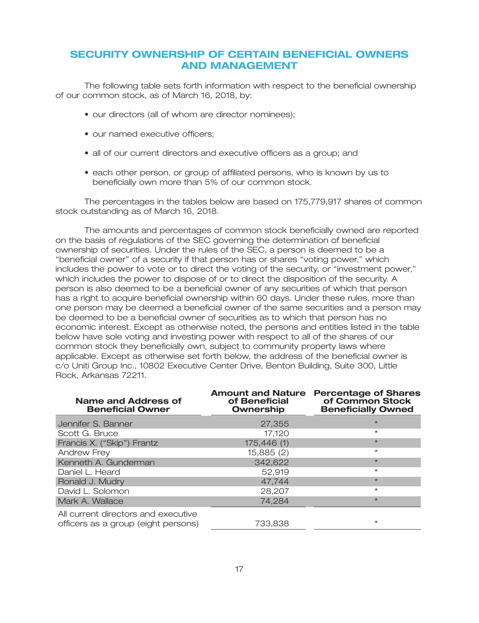## **SECURITY OWNERSHIP OF CERTAIN BENEFICIAL OWNERS AND MANAGEMENT**

The following table sets forth information with respect to the beneficial ownership of our common stock, as of March 16, 2018, by:

- our directors (all of whom are director nominees);
- our named executive officers;
- all of our current directors and executive officers as a group; and
- each other person, or group of affiliated persons, who is known by us to beneficially own more than 5% of our common stock.

The percentages in the tables below are based on 175,779,917 shares of common stock outstanding as of March 16, 2018.

The amounts and percentages of common stock beneficially owned are reported on the basis of regulations of the SEC governing the determination of beneficial ownership of securities. Under the rules of the SEC, a person is deemed to be a ''beneficial owner'' of a security if that person has or shares ''voting power,'' which includes the power to vote or to direct the voting of the security, or ''investment power,'' which includes the power to dispose of or to direct the disposition of the security. A person is also deemed to be a beneficial owner of any securities of which that person has a right to acquire beneficial ownership within 60 days. Under these rules, more than one person may be deemed a beneficial owner of the same securities and a person may be deemed to be a beneficial owner of securities as to which that person has no economic interest. Except as otherwise noted, the persons and entities listed in the table below have sole voting and investing power with respect to all of the shares of our common stock they beneficially own, subject to community property laws where applicable. Except as otherwise set forth below, the address of the beneficial owner is c/o Uniti Group Inc., 10802 Executive Center Drive, Benton Building, Suite 300, Little Rock, Arkansas 72211.

| Name and Address of<br><b>Beneficial Owner</b>                             | <b>Amount and Nature</b><br>of Beneficial<br><b>Ownership</b> | <b>Percentage of Shares</b><br>of Common Stock<br><b>Beneficially Owned</b> |
|----------------------------------------------------------------------------|---------------------------------------------------------------|-----------------------------------------------------------------------------|
| Jennifer S. Banner                                                         | 27,355                                                        | $\star$                                                                     |
| Scott G. Bruce                                                             | 17,120                                                        | $\star$                                                                     |
| Francis X. ("Skip") Frantz                                                 | 175,446 (1)                                                   | $\star$                                                                     |
| Andrew Frey                                                                | 15,885 (2)                                                    | $\star$                                                                     |
| Kenneth A. Gunderman                                                       | 342,622                                                       | $\star$                                                                     |
| Daniel L. Heard                                                            | 52.919                                                        | $\star$                                                                     |
| Ronald J. Mudry                                                            | 47,744                                                        | $\star$                                                                     |
| David L. Solomon                                                           | 28,207                                                        | $\star$                                                                     |
| Mark A. Wallace                                                            | 74,284                                                        | $\star$                                                                     |
| All current directors and executive<br>officers as a group (eight persons) | 733,838                                                       | $\star$                                                                     |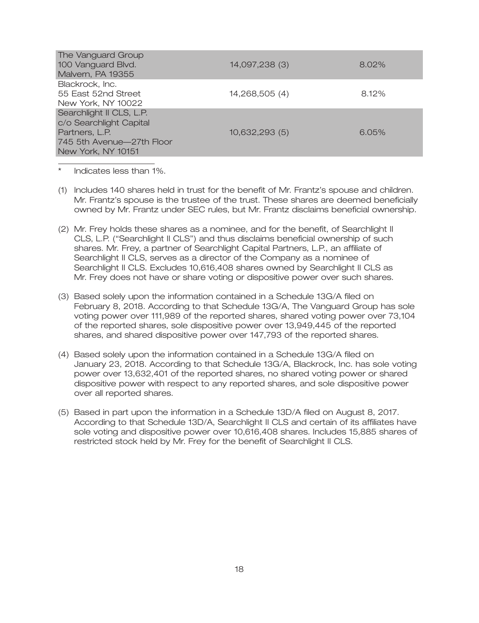| The Vanguard Group<br>100 Vanguard Blvd.<br>Malvern, PA 19355                                                            | 14,097,238 (3) | 8.02% |
|--------------------------------------------------------------------------------------------------------------------------|----------------|-------|
| Blackrock, Inc.<br>55 East 52nd Street<br>New York, NY 10022                                                             | 14,268,505 (4) | 8.12% |
| Searchlight II CLS, L.P.<br>c/o Searchlight Capital<br>Partners, L.P.<br>745 5th Avenue—27th Floor<br>New York, NY 10151 | 10,632,293(5)  | 6.05% |

- Indicates less than 1%.
- (1) Includes 140 shares held in trust for the benefit of Mr. Frantz's spouse and children. Mr. Frantz's spouse is the trustee of the trust. These shares are deemed beneficially owned by Mr. Frantz under SEC rules, but Mr. Frantz disclaims beneficial ownership.
- (2) Mr. Frey holds these shares as a nominee, and for the benefit, of Searchlight II CLS, L.P. (''Searchlight II CLS'') and thus disclaims beneficial ownership of such shares. Mr. Frey, a partner of Searchlight Capital Partners, L.P., an affiliate of Searchlight II CLS, serves as a director of the Company as a nominee of Searchlight II CLS. Excludes 10,616,408 shares owned by Searchlight II CLS as Mr. Frey does not have or share voting or dispositive power over such shares.
- (3) Based solely upon the information contained in a Schedule 13G/A filed on February 8, 2018. According to that Schedule 13G/A, The Vanguard Group has sole voting power over 111,989 of the reported shares, shared voting power over 73,104 of the reported shares, sole dispositive power over 13,949,445 of the reported shares, and shared dispositive power over 147,793 of the reported shares.
- (4) Based solely upon the information contained in a Schedule 13G/A filed on January 23, 2018. According to that Schedule 13G/A, Blackrock, Inc. has sole voting power over 13,632,401 of the reported shares, no shared voting power or shared dispositive power with respect to any reported shares, and sole dispositive power over all reported shares.
- (5) Based in part upon the information in a Schedule 13D/A filed on August 8, 2017. According to that Schedule 13D/A, Searchlight II CLS and certain of its affiliates have sole voting and dispositive power over 10,616,408 shares. Includes 15,885 shares of restricted stock held by Mr. Frey for the benefit of Searchlight II CLS.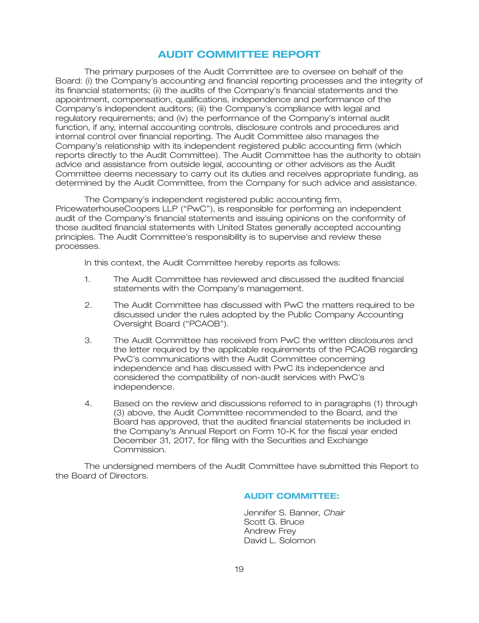## **AUDIT COMMITTEE REPORT**

The primary purposes of the Audit Committee are to oversee on behalf of the Board: (i) the Company's accounting and financial reporting processes and the integrity of its financial statements; (ii) the audits of the Company's financial statements and the appointment, compensation, qualifications, independence and performance of the Company's independent auditors; (iii) the Company's compliance with legal and regulatory requirements; and (iv) the performance of the Company's internal audit function, if any, internal accounting controls, disclosure controls and procedures and internal control over financial reporting. The Audit Committee also manages the Company's relationship with its independent registered public accounting firm (which reports directly to the Audit Committee). The Audit Committee has the authority to obtain advice and assistance from outside legal, accounting or other advisors as the Audit Committee deems necessary to carry out its duties and receives appropriate funding, as determined by the Audit Committee, from the Company for such advice and assistance.

The Company's independent registered public accounting firm, PricewaterhouseCoopers LLP (''PwC''), is responsible for performing an independent audit of the Company's financial statements and issuing opinions on the conformity of those audited financial statements with United States generally accepted accounting principles. The Audit Committee's responsibility is to supervise and review these processes.

In this context, the Audit Committee hereby reports as follows:

- 1. The Audit Committee has reviewed and discussed the audited financial statements with the Company's management.
- 2. The Audit Committee has discussed with PwC the matters required to be discussed under the rules adopted by the Public Company Accounting Oversight Board ("PCAOB").
- 3. The Audit Committee has received from PwC the written disclosures and the letter required by the applicable requirements of the PCAOB regarding PwC's communications with the Audit Committee concerning independence and has discussed with PwC its independence and considered the compatibility of non-audit services with PwC's independence.
- 4. Based on the review and discussions referred to in paragraphs (1) through (3) above, the Audit Committee recommended to the Board, and the Board has approved, that the audited financial statements be included in the Company's Annual Report on Form 10-K for the fiscal year ended December 31, 2017, for filing with the Securities and Exchange Commission.

The undersigned members of the Audit Committee have submitted this Report to the Board of Directors.

## **AUDIT COMMITTEE:**

Jennifer S. Banner, *Chair* Scott G. Bruce Andrew Frey David L. Solomon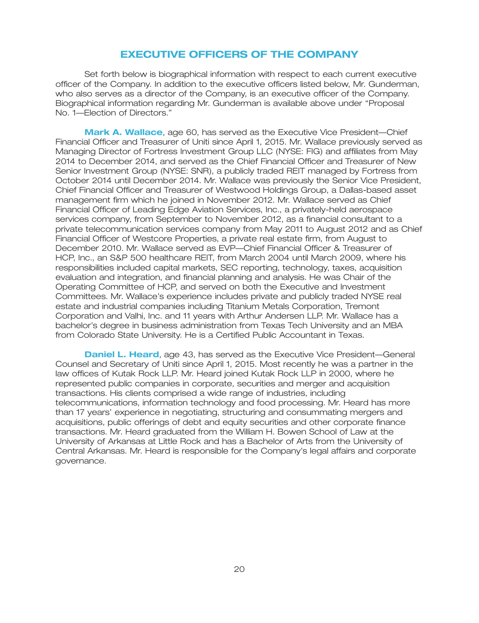## **EXECUTIVE OFFICERS OF THE COMPANY**

Set forth below is biographical information with respect to each current executive officer of the Company. In addition to the executive officers listed below, Mr. Gunderman, who also serves as a director of the Company, is an executive officer of the Company. Biographical information regarding Mr. Gunderman is available above under ''Proposal No. 1—Election of Directors.''

**Mark A. Wallace**, age 60, has served as the Executive Vice President—Chief Financial Officer and Treasurer of Uniti since April 1, 2015. Mr. Wallace previously served as Managing Director of Fortress Investment Group LLC (NYSE: FIG) and affiliates from May 2014 to December 2014, and served as the Chief Financial Officer and Treasurer of New Senior Investment Group (NYSE: SNR), a publicly traded REIT managed by Fortress from October 2014 until December 2014. Mr. Wallace was previously the Senior Vice President, Chief Financial Officer and Treasurer of Westwood Holdings Group, a Dallas-based asset management firm which he joined in November 2012. Mr. Wallace served as Chief Financial Officer of Leading Edge Aviation Services, Inc., a privately-held aerospace services company, from September to November 2012, as a financial consultant to a private telecommunication services company from May 2011 to August 2012 and as Chief Financial Officer of Westcore Properties, a private real estate firm, from August to December 2010. Mr. Wallace served as EVP—Chief Financial Officer & Treasurer of HCP, Inc., an S&P 500 healthcare REIT, from March 2004 until March 2009, where his responsibilities included capital markets, SEC reporting, technology, taxes, acquisition evaluation and integration, and financial planning and analysis. He was Chair of the Operating Committee of HCP, and served on both the Executive and Investment Committees. Mr. Wallace's experience includes private and publicly traded NYSE real estate and industrial companies including Titanium Metals Corporation, Tremont Corporation and Valhi, Inc. and 11 years with Arthur Andersen LLP. Mr. Wallace has a bachelor's degree in business administration from Texas Tech University and an MBA from Colorado State University. He is a Certified Public Accountant in Texas.

**Daniel L. Heard**, age 43, has served as the Executive Vice President—General Counsel and Secretary of Uniti since April 1, 2015. Most recently he was a partner in the law offices of Kutak Rock LLP. Mr. Heard joined Kutak Rock LLP in 2000, where he represented public companies in corporate, securities and merger and acquisition transactions. His clients comprised a wide range of industries, including telecommunications, information technology and food processing. Mr. Heard has more than 17 years' experience in negotiating, structuring and consummating mergers and acquisitions, public offerings of debt and equity securities and other corporate finance transactions. Mr. Heard graduated from the William H. Bowen School of Law at the University of Arkansas at Little Rock and has a Bachelor of Arts from the University of Central Arkansas. Mr. Heard is responsible for the Company's legal affairs and corporate governance.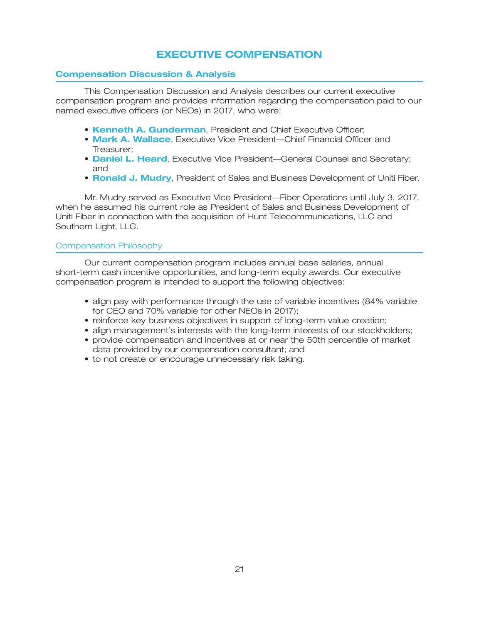# **EXECUTIVE COMPENSATION**

## **Compensation Discussion & Analysis**

This Compensation Discussion and Analysis describes our current executive compensation program and provides information regarding the compensation paid to our named executive officers (or NEOs) in 2017, who were:

- **Kenneth A. Gunderman, President and Chief Executive Officer;**
- **Mark A. Wallace**, Executive Vice President—Chief Financial Officer and Treasurer;
- **Daniel L. Heard**, Executive Vice President—General Counsel and Secretary; and
- **Ronald J. Mudry**, President of Sales and Business Development of Uniti Fiber.

Mr. Mudry served as Executive Vice President—Fiber Operations until July 3, 2017, when he assumed his current role as President of Sales and Business Development of Uniti Fiber in connection with the acquisition of Hunt Telecommunications, LLC and Southern Light, LLC.

#### Compensation Philosophy

Our current compensation program includes annual base salaries, annual short-term cash incentive opportunities, and long-term equity awards. Our executive compensation program is intended to support the following objectives:

- align pay with performance through the use of variable incentives (84% variable for CEO and 70% variable for other NEOs in 2017);
- reinforce key business objectives in support of long-term value creation;
- align management's interests with the long-term interests of our stockholders;
- provide compensation and incentives at or near the 50th percentile of market data provided by our compensation consultant; and
- to not create or encourage unnecessary risk taking.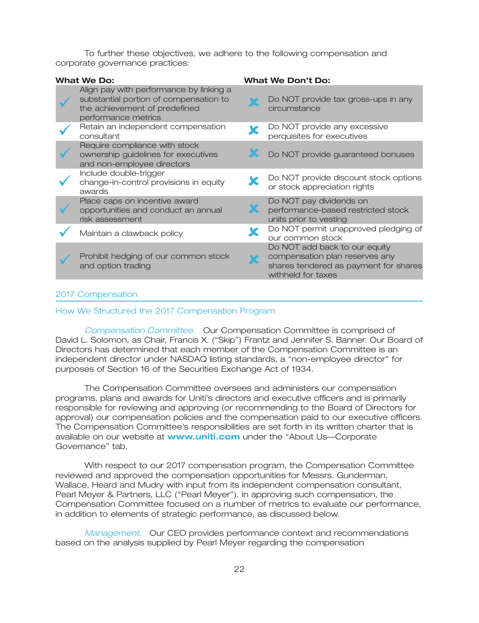To further these objectives, we adhere to the following compensation and corporate governance practices:

| <b>What We Do:</b>                                                                                                                        | <b>What We Don't Do:</b>                                                                                                       |
|-------------------------------------------------------------------------------------------------------------------------------------------|--------------------------------------------------------------------------------------------------------------------------------|
| Align pay with performance by linking a<br>substantial portion of compensation to<br>the achievement of predefined<br>performance metrics | Do NOT provide tax gross-ups in any<br>circumstance                                                                            |
| Retain an independent compensation<br>consultant                                                                                          | Do NOT provide any excessive<br>perquisites for executives                                                                     |
| Require compliance with stock<br>ownership guidelines for executives<br>and non-employee directors                                        | Do NOT provide guaranteed bonuses                                                                                              |
| Include double-trigger<br>change-in-control provisions in equity<br>awards                                                                | Do NOT provide discount stock options<br>or stock appreciation rights                                                          |
| Place caps on incentive award<br>opportunities and conduct an annual<br>risk assessment                                                   | Do NOT pay dividends on<br>performance-based restricted stock<br>units prior to vesting                                        |
| Maintain a clawback policy                                                                                                                | Do NOT permit unapproved pledging of<br>our common stock                                                                       |
| Prohibit hedging of our common stock<br>and option trading                                                                                | Do NOT add back to our equity<br>compensation plan reserves any<br>shares tendered as payment for shares<br>withheld for taxes |
|                                                                                                                                           |                                                                                                                                |

#### 2017 Compensation

#### How We Structured the 2017 Compensation Program

**Compensation Committee. Our Compensation Committee is comprised of** David L. Solomon, as Chair, Francis X. (''Skip'') Frantz and Jennifer S. Banner. Our Board of Directors has determined that each member of the Compensation Committee is an independent director under NASDAQ listing standards, a ''non-employee director'' for purposes of Section 16 of the Securities Exchange Act of 1934.

The Compensation Committee oversees and administers our compensation programs, plans and awards for Uniti's directors and executive officers and is primarily responsible for reviewing and approving (or recommending to the Board of Directors for approval) our compensation policies and the compensation paid to our executive officers. The Compensation Committee's responsibilities are set forth in its written charter that is available on our website at **www.uniti.com** under the "About Us—Corporate Governance'' tab.

With respect to our 2017 compensation program, the Compensation Committee reviewed and approved the compensation opportunities for Messrs. Gunderman, Wallace, Heard and Mudry with input from its independent compensation consultant, Pearl Meyer & Partners, LLC (''Pearl Meyer''). In approving such compensation, the Compensation Committee focused on a number of metrics to evaluate our performance, in addition to elements of strategic performance, as discussed below.

*Management.* Our CEO provides performance context and recommendations based on the analysis supplied by Pearl Meyer regarding the compensation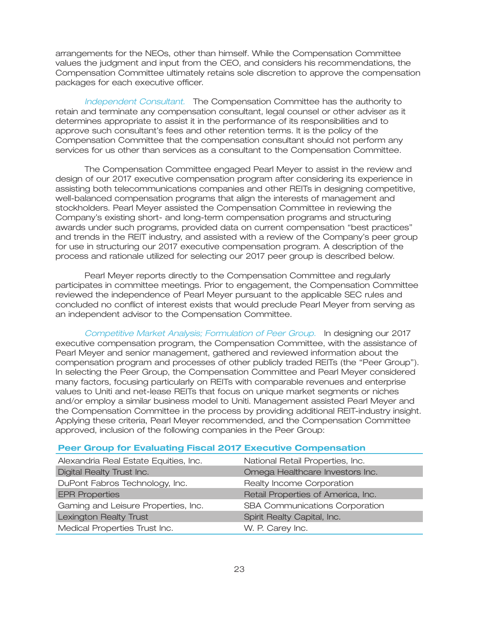arrangements for the NEOs, other than himself. While the Compensation Committee values the judgment and input from the CEO, and considers his recommendations, the Compensation Committee ultimately retains sole discretion to approve the compensation packages for each executive officer.

Independent Consultant. The Compensation Committee has the authority to retain and terminate any compensation consultant, legal counsel or other adviser as it determines appropriate to assist it in the performance of its responsibilities and to approve such consultant's fees and other retention terms. It is the policy of the Compensation Committee that the compensation consultant should not perform any services for us other than services as a consultant to the Compensation Committee.

The Compensation Committee engaged Pearl Meyer to assist in the review and design of our 2017 executive compensation program after considering its experience in assisting both telecommunications companies and other REITs in designing competitive, well-balanced compensation programs that align the interests of management and stockholders. Pearl Meyer assisted the Compensation Committee in reviewing the Company's existing short- and long-term compensation programs and structuring awards under such programs, provided data on current compensation ''best practices'' and trends in the REIT industry, and assisted with a review of the Company's peer group for use in structuring our 2017 executive compensation program. A description of the process and rationale utilized for selecting our 2017 peer group is described below.

Pearl Meyer reports directly to the Compensation Committee and regularly participates in committee meetings. Prior to engagement, the Compensation Committee reviewed the independence of Pearl Meyer pursuant to the applicable SEC rules and concluded no conflict of interest exists that would preclude Pearl Meyer from serving as an independent advisor to the Compensation Committee.

Competitive Market Analysis; Formulation of Peer Group. In designing our 2017 executive compensation program, the Compensation Committee, with the assistance of Pearl Meyer and senior management, gathered and reviewed information about the compensation program and processes of other publicly traded REITs (the ''Peer Group''). In selecting the Peer Group, the Compensation Committee and Pearl Meyer considered many factors, focusing particularly on REITs with comparable revenues and enterprise values to Uniti and net-lease REITs that focus on unique market segments or niches and/or employ a similar business model to Uniti. Management assisted Pearl Meyer and the Compensation Committee in the process by providing additional REIT-industry insight. Applying these criteria, Pearl Meyer recommended, and the Compensation Committee approved, inclusion of the following companies in the Peer Group:

#### **Peer Group for Evaluating Fiscal 2017 Executive Compensation**

| National Retail Properties, Inc.   |
|------------------------------------|
| Omega Healthcare Investors Inc.    |
| Realty Income Corporation          |
| Retail Properties of America, Inc. |
| SBA Communications Corporation     |
| Spirit Realty Capital, Inc.        |
|                                    |
|                                    |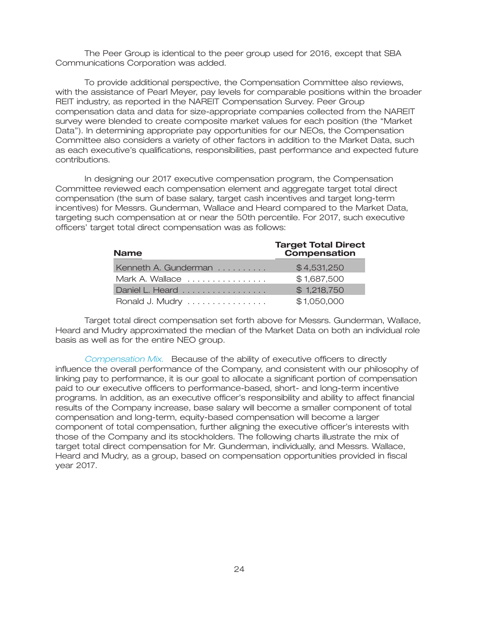The Peer Group is identical to the peer group used for 2016, except that SBA Communications Corporation was added.

To provide additional perspective, the Compensation Committee also reviews, with the assistance of Pearl Meyer, pay levels for comparable positions within the broader REIT industry, as reported in the NAREIT Compensation Survey. Peer Group compensation data and data for size-appropriate companies collected from the NAREIT survey were blended to create composite market values for each position (the ''Market Data''). In determining appropriate pay opportunities for our NEOs, the Compensation Committee also considers a variety of other factors in addition to the Market Data, such as each executive's qualifications, responsibilities, past performance and expected future contributions.

In designing our 2017 executive compensation program, the Compensation Committee reviewed each compensation element and aggregate target total direct compensation (the sum of base salary, target cash incentives and target long-term incentives) for Messrs. Gunderman, Wallace and Heard compared to the Market Data, targeting such compensation at or near the 50th percentile. For 2017, such executive officers' target total direct compensation was as follows:

| <b>Name</b>          | <b>Target Total Direct</b><br>Compensation |
|----------------------|--------------------------------------------|
| Kenneth A. Gunderman | \$4,531,250                                |
| Mark A. Wallace      | \$1,687,500                                |
| Daniel L. Heard      | \$1,218,750                                |
| Ronald J. Mudry      | \$1,050,000                                |

Target total direct compensation set forth above for Messrs. Gunderman, Wallace, Heard and Mudry approximated the median of the Market Data on both an individual role basis as well as for the entire NEO group.

Compensation Mix. Because of the ability of executive officers to directly influence the overall performance of the Company, and consistent with our philosophy of linking pay to performance, it is our goal to allocate a significant portion of compensation paid to our executive officers to performance-based, short- and long-term incentive programs. In addition, as an executive officer's responsibility and ability to affect financial results of the Company increase, base salary will become a smaller component of total compensation and long-term, equity-based compensation will become a larger component of total compensation, further aligning the executive officer's interests with those of the Company and its stockholders. The following charts illustrate the mix of target total direct compensation for Mr. Gunderman, individually, and Messrs. Wallace, Heard and Mudry, as a group, based on compensation opportunities provided in fiscal year 2017.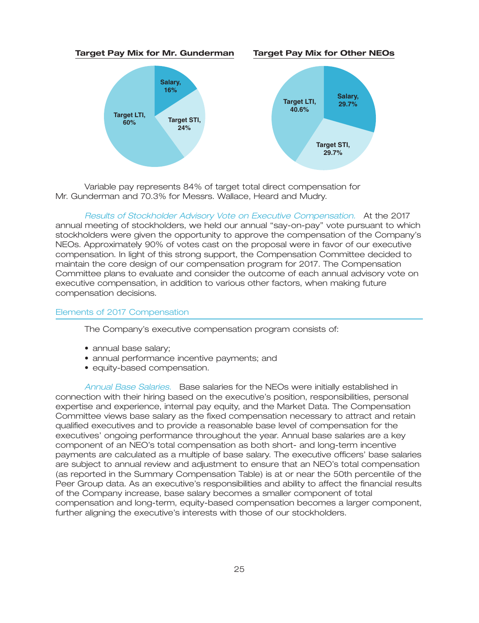#### **Target Pay Mix for Mr. Gunderman Target Pay Mix for Other NEOs**





Variable pay represents 84% of target total direct compensation for Mr. Gunderman and 70.3% for Messrs. Wallace, Heard and Mudry.

Results of Stockholder Advisory Vote on Executive Compensation. At the 2017 annual meeting of stockholders, we held our annual ''say-on-pay'' vote pursuant to which stockholders were given the opportunity to approve the compensation of the Company's NEOs. Approximately 90% of votes cast on the proposal were in favor of our executive compensation. In light of this strong support, the Compensation Committee decided to maintain the core design of our compensation program for 2017. The Compensation Committee plans to evaluate and consider the outcome of each annual advisory vote on executive compensation, in addition to various other factors, when making future compensation decisions.

#### Elements of 2017 Compensation

The Company's executive compensation program consists of:

- annual base salary;
- annual performance incentive payments; and
- equity-based compensation.

Annual Base Salaries. Base salaries for the NEOs were initially established in connection with their hiring based on the executive's position, responsibilities, personal expertise and experience, internal pay equity, and the Market Data. The Compensation Committee views base salary as the fixed compensation necessary to attract and retain qualified executives and to provide a reasonable base level of compensation for the executives' ongoing performance throughout the year. Annual base salaries are a key component of an NEO's total compensation as both short- and long-term incentive payments are calculated as a multiple of base salary. The executive officers' base salaries are subject to annual review and adjustment to ensure that an NEO's total compensation (as reported in the Summary Compensation Table) is at or near the 50th percentile of the Peer Group data. As an executive's responsibilities and ability to affect the financial results of the Company increase, base salary becomes a smaller component of total compensation and long-term, equity-based compensation becomes a larger component, further aligning the executive's interests with those of our stockholders.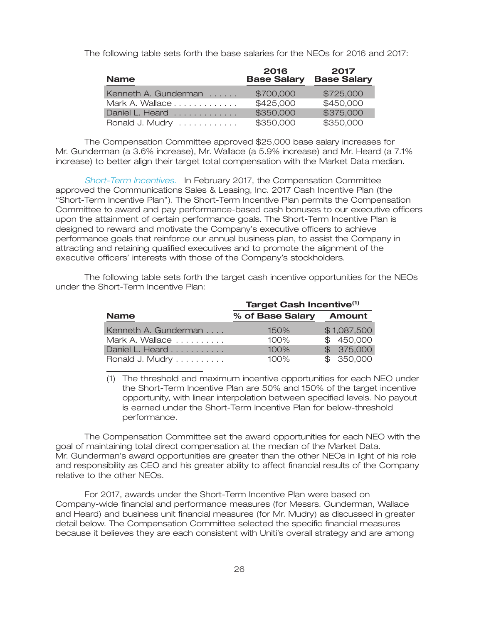The following table sets forth the base salaries for the NEOs for 2016 and 2017:

| <b>Name</b>          | 2016<br><b>Base Salary</b> | 2017<br><b>Base Salary</b> |  |
|----------------------|----------------------------|----------------------------|--|
| Kenneth A. Gunderman | \$700,000                  | \$725,000                  |  |
| Mark A. Wallace      | \$425,000                  | \$450,000                  |  |
| Daniel L. Heard      | \$350,000                  | \$375,000                  |  |
| Ronald J. Mudry      | \$350,000                  | \$350,000                  |  |

The Compensation Committee approved \$25,000 base salary increases for Mr. Gunderman (a 3.6% increase), Mr. Wallace (a 5.9% increase) and Mr. Heard (a 7.1% increase) to better align their target total compensation with the Market Data median.

*Short-Term Incentives.* In February 2017, the Compensation Committee approved the Communications Sales & Leasing, Inc. 2017 Cash Incentive Plan (the ''Short-Term Incentive Plan''). The Short-Term Incentive Plan permits the Compensation Committee to award and pay performance-based cash bonuses to our executive officers upon the attainment of certain performance goals. The Short-Term Incentive Plan is designed to reward and motivate the Company's executive officers to achieve performance goals that reinforce our annual business plan, to assist the Company in attracting and retaining qualified executives and to promote the alignment of the executive officers' interests with those of the Company's stockholders.

The following table sets forth the target cash incentive opportunities for the NEOs under the Short-Term Incentive Plan:

|                      | Target Cash Incentive <sup>(1)</sup> |             |  |  |  |
|----------------------|--------------------------------------|-------------|--|--|--|
| <b>Name</b>          | % of Base Salary                     | Amount      |  |  |  |
| Kenneth A. Gunderman | 150%                                 | \$1,087,500 |  |  |  |
| Mark A. Wallace      | 100%                                 | \$450,000   |  |  |  |
| Daniel L. Heard      | 100%                                 | \$375,000   |  |  |  |
| Ronald J. Mudry      | 100%                                 | \$ 350,000  |  |  |  |

(1) The threshold and maximum incentive opportunities for each NEO under the Short-Term Incentive Plan are 50% and 150% of the target incentive opportunity, with linear interpolation between specified levels. No payout is earned under the Short-Term Incentive Plan for below-threshold performance.

The Compensation Committee set the award opportunities for each NEO with the goal of maintaining total direct compensation at the median of the Market Data. Mr. Gunderman's award opportunities are greater than the other NEOs in light of his role and responsibility as CEO and his greater ability to affect financial results of the Company relative to the other NEOs.

For 2017, awards under the Short-Term Incentive Plan were based on Company-wide financial and performance measures (for Messrs. Gunderman, Wallace and Heard) and business unit financial measures (for Mr. Mudry) as discussed in greater detail below. The Compensation Committee selected the specific financial measures because it believes they are each consistent with Uniti's overall strategy and are among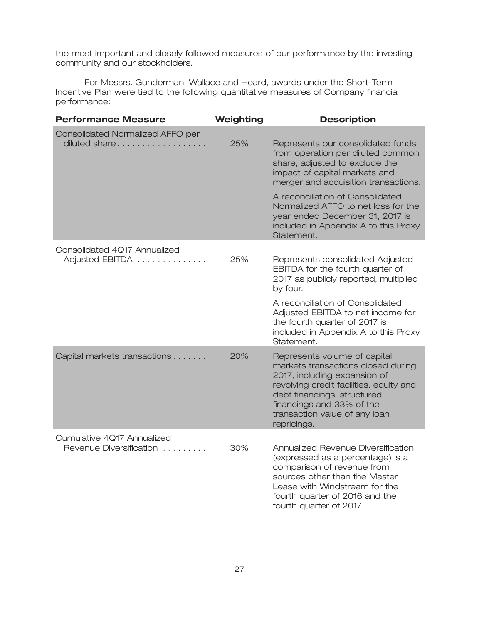the most important and closely followed measures of our performance by the investing community and our stockholders.

For Messrs. Gunderman, Wallace and Heard, awards under the Short-Term Incentive Plan were tied to the following quantitative measures of Company financial performance:

| <b>Performance Measure</b>                            | Weighting | <b>Description</b>                                                                                                                                                                                                                                        |
|-------------------------------------------------------|-----------|-----------------------------------------------------------------------------------------------------------------------------------------------------------------------------------------------------------------------------------------------------------|
| Consolidated Normalized AFFO per<br>diluted share     | 25%       | Represents our consolidated funds<br>from operation per diluted common<br>share, adjusted to exclude the<br>impact of capital markets and<br>merger and acquisition transactions.                                                                         |
|                                                       |           | A reconciliation of Consolidated<br>Normalized AFFO to net loss for the<br>year ended December 31, 2017 is<br>included in Appendix A to this Proxy<br>Statement.                                                                                          |
| Consolidated 4Q17 Annualized<br>Adjusted EBITDA       | 25%       | Represents consolidated Adjusted<br>EBITDA for the fourth quarter of<br>2017 as publicly reported, multiplied<br>by four.                                                                                                                                 |
|                                                       |           | A reconciliation of Consolidated<br>Adjusted EBITDA to net income for<br>the fourth quarter of 2017 is<br>included in Appendix A to this Proxy<br>Statement.                                                                                              |
| Capital markets transactions                          | 20%       | Represents volume of capital<br>markets transactions closed during<br>2017, including expansion of<br>revolving credit facilities, equity and<br>debt financings, structured<br>financings and 33% of the<br>transaction value of any loan<br>repricings. |
| Cumulative 4Q17 Annualized<br>Revenue Diversification | 30%       | Annualized Revenue Diversification<br>(expressed as a percentage) is a<br>comparison of revenue from<br>sources other than the Master<br>Lease with Windstream for the<br>fourth quarter of 2016 and the<br>fourth quarter of 2017.                       |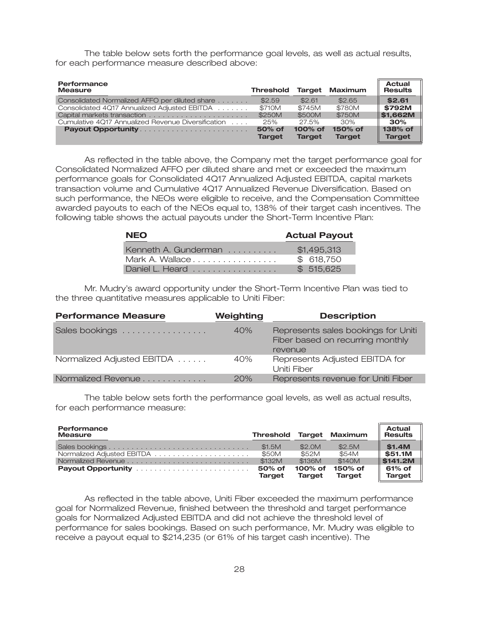The table below sets forth the performance goal levels, as well as actual results, for each performance measure described above:

| Performance<br><b>Measure</b>                      | <b>Threshold</b>        | <b>Target</b>               | Maximum                  | <b>Actual</b><br><b>Results</b> |
|----------------------------------------------------|-------------------------|-----------------------------|--------------------------|---------------------------------|
| Consolidated Normalized AFFO per diluted share     | \$2.59                  | \$2.61                      | \$2.65                   | \$2.61                          |
| Consolidated 4Q17 Annualized Adjusted EBITDA       | \$710M                  | \$745M                      | \$780M                   | \$792M                          |
|                                                    | \$250M                  | \$500M                      | \$750M                   | \$1.662M                        |
| Cumulative 4Q17 Annualized Revenue Diversification | 25%                     | 27.5%                       | 30%                      | 30%                             |
| Payout Opportunity                                 | 50% of<br><b>Target</b> | $100\%$ of<br><b>Target</b> | 150% of<br><b>Target</b> | 138% of<br><b>Target</b>        |

As reflected in the table above, the Company met the target performance goal for Consolidated Normalized AFFO per diluted share and met or exceeded the maximum performance goals for Consolidated 4Q17 Annualized Adjusted EBITDA, capital markets transaction volume and Cumulative 4Q17 Annualized Revenue Diversification. Based on such performance, the NEOs were eligible to receive, and the Compensation Committee awarded payouts to each of the NEOs equal to, 138% of their target cash incentives. The following table shows the actual payouts under the Short-Term Incentive Plan:

| <b>NEO</b>           | <b>Actual Payout</b> |
|----------------------|----------------------|
| Kenneth A. Gunderman | \$1,495,313          |
| Mark A. Wallace      | \$ 618,750           |
| Daniel L. Heard      | \$515.625            |

Mr. Mudry's award opportunity under the Short-Term Incentive Plan was tied to the three quantitative measures applicable to Uniti Fiber:

| <b>Performance Measure</b> | Weighting | <b>Description</b>                                                                 |
|----------------------------|-----------|------------------------------------------------------------------------------------|
| Sales bookings             | 40%       | Represents sales bookings for Uniti<br>Fiber based on recurring monthly<br>revenue |
| Normalized Adjusted EBITDA | 40%       | Represents Adjusted EBITDA for<br>Uniti Fiber                                      |
| Normalized Revenue         | 20%       | Represents revenue for Uniti Fiber                                                 |

The table below sets forth the performance goal levels, as well as actual results, for each performance measure:

| Performance<br><b>Measure</b> | <b>Threshold Target Maximum</b> |                          |                          | Actual<br><b>Results</b> |
|-------------------------------|---------------------------------|--------------------------|--------------------------|--------------------------|
|                               | \$1.5M                          | \$2.0M                   | \$2.5M                   | \$1.4M                   |
|                               | \$50M                           | \$52M                    | \$54M                    | \$51.1M                  |
|                               | \$132M                          | \$136M                   | \$140M                   | ∥ \$141.2M               |
|                               | 50% of<br><b>Target</b>         | 100% of<br><b>Target</b> | 150% of<br><b>Target</b> | 61% of<br><b>Target</b>  |

As reflected in the table above, Uniti Fiber exceeded the maximum performance goal for Normalized Revenue, finished between the threshold and target performance goals for Normalized Adjusted EBITDA and did not achieve the threshold level of performance for sales bookings. Based on such performance, Mr. Mudry was eligible to receive a payout equal to \$214,235 (or 61% of his target cash incentive). The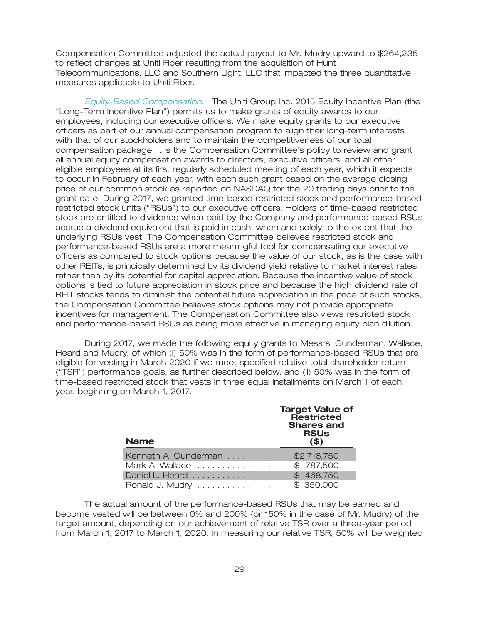Compensation Committee adjusted the actual payout to Mr. Mudry upward to \$264,235 to reflect changes at Uniti Fiber resulting from the acquisition of Hunt Telecommunications, LLC and Southern Light, LLC that impacted the three quantitative measures applicable to Uniti Fiber.

Equity-Based Compensation. The Uniti Group Inc. 2015 Equity Incentive Plan (the ''Long-Term Incentive Plan'') permits us to make grants of equity awards to our employees, including our executive officers. We make equity grants to our executive officers as part of our annual compensation program to align their long-term interests with that of our stockholders and to maintain the competitiveness of our total compensation package. It is the Compensation Committee's policy to review and grant all annual equity compensation awards to directors, executive officers, and all other eligible employees at its first regularly scheduled meeting of each year, which it expects to occur in February of each year, with each such grant based on the average closing price of our common stock as reported on NASDAQ for the 20 trading days prior to the grant date. During 2017, we granted time-based restricted stock and performance-based restricted stock units (''RSUs'') to our executive officers. Holders of time-based restricted stock are entitled to dividends when paid by the Company and performance-based RSUs accrue a dividend equivalent that is paid in cash, when and solely to the extent that the underlying RSUs vest. The Compensation Committee believes restricted stock and performance-based RSUs are a more meaningful tool for compensating our executive officers as compared to stock options because the value of our stock, as is the case with other REITs, is principally determined by its dividend yield relative to market interest rates rather than by its potential for capital appreciation. Because the incentive value of stock options is tied to future appreciation in stock price and because the high dividend rate of REIT stocks tends to diminish the potential future appreciation in the price of such stocks, the Compensation Committee believes stock options may not provide appropriate incentives for management. The Compensation Committee also views restricted stock and performance-based RSUs as being more effective in managing equity plan dilution.

During 2017, we made the following equity grants to Messrs. Gunderman, Wallace, Heard and Mudry, of which (i) 50% was in the form of performance-based RSUs that are eligible for vesting in March 2020 if we meet specified relative total shareholder return (''TSR'') performance goals, as further described below, and (ii) 50% was in the form of time-based restricted stock that vests in three equal installments on March 1 of each year, beginning on March 1, 2017.

| <b>Name</b>          | <b>Target Value of</b><br>Restricted<br><b>Shares and</b><br><b>RSUs</b><br>(5) |
|----------------------|---------------------------------------------------------------------------------|
| Kenneth A. Gunderman | \$2,718,750                                                                     |
| Mark A. Wallace      | \$787,500                                                                       |
| Daniel L. Heard      | \$468,750                                                                       |
| Ronald J. Mudry      | \$ 350,000                                                                      |

The actual amount of the performance-based RSUs that may be earned and become vested will be between 0% and 200% (or 150% in the case of Mr. Mudry) of the target amount, depending on our achievement of relative TSR over a three-year period from March 1, 2017 to March 1, 2020. In measuring our relative TSR, 50% will be weighted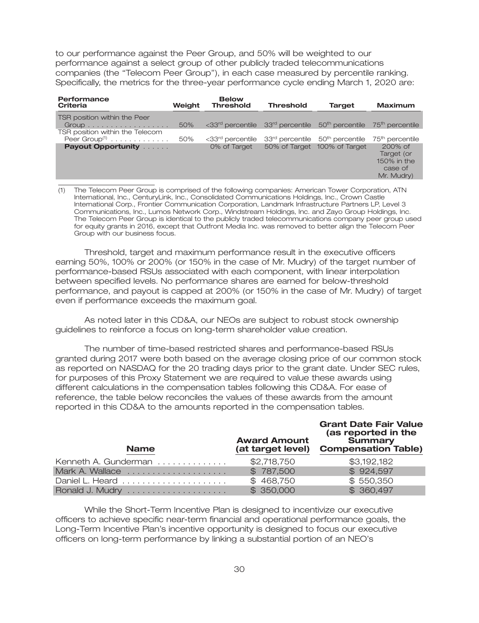to our performance against the Peer Group, and 50% will be weighted to our performance against a select group of other publicly traded telecommunications companies (the ''Telecom Peer Group''), in each case measured by percentile ranking. Specifically, the metrics for the three-year performance cycle ending March 1, 2020 are:

| <b>Performance</b><br><b>Criteria</b>                                                      | Weight | <b>Below</b><br><b>Threshold</b>                                                                                        | <b>Threshold</b>                                        | <b>Target</b>                | <b>Maximum</b>                                                  |
|--------------------------------------------------------------------------------------------|--------|-------------------------------------------------------------------------------------------------------------------------|---------------------------------------------------------|------------------------------|-----------------------------------------------------------------|
| TSR position within the Peer<br>$Group \ldots \ldots \ldots \ldots$                        | 50%    | $\langle 33^{\text{rd}}$ percentile $33^{\text{rd}}$ percentile $50^{\text{th}}$ percentile $75^{\text{th}}$ percentile |                                                         |                              |                                                                 |
| TSR position within the Telecom<br>Peer Group <sup>(1)</sup> $\ldots \ldots \ldots \ldots$ | 50%    | <33rd percentile                                                                                                        | 33 <sup>rd</sup> percentile 50 <sup>th</sup> percentile |                              | 75 <sup>th</sup> percentile                                     |
| <b>Payout Opportunity Administration</b>                                                   |        | 0% of Target                                                                                                            |                                                         | 50% of Target 100% of Target | $200%$ of<br>Target (or<br>150% in the<br>case of<br>Mr. Mudry) |

(1) The Telecom Peer Group is comprised of the following companies: American Tower Corporation, ATN International, Inc., CenturyLink, Inc., Consolidated Communications Holdings, Inc., Crown Castle International Corp., Frontier Communication Corporation, Landmark Infrastructure Partners LP, Level 3 Communications, Inc., Lumos Network Corp., Windstream Holdings, Inc. and Zayo Group Holdings, Inc. The Telecom Peer Group is identical to the publicly traded telecommunications company peer group used for equity grants in 2016, except that Outfront Media Inc. was removed to better align the Telecom Peer Group with our business focus.

Threshold, target and maximum performance result in the executive officers earning 50%, 100% or 200% (or 150% in the case of Mr. Mudry) of the target number of performance-based RSUs associated with each component, with linear interpolation between specified levels. No performance shares are earned for below-threshold performance, and payout is capped at 200% (or 150% in the case of Mr. Mudry) of target even if performance exceeds the maximum goal.

As noted later in this CD&A, our NEOs are subject to robust stock ownership guidelines to reinforce a focus on long-term shareholder value creation.

The number of time-based restricted shares and performance-based RSUs granted during 2017 were both based on the average closing price of our common stock as reported on NASDAQ for the 20 trading days prior to the grant date. Under SEC rules, for purposes of this Proxy Statement we are required to value these awards using different calculations in the compensation tables following this CD&A. For ease of reference, the table below reconciles the values of these awards from the amount reported in this CD&A to the amounts reported in the compensation tables.

| <b>Name</b>          | <b>Award Amount</b><br>(at target level) | <b>Grant Date Fair Value</b><br>(as reported in the<br><b>Summary</b><br><b>Compensation Table)</b> |
|----------------------|------------------------------------------|-----------------------------------------------------------------------------------------------------|
| Kenneth A. Gunderman | \$2,718,750                              | \$3,192,182                                                                                         |
| Mark A. Wallace      | \$787,500                                | \$924,597                                                                                           |
|                      | \$468,750                                | \$550,350                                                                                           |
|                      | \$350,000                                | \$360,497                                                                                           |

While the Short-Term Incentive Plan is designed to incentivize our executive officers to achieve specific near-term financial and operational performance goals, the Long-Term Incentive Plan's incentive opportunity is designed to focus our executive officers on long-term performance by linking a substantial portion of an NEO's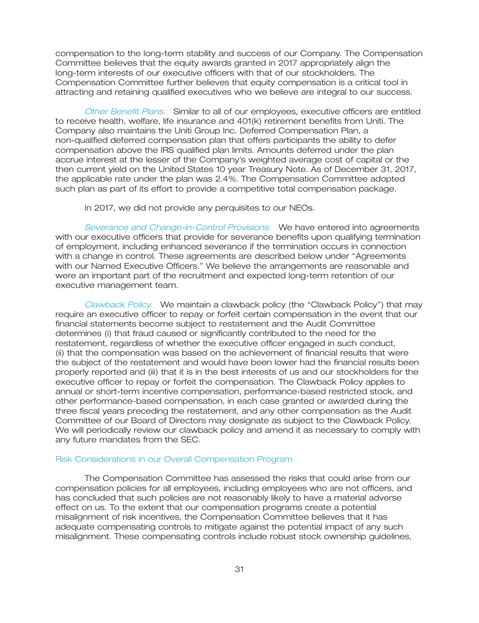compensation to the long-term stability and success of our Company. The Compensation Committee believes that the equity awards granted in 2017 appropriately align the long-term interests of our executive officers with that of our stockholders. The Compensation Committee further believes that equity compensation is a critical tool in attracting and retaining qualified executives who we believe are integral to our success.

Other Benefit Plans. Similar to all of our employees, executive officers are entitled to receive health, welfare, life insurance and 401(k) retirement benefits from Uniti. The Company also maintains the Uniti Group Inc. Deferred Compensation Plan, a non-qualified deferred compensation plan that offers participants the ability to defer compensation above the IRS qualified plan limits. Amounts deferred under the plan accrue interest at the lesser of the Company's weighted average cost of capital or the then current yield on the United States 10 year Treasury Note. As of December 31, 2017, the applicable rate under the plan was 2.4%. The Compensation Committee adopted such plan as part of its effort to provide a competitive total compensation package.

In 2017, we did not provide any perquisites to our NEOs.

Severance and Change-in-Control Provisions. We have entered into agreements with our executive officers that provide for severance benefits upon qualifying termination of employment, including enhanced severance if the termination occurs in connection with a change in control. These agreements are described below under ''Agreements with our Named Executive Officers." We believe the arrangements are reasonable and were an important part of the recruitment and expected long-term retention of our executive management team.

Clawback Policy. We maintain a clawback policy (the "Clawback Policy") that may require an executive officer to repay or forfeit certain compensation in the event that our financial statements become subject to restatement and the Audit Committee determines (i) that fraud caused or significantly contributed to the need for the restatement, regardless of whether the executive officer engaged in such conduct, (ii) that the compensation was based on the achievement of financial results that were the subject of the restatement and would have been lower had the financial results been properly reported and (iii) that it is in the best interests of us and our stockholders for the executive officer to repay or forfeit the compensation. The Clawback Policy applies to annual or short-term incentive compensation, performance-based restricted stock, and other performance-based compensation, in each case granted or awarded during the three fiscal years preceding the restatement, and any other compensation as the Audit Committee of our Board of Directors may designate as subject to the Clawback Policy. We will periodically review our clawback policy and amend it as necessary to comply with any future mandates from the SEC.

#### Risk Considerations in our Overall Compensation Program

The Compensation Committee has assessed the risks that could arise from our compensation policies for all employees, including employees who are not officers, and has concluded that such policies are not reasonably likely to have a material adverse effect on us. To the extent that our compensation programs create a potential misalignment of risk incentives, the Compensation Committee believes that it has adequate compensating controls to mitigate against the potential impact of any such misalignment. These compensating controls include robust stock ownership guidelines,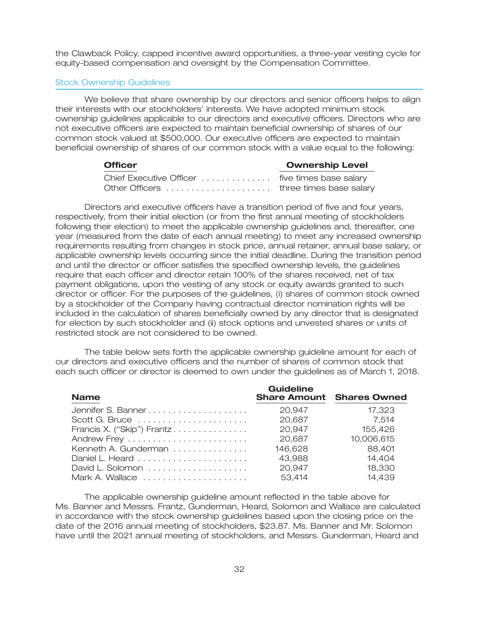the Clawback Policy, capped incentive award opportunities, a three-year vesting cycle for equity-based compensation and oversight by the Compensation Committee.

#### Stock Ownership Guidelines

We believe that share ownership by our directors and senior officers helps to align their interests with our stockholders' interests. We have adopted minimum stock ownership guidelines applicable to our directors and executive officers. Directors who are not executive officers are expected to maintain beneficial ownership of shares of our common stock valued at \$500,000. Our executive officers are expected to maintain beneficial ownership of shares of our common stock with a value equal to the following:

| <b>Officer</b>                          | <b>Ownership Level</b> |
|-----------------------------------------|------------------------|
|                                         |                        |
| Other Officers  three times base salary |                        |

Directors and executive officers have a transition period of five and four years, respectively, from their initial election (or from the first annual meeting of stockholders following their election) to meet the applicable ownership guidelines and, thereafter, one year (measured from the date of each annual meeting) to meet any increased ownership requirements resulting from changes in stock price, annual retainer, annual base salary, or applicable ownership levels occurring since the initial deadline. During the transition period and until the director or officer satisfies the specified ownership levels, the guidelines require that each officer and director retain 100% of the shares received, net of tax payment obligations, upon the vesting of any stock or equity awards granted to such director or officer. For the purposes of the guidelines, (i) shares of common stock owned by a stockholder of the Company having contractual director nomination rights will be included in the calculation of shares beneficially owned by any director that is designated for election by such stockholder and (ii) stock options and unvested shares or units of restricted stock are not considered to be owned.

The table below sets forth the applicable ownership guideline amount for each of our directors and executive officers and the number of shares of common stock that each such officer or director is deemed to own under the guidelines as of March 1, 2018.

| <b>Name</b>                | <b>Guideline</b> | <b>Share Amount Shares Owned</b> |
|----------------------------|------------------|----------------------------------|
|                            | 20.947           | 17,323                           |
|                            | 20,687           | 7,514                            |
| Francis X. ("Skip") Frantz | 20,947           | 155,426                          |
|                            | 20,687           | 10,006,615                       |
| Kenneth A. Gunderman       | 146,628          | 88,401                           |
|                            | 43,988           | 14,404                           |
| David L. Solomon           | 20,947           | 18,330                           |
| Mark A. Wallace            | 53,414           | 14,439                           |

The applicable ownership guideline amount reflected in the table above for Ms. Banner and Messrs. Frantz, Gunderman, Heard, Solomon and Wallace are calculated in accordance with the stock ownership guidelines based upon the closing price on the date of the 2016 annual meeting of stockholders, \$23.87. Ms. Banner and Mr. Solomon have until the 2021 annual meeting of stockholders, and Messrs. Gunderman, Heard and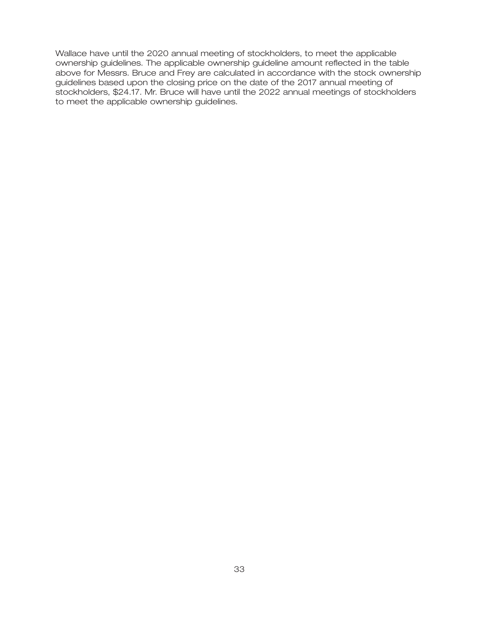Wallace have until the 2020 annual meeting of stockholders, to meet the applicable ownership guidelines. The applicable ownership guideline amount reflected in the table above for Messrs. Bruce and Frey are calculated in accordance with the stock ownership guidelines based upon the closing price on the date of the 2017 annual meeting of stockholders, \$24.17. Mr. Bruce will have until the 2022 annual meetings of stockholders to meet the applicable ownership guidelines.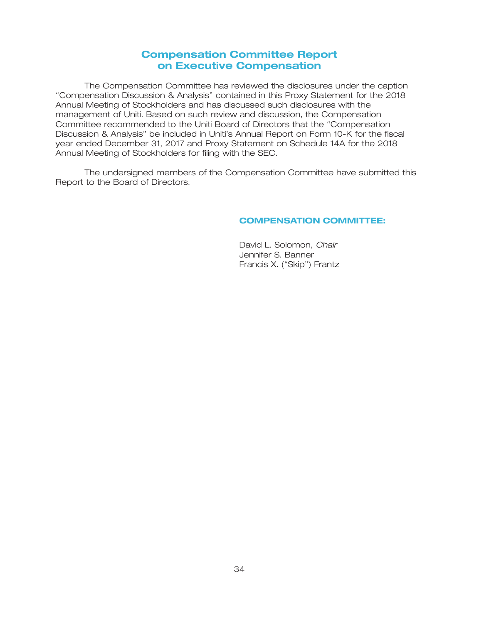## **Compensation Committee Report on Executive Compensation**

The Compensation Committee has reviewed the disclosures under the caption ''Compensation Discussion & Analysis'' contained in this Proxy Statement for the 2018 Annual Meeting of Stockholders and has discussed such disclosures with the management of Uniti. Based on such review and discussion, the Compensation Committee recommended to the Uniti Board of Directors that the ''Compensation Discussion & Analysis'' be included in Uniti's Annual Report on Form 10-K for the fiscal year ended December 31, 2017 and Proxy Statement on Schedule 14A for the 2018 Annual Meeting of Stockholders for filing with the SEC.

The undersigned members of the Compensation Committee have submitted this Report to the Board of Directors.

### **COMPENSATION COMMITTEE:**

David L. Solomon, *Chair* Jennifer S. Banner Francis X. ("Skip") Frantz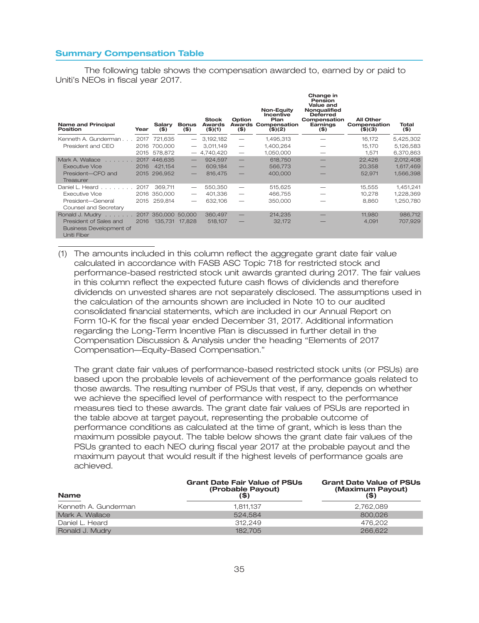#### **Summary Compensation Table**

The following table shows the compensation awarded to, earned by or paid to Uniti's NEOs in fiscal year 2017.

| <b>Name and Principal</b><br>Position                                   | Year | Salary<br>$($ \$) | <b>Bonus</b><br>$($ \$)         | <b>Stock</b><br>Awards<br>$($ \$)(1) | Option<br>$($ \$)        | Non-Equity<br><b>Incentive</b><br>Plan<br><b>Awards Compensation</b><br>$($ \$)(2) | Change in<br>Pension<br>Value and<br><b>Nongualified</b><br><b>Deferred</b><br>Compensation<br>Earnings<br>$($ \$) | <b>All Other</b><br>Compensation<br>$($ \$) $($ 3) | Total<br>$($ \$) |
|-------------------------------------------------------------------------|------|-------------------|---------------------------------|--------------------------------------|--------------------------|------------------------------------------------------------------------------------|--------------------------------------------------------------------------------------------------------------------|----------------------------------------------------|------------------|
| Kenneth A. Gunderman                                                    |      | 2017 721.635      |                                 | 3.192.182                            |                          | 1,495,313                                                                          |                                                                                                                    | 16.172                                             | 5,425,302        |
| President and CEO                                                       | 2016 | 700.000           |                                 | 3.011.149                            | $\overline{\phantom{m}}$ | 1,400,264                                                                          |                                                                                                                    | 15,170                                             | 5,126,583        |
|                                                                         | 2015 | 578.872           |                                 | $-4,740,420$                         | $\overline{\phantom{m}}$ | 1,050,000                                                                          |                                                                                                                    | 1.571                                              | 6,370,863        |
| Mark A. Wallace                                                         |      | 2017 446,635      | $\qquad \qquad -$               | 924,597                              | $\overline{\phantom{m}}$ | 618,750                                                                            |                                                                                                                    | 22,426                                             | 2,012,408        |
| <b>Executive Vice</b>                                                   | 2016 | 421.154           | $\qquad \qquad -$               | 609.184                              |                          | 566,773                                                                            |                                                                                                                    | 20.358                                             | 1.617.469        |
| President-CFO and<br>Treasurer                                          |      | 2015 296.952      | $\qquad \qquad -$               | 816,475                              |                          | 400,000                                                                            |                                                                                                                    | 52,971                                             | 1,566,398        |
| Daniel L. Heard $\ldots$ , $\ldots$                                     | 2017 | 369.711           | $\hspace{0.1mm}-\hspace{0.1mm}$ | 550,350                              |                          | 515,625                                                                            |                                                                                                                    | 15,555                                             | 1,451,241        |
| <b>Executive Vice</b>                                                   |      | 2016 350,000      | $\hspace{0.05cm}$               | 401.336                              |                          | 466.755                                                                            |                                                                                                                    | 10,278                                             | 1,228,369        |
| President-General<br>Counsel and Secretary                              | 2015 | 259.814           | $\overline{\phantom{m}}$        | 632,106                              |                          | 350,000                                                                            |                                                                                                                    | 8.860                                              | 1,250,780        |
| Ronald J. Mudry                                                         | 2017 | 350,000           | 50,000                          | 360,497                              |                          | 214.235                                                                            |                                                                                                                    | 11.980                                             | 986,712          |
| President of Sales and<br><b>Business Development of</b><br>Uniti Fiber | 2016 | 135,731           | 17.828                          | 518,107                              |                          | 32,172                                                                             |                                                                                                                    | 4,091                                              | 707,929          |

(1) The amounts included in this column reflect the aggregate grant date fair value calculated in accordance with FASB ASC Topic 718 for restricted stock and performance-based restricted stock unit awards granted during 2017. The fair values in this column reflect the expected future cash flows of dividends and therefore dividends on unvested shares are not separately disclosed. The assumptions used in the calculation of the amounts shown are included in Note 10 to our audited consolidated financial statements, which are included in our Annual Report on Form 10-K for the fiscal year ended December 31, 2017. Additional information regarding the Long-Term Incentive Plan is discussed in further detail in the Compensation Discussion & Analysis under the heading ''Elements of 2017 Compensation—Equity-Based Compensation.''

The grant date fair values of performance-based restricted stock units (or PSUs) are based upon the probable levels of achievement of the performance goals related to those awards. The resulting number of PSUs that vest, if any, depends on whether we achieve the specified level of performance with respect to the performance measures tied to these awards. The grant date fair values of PSUs are reported in the table above at target payout, representing the probable outcome of performance conditions as calculated at the time of grant, which is less than the maximum possible payout. The table below shows the grant date fair values of the PSUs granted to each NEO during fiscal year 2017 at the probable payout and the maximum payout that would result if the highest levels of performance goals are achieved.

| <b>Name</b>          | <b>Grant Date Fair Value of PSUs</b><br>(Probable Payout)<br>(\$) | <b>Grant Date Value of PSUs</b><br>(Maximum Payout)<br>(\$) |  |  |
|----------------------|-------------------------------------------------------------------|-------------------------------------------------------------|--|--|
| Kenneth A. Gunderman | 1.811.137                                                         | 2,762,089                                                   |  |  |
| Mark A. Wallace      | 524.584                                                           | 800,026                                                     |  |  |
| Daniel L. Heard      | 312.249                                                           | 476.202                                                     |  |  |
| Ronald J. Mudry      | 182.705                                                           | 266,622                                                     |  |  |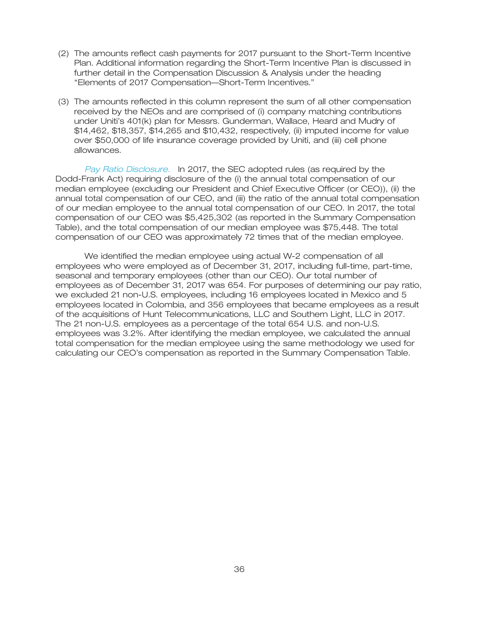- (2) The amounts reflect cash payments for 2017 pursuant to the Short-Term Incentive Plan. Additional information regarding the Short-Term Incentive Plan is discussed in further detail in the Compensation Discussion & Analysis under the heading ''Elements of 2017 Compensation—Short-Term Incentives.''
- (3) The amounts reflected in this column represent the sum of all other compensation received by the NEOs and are comprised of (i) company matching contributions under Uniti's 401(k) plan for Messrs. Gunderman, Wallace, Heard and Mudry of \$14,462, \$18,357, \$14,265 and \$10,432, respectively, (ii) imputed income for value over \$50,000 of life insurance coverage provided by Uniti, and (iii) cell phone allowances.

Pay Ratio Disclosure. In 2017, the SEC adopted rules (as required by the Dodd-Frank Act) requiring disclosure of the (i) the annual total compensation of our median employee (excluding our President and Chief Executive Officer (or CEO)), (ii) the annual total compensation of our CEO, and (iii) the ratio of the annual total compensation of our median employee to the annual total compensation of our CEO. In 2017, the total compensation of our CEO was \$5,425,302 (as reported in the Summary Compensation Table), and the total compensation of our median employee was \$75,448. The total compensation of our CEO was approximately 72 times that of the median employee.

We identified the median employee using actual W-2 compensation of all employees who were employed as of December 31, 2017, including full-time, part-time, seasonal and temporary employees (other than our CEO). Our total number of employees as of December 31, 2017 was 654. For purposes of determining our pay ratio, we excluded 21 non-U.S. employees, including 16 employees located in Mexico and 5 employees located in Colombia, and 356 employees that became employees as a result of the acquisitions of Hunt Telecommunications, LLC and Southern Light, LLC in 2017. The 21 non-U.S. employees as a percentage of the total 654 U.S. and non-U.S. employees was 3.2%. After identifying the median employee, we calculated the annual total compensation for the median employee using the same methodology we used for calculating our CEO's compensation as reported in the Summary Compensation Table.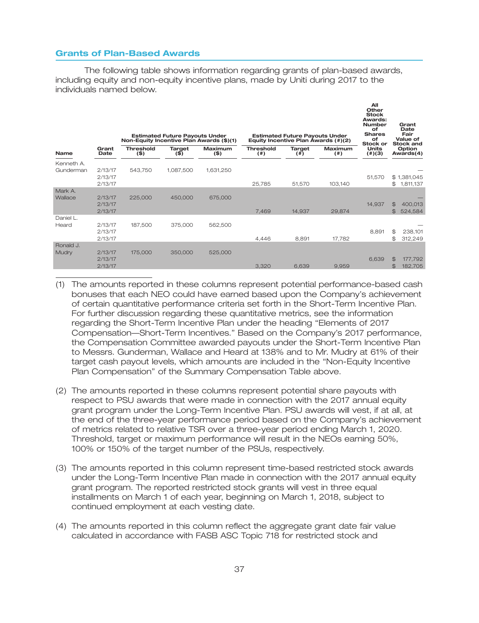### **Grants of Plan-Based Awards**

The following table shows information regarding grants of plan-based awards, including equity and non-equity incentive plans, made by Uniti during 2017 to the individuals named below.

|                         |                               | Non-Equity Incentive Plan Awards (\$)(1) | <b>Estimated Future Payouts Under</b> |                    |                            | <b>Estimated Future Payouts Under</b> | Equity Incentive Plan Awards (#)(2) | All<br>Other<br><b>Stock</b><br>Awards:<br><b>Number</b><br>of<br><b>Shares</b><br>of<br>Stock or | Grant<br>Date<br>Fair<br>Value of<br><b>Stock and</b>  |
|-------------------------|-------------------------------|------------------------------------------|---------------------------------------|--------------------|----------------------------|---------------------------------------|-------------------------------------|---------------------------------------------------------------------------------------------------|--------------------------------------------------------|
| <b>Name</b>             | Grant<br>Date                 | <b>Threshold</b><br>$($ \$)              | <b>Target</b><br>$($ \$)              | Maximum<br>$($ \$) | <b>Threshold</b><br>(  # ) | Target<br>$($ #)                      | <b>Maximum</b><br>(  # )            | <b>Units</b><br>(4)(3)                                                                            | Option<br>Awards(4)                                    |
| Kenneth A.<br>Gunderman | 2/13/17<br>2/13/17<br>2/13/17 | 543,750                                  | 1,087,500                             | 1,631,250          | 25,785                     | 51,570                                | 103,140                             | 51,570                                                                                            | \$1,381,045<br>1,811,137<br>\$                         |
| Mark A.<br>Wallace      | 2/13/17<br>2/13/17<br>2/13/17 | 225,000                                  | 450,000                               | 675,000            | 7,469                      | 14,937                                | 29,874                              | 14,937                                                                                            | $\mathfrak{B}$<br>400,013<br>524,584<br>\$             |
| Daniel L.<br>Heard      | 2/13/17<br>2/13/17<br>2/13/17 | 187,500                                  | 375,000                               | 562,500            | 4,446                      | 8,891                                 | 17,782                              | 8,891                                                                                             | 238,101<br>\$<br>\$<br>312,249                         |
| Ronald J.<br>Mudry      | 2/13/17<br>2/13/17<br>2/13/17 | 175,000                                  | 350,000                               | 525,000            | 3,320                      | 6,639                                 | 9,959                               | 6,639                                                                                             | $\mathfrak{B}$<br>177,792<br>$\mathfrak{B}$<br>182,705 |

- (1) The amounts reported in these columns represent potential performance-based cash bonuses that each NEO could have earned based upon the Company's achievement of certain quantitative performance criteria set forth in the Short-Term Incentive Plan. For further discussion regarding these quantitative metrics, see the information regarding the Short-Term Incentive Plan under the heading ''Elements of 2017 Compensation—Short-Term Incentives.'' Based on the Company's 2017 performance, the Compensation Committee awarded payouts under the Short-Term Incentive Plan to Messrs. Gunderman, Wallace and Heard at 138% and to Mr. Mudry at 61% of their target cash payout levels, which amounts are included in the ''Non-Equity Incentive Plan Compensation'' of the Summary Compensation Table above.
- (2) The amounts reported in these columns represent potential share payouts with respect to PSU awards that were made in connection with the 2017 annual equity grant program under the Long-Term Incentive Plan. PSU awards will vest, if at all, at the end of the three-year performance period based on the Company's achievement of metrics related to relative TSR over a three-year period ending March 1, 2020. Threshold, target or maximum performance will result in the NEOs earning 50%, 100% or 150% of the target number of the PSUs, respectively.
- (3) The amounts reported in this column represent time-based restricted stock awards under the Long-Term Incentive Plan made in connection with the 2017 annual equity grant program. The reported restricted stock grants will vest in three equal installments on March 1 of each year, beginning on March 1, 2018, subject to continued employment at each vesting date.
- (4) The amounts reported in this column reflect the aggregate grant date fair value calculated in accordance with FASB ASC Topic 718 for restricted stock and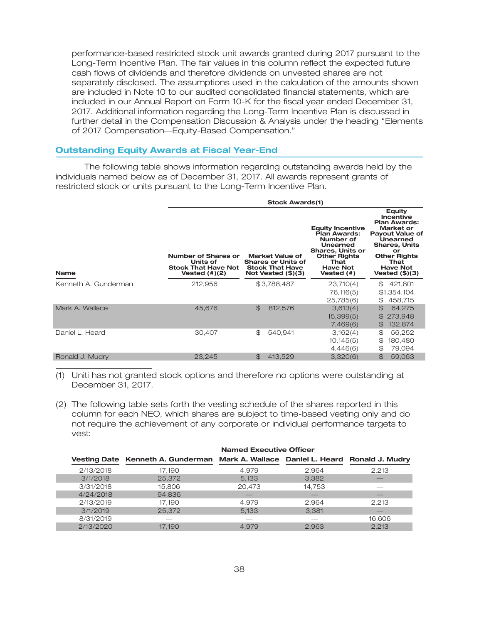performance-based restricted stock unit awards granted during 2017 pursuant to the Long-Term Incentive Plan. The fair values in this column reflect the expected future cash flows of dividends and therefore dividends on unvested shares are not separately disclosed. The assumptions used in the calculation of the amounts shown are included in Note 10 to our audited consolidated financial statements, which are included in our Annual Report on Form 10-K for the fiscal year ended December 31, 2017. Additional information regarding the Long-Term Incentive Plan is discussed in further detail in the Compensation Discussion & Analysis under the heading ''Elements of 2017 Compensation—Equity-Based Compensation.''

#### **Outstanding Equity Awards at Fiscal Year-End**

The following table shows information regarding outstanding awards held by the individuals named below as of December 31, 2017. All awards represent grants of restricted stock or units pursuant to the Long-Term Incentive Plan.

|                      | <b>Stock Awards(1)</b>                                                            |                                                                                                |                                                                                                                                                             |                                                                                                                                                                                                                 |  |  |  |  |
|----------------------|-----------------------------------------------------------------------------------|------------------------------------------------------------------------------------------------|-------------------------------------------------------------------------------------------------------------------------------------------------------------|-----------------------------------------------------------------------------------------------------------------------------------------------------------------------------------------------------------------|--|--|--|--|
| <b>Name</b>          | Number of Shares or<br>Units of<br><b>Stock That Have Not</b><br>Vested $(\#)(2)$ | Market Value of<br><b>Shares or Units of</b><br><b>Stock That Have</b><br>Not Vested $(\$)(3)$ | <b>Equity Incentive</b><br>Plan Awards:<br>Number of<br>Unearned<br><b>Shares, Units or</b><br><b>Other Rights</b><br>That<br><b>Have Not</b><br>Vested (#) | <b>Equity</b><br><b>Incentive</b><br><b>Plan Awards:</b><br>Market or<br><b>Payout Value of</b><br>Unearned<br><b>Shares, Units</b><br>or<br><b>Other Rights</b><br>That<br><b>Have Not</b><br>Vested $(\$)(3)$ |  |  |  |  |
| Kenneth A. Gunderman | 212,956                                                                           | \$3,788,487                                                                                    | 23,710(4)<br>76,116(5)<br>25,785(6)                                                                                                                         | 421,801<br>\$<br>\$1,354,104<br>458,715<br>\$                                                                                                                                                                   |  |  |  |  |
| Mark A. Wallace      | 45,676                                                                            | $\mathfrak{B}$<br>812,576                                                                      | 3,613(4)<br>15,399(5)<br>7,469(6)                                                                                                                           | $\mathfrak{S}$<br>64,275<br>\$273,948<br>132,874<br>$\mathbb{S}$                                                                                                                                                |  |  |  |  |
| Daniel L. Heard      | 30,407                                                                            | \$.<br>540,941                                                                                 | 3,162(4)<br>10,145(5)<br>4,446(6)                                                                                                                           | \$<br>56,252<br>\$<br>180,480<br>79,094<br>\$                                                                                                                                                                   |  |  |  |  |
| Ronald J. Mudry      | 23,245                                                                            | 413,529<br>$\mathbb{S}$                                                                        | 3,320(6)                                                                                                                                                    | \$<br>59,063                                                                                                                                                                                                    |  |  |  |  |

(1) Uniti has not granted stock options and therefore no options were outstanding at December 31, 2017.

(2) The following table sets forth the vesting schedule of the shares reported in this column for each NEO, which shares are subject to time-based vesting only and do not require the achievement of any corporate or individual performance targets to vest:

|           | <b>Named Executive Officer</b>                                                    |        |        |        |  |  |
|-----------|-----------------------------------------------------------------------------------|--------|--------|--------|--|--|
|           | Vesting Date Kenneth A. Gunderman Mark A. Wallace Daniel L. Heard Ronald J. Mudry |        |        |        |  |  |
| 2/13/2018 | 17.190                                                                            | 4.979  | 2.964  | 2,213  |  |  |
| 3/1/2018  | 25,372                                                                            | 5.133  | 3.382  |        |  |  |
| 3/31/2018 | 15,806                                                                            | 20,473 | 14,753 |        |  |  |
| 4/24/2018 | 94,836                                                                            |        |        |        |  |  |
| 2/13/2019 | 17.190                                                                            | 4.979  | 2.964  | 2.213  |  |  |
| 3/1/2019  | 25,372                                                                            | 5.133  | 3,381  |        |  |  |
| 8/31/2019 |                                                                                   |        |        | 16.606 |  |  |
| 2/13/2020 | 17.190                                                                            | 4.979  | 2,963  | 2,213  |  |  |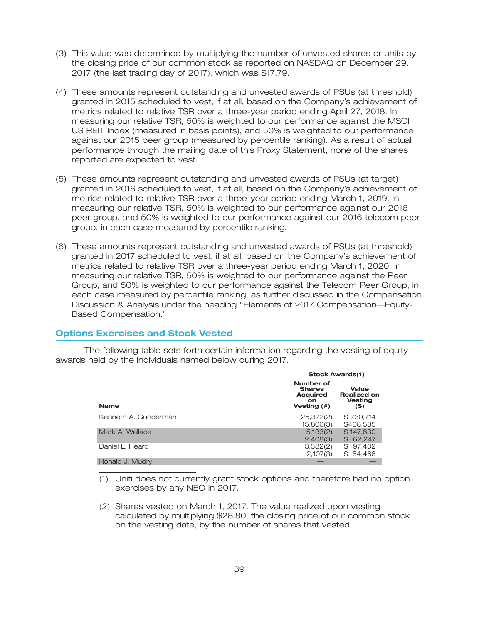- (3) This value was determined by multiplying the number of unvested shares or units by the closing price of our common stock as reported on NASDAQ on December 29, 2017 (the last trading day of 2017), which was \$17.79.
- (4) These amounts represent outstanding and unvested awards of PSUs (at threshold) granted in 2015 scheduled to vest, if at all, based on the Company's achievement of metrics related to relative TSR over a three-year period ending April 27, 2018. In measuring our relative TSR, 50% is weighted to our performance against the MSCI US REIT Index (measured in basis points), and 50% is weighted to our performance against our 2015 peer group (measured by percentile ranking). As a result of actual performance through the mailing date of this Proxy Statement, none of the shares reported are expected to vest.
- (5) These amounts represent outstanding and unvested awards of PSUs (at target) granted in 2016 scheduled to vest, if at all, based on the Company's achievement of metrics related to relative TSR over a three-year period ending March 1, 2019. In measuring our relative TSR, 50% is weighted to our performance against our 2016 peer group, and 50% is weighted to our performance against our 2016 telecom peer group, in each case measured by percentile ranking.
- (6) These amounts represent outstanding and unvested awards of PSUs (at threshold) granted in 2017 scheduled to vest, if at all, based on the Company's achievement of metrics related to relative TSR over a three-year period ending March 1, 2020. In measuring our relative TSR, 50% is weighted to our performance against the Peer Group, and 50% is weighted to our performance against the Telecom Peer Group, in each case measured by percentile ranking, as further discussed in the Compensation Discussion & Analysis under the heading ''Elements of 2017 Compensation—Equity-Based Compensation.''

#### **Options Exercises and Stock Vested**

The following table sets forth certain information regarding the vesting of equity awards held by the individuals named below during 2017.

|                      | <b>Stock Awards(1)</b>                                              |                                                       |  |  |
|----------------------|---------------------------------------------------------------------|-------------------------------------------------------|--|--|
| <b>Name</b>          | Number of<br><b>Shares</b><br><b>Acquired</b><br>on.<br>Vesting (#) | Value<br><b>Realized on</b><br><b>Vesting</b><br>(\$) |  |  |
| Kenneth A. Gunderman | 25,372(2)<br>15,806(3)                                              | \$730,714<br>\$408,585                                |  |  |
| Mark A. Wallace      | 5,133(2)<br>2,408(3)                                                | \$147,830<br>$\mathbb{B}$<br>62.247                   |  |  |
| Daniel L. Heard      | 3,382(2)<br>2,107(3)                                                | \$<br>97,402<br>54,466<br>\$.                         |  |  |
| Ronald J. Mudry      |                                                                     |                                                       |  |  |

(1) Uniti does not currently grant stock options and therefore had no option exercises by any NEO in 2017.

(2) Shares vested on March 1, 2017. The value realized upon vesting calculated by multiplying \$28.80, the closing price of our common stock on the vesting date, by the number of shares that vested.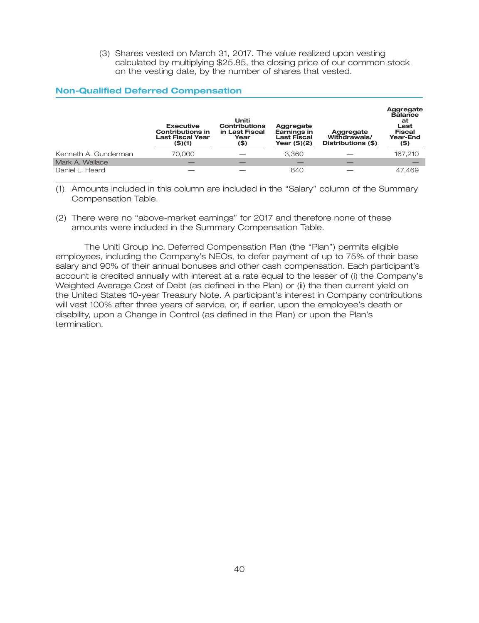(3) Shares vested on March 31, 2017. The value realized upon vesting calculated by multiplying \$25.85, the closing price of our common stock on the vesting date, by the number of shares that vested.

### **Non-Qualified Deferred Compensation**

|                      | <b>Executive</b><br><b>Contributions in</b><br><b>Last Fiscal Year</b><br>(\$)(1) | Uniti<br><b>Contributions</b><br>in Last Fiscal<br>Year<br>(\$) | Aggregate<br>Earnings in<br><b>Last Fiscal</b><br>Year $($)(2)$ | Aggregate<br>Withdrawals/<br>Distributions (\$) | Aggregate<br><b>Balance</b><br>at<br>Last<br><b>Fiscal</b><br>Year-End<br>$($ \$) |
|----------------------|-----------------------------------------------------------------------------------|-----------------------------------------------------------------|-----------------------------------------------------------------|-------------------------------------------------|-----------------------------------------------------------------------------------|
| Kenneth A. Gunderman | 70,000                                                                            |                                                                 | 3.360                                                           |                                                 | 167,210                                                                           |
| Mark A. Wallace      |                                                                                   |                                                                 |                                                                 |                                                 |                                                                                   |
| Daniel L. Heard      |                                                                                   |                                                                 | 840                                                             |                                                 | 47.469                                                                            |

(1) Amounts included in this column are included in the ''Salary'' column of the Summary Compensation Table.

(2) There were no ''above-market earnings'' for 2017 and therefore none of these amounts were included in the Summary Compensation Table.

The Uniti Group Inc. Deferred Compensation Plan (the ''Plan'') permits eligible employees, including the Company's NEOs, to defer payment of up to 75% of their base salary and 90% of their annual bonuses and other cash compensation. Each participant's account is credited annually with interest at a rate equal to the lesser of (i) the Company's Weighted Average Cost of Debt (as defined in the Plan) or (ii) the then current yield on the United States 10-year Treasury Note. A participant's interest in Company contributions will vest 100% after three years of service, or, if earlier, upon the employee's death or disability, upon a Change in Control (as defined in the Plan) or upon the Plan's termination.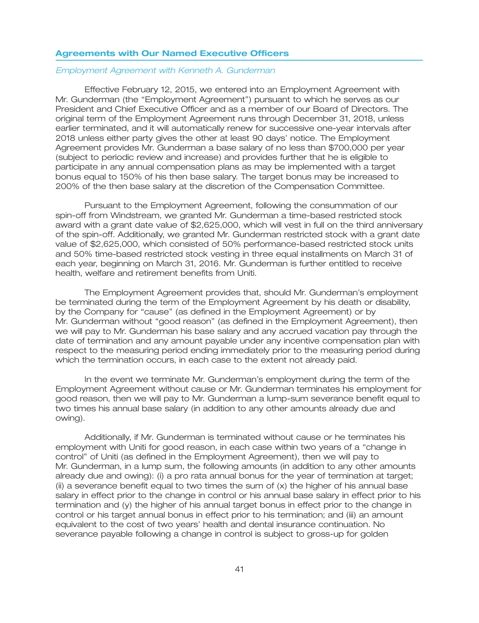### **Agreements with Our Named Executive Officers**

#### *Employment Agreement with Kenneth A. Gunderman*

Effective February 12, 2015, we entered into an Employment Agreement with Mr. Gunderman (the ''Employment Agreement'') pursuant to which he serves as our President and Chief Executive Officer and as a member of our Board of Directors. The original term of the Employment Agreement runs through December 31, 2018, unless earlier terminated, and it will automatically renew for successive one-year intervals after 2018 unless either party gives the other at least 90 days' notice. The Employment Agreement provides Mr. Gunderman a base salary of no less than \$700,000 per year (subject to periodic review and increase) and provides further that he is eligible to participate in any annual compensation plans as may be implemented with a target bonus equal to 150% of his then base salary. The target bonus may be increased to 200% of the then base salary at the discretion of the Compensation Committee.

Pursuant to the Employment Agreement, following the consummation of our spin-off from Windstream, we granted Mr. Gunderman a time-based restricted stock award with a grant date value of \$2,625,000, which will vest in full on the third anniversary of the spin-off. Additionally, we granted Mr. Gunderman restricted stock with a grant date value of \$2,625,000, which consisted of 50% performance-based restricted stock units and 50% time-based restricted stock vesting in three equal installments on March 31 of each year, beginning on March 31, 2016. Mr. Gunderman is further entitled to receive health, welfare and retirement benefits from Uniti.

The Employment Agreement provides that, should Mr. Gunderman's employment be terminated during the term of the Employment Agreement by his death or disability, by the Company for ''cause'' (as defined in the Employment Agreement) or by Mr. Gunderman without ''good reason'' (as defined in the Employment Agreement), then we will pay to Mr. Gunderman his base salary and any accrued vacation pay through the date of termination and any amount payable under any incentive compensation plan with respect to the measuring period ending immediately prior to the measuring period during which the termination occurs, in each case to the extent not already paid.

In the event we terminate Mr. Gunderman's employment during the term of the Employment Agreement without cause or Mr. Gunderman terminates his employment for good reason, then we will pay to Mr. Gunderman a lump-sum severance benefit equal to two times his annual base salary (in addition to any other amounts already due and owing).

Additionally, if Mr. Gunderman is terminated without cause or he terminates his employment with Uniti for good reason, in each case within two years of a ''change in control'' of Uniti (as defined in the Employment Agreement), then we will pay to Mr. Gunderman, in a lump sum, the following amounts (in addition to any other amounts already due and owing): (i) a pro rata annual bonus for the year of termination at target;  $(iii)$  a severance benefit equal to two times the sum of  $(x)$  the higher of his annual base salary in effect prior to the change in control or his annual base salary in effect prior to his termination and (y) the higher of his annual target bonus in effect prior to the change in control or his target annual bonus in effect prior to his termination; and (iii) an amount equivalent to the cost of two years' health and dental insurance continuation. No severance payable following a change in control is subject to gross-up for golden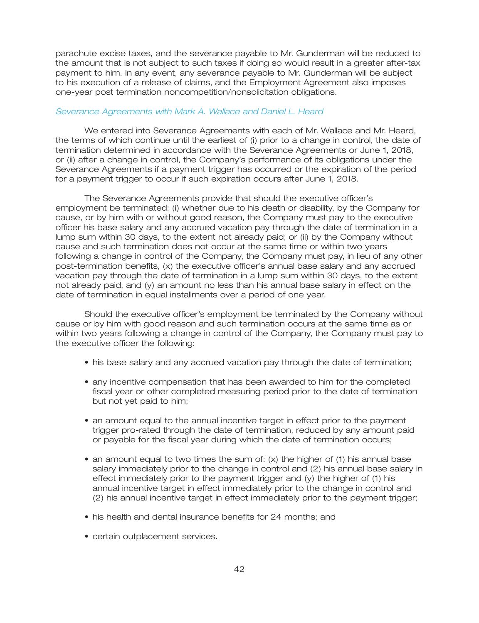parachute excise taxes, and the severance payable to Mr. Gunderman will be reduced to the amount that is not subject to such taxes if doing so would result in a greater after-tax payment to him. In any event, any severance payable to Mr. Gunderman will be subject to his execution of a release of claims, and the Employment Agreement also imposes one-year post termination noncompetition/nonsolicitation obligations.

#### *Severance Agreements with Mark A. Wallace and Daniel L. Heard*

We entered into Severance Agreements with each of Mr. Wallace and Mr. Heard, the terms of which continue until the earliest of (i) prior to a change in control, the date of termination determined in accordance with the Severance Agreements or June 1, 2018, or (ii) after a change in control, the Company's performance of its obligations under the Severance Agreements if a payment trigger has occurred or the expiration of the period for a payment trigger to occur if such expiration occurs after June 1, 2018.

The Severance Agreements provide that should the executive officer's employment be terminated: (i) whether due to his death or disability, by the Company for cause, or by him with or without good reason, the Company must pay to the executive officer his base salary and any accrued vacation pay through the date of termination in a lump sum within 30 days, to the extent not already paid; or (ii) by the Company without cause and such termination does not occur at the same time or within two years following a change in control of the Company, the Company must pay, in lieu of any other post-termination benefits, (x) the executive officer's annual base salary and any accrued vacation pay through the date of termination in a lump sum within 30 days, to the extent not already paid, and (y) an amount no less than his annual base salary in effect on the date of termination in equal installments over a period of one year.

Should the executive officer's employment be terminated by the Company without cause or by him with good reason and such termination occurs at the same time as or within two years following a change in control of the Company, the Company must pay to the executive officer the following:

- his base salary and any accrued vacation pay through the date of termination;
- any incentive compensation that has been awarded to him for the completed fiscal year or other completed measuring period prior to the date of termination but not yet paid to him;
- an amount equal to the annual incentive target in effect prior to the payment trigger pro-rated through the date of termination, reduced by any amount paid or payable for the fiscal year during which the date of termination occurs;
- an amount equal to two times the sum of: (x) the higher of (1) his annual base salary immediately prior to the change in control and (2) his annual base salary in effect immediately prior to the payment trigger and (y) the higher of (1) his annual incentive target in effect immediately prior to the change in control and (2) his annual incentive target in effect immediately prior to the payment trigger;
- his health and dental insurance benefits for 24 months; and
- certain outplacement services.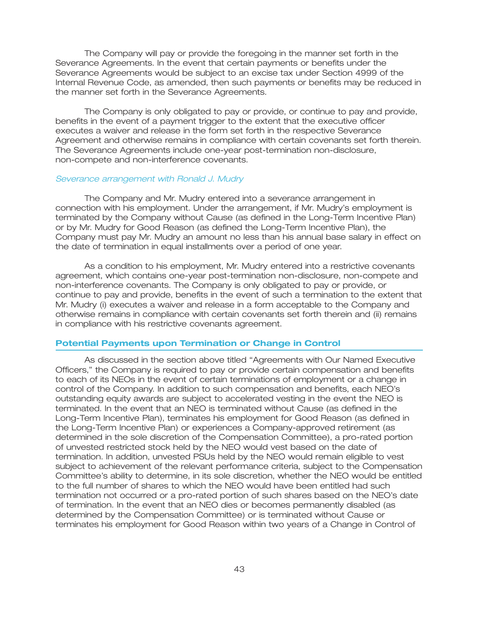The Company will pay or provide the foregoing in the manner set forth in the Severance Agreements. In the event that certain payments or benefits under the Severance Agreements would be subject to an excise tax under Section 4999 of the Internal Revenue Code, as amended, then such payments or benefits may be reduced in the manner set forth in the Severance Agreements.

The Company is only obligated to pay or provide, or continue to pay and provide, benefits in the event of a payment trigger to the extent that the executive officer executes a waiver and release in the form set forth in the respective Severance Agreement and otherwise remains in compliance with certain covenants set forth therein. The Severance Agreements include one-year post-termination non-disclosure, non-compete and non-interference covenants.

#### *Severance arrangement with Ronald J. Mudry*

The Company and Mr. Mudry entered into a severance arrangement in connection with his employment. Under the arrangement, if Mr. Mudry's employment is terminated by the Company without Cause (as defined in the Long-Term Incentive Plan) or by Mr. Mudry for Good Reason (as defined the Long-Term Incentive Plan), the Company must pay Mr. Mudry an amount no less than his annual base salary in effect on the date of termination in equal installments over a period of one year.

As a condition to his employment, Mr. Mudry entered into a restrictive covenants agreement, which contains one-year post-termination non-disclosure, non-compete and non-interference covenants. The Company is only obligated to pay or provide, or continue to pay and provide, benefits in the event of such a termination to the extent that Mr. Mudry (i) executes a waiver and release in a form acceptable to the Company and otherwise remains in compliance with certain covenants set forth therein and (ii) remains in compliance with his restrictive covenants agreement.

#### **Potential Payments upon Termination or Change in Control**

As discussed in the section above titled ''Agreements with Our Named Executive Officers,'' the Company is required to pay or provide certain compensation and benefits to each of its NEOs in the event of certain terminations of employment or a change in control of the Company. In addition to such compensation and benefits, each NEO's outstanding equity awards are subject to accelerated vesting in the event the NEO is terminated. In the event that an NEO is terminated without Cause (as defined in the Long-Term Incentive Plan), terminates his employment for Good Reason (as defined in the Long-Term Incentive Plan) or experiences a Company-approved retirement (as determined in the sole discretion of the Compensation Committee), a pro-rated portion of unvested restricted stock held by the NEO would vest based on the date of termination. In addition, unvested PSUs held by the NEO would remain eligible to vest subject to achievement of the relevant performance criteria, subject to the Compensation Committee's ability to determine, in its sole discretion, whether the NEO would be entitled to the full number of shares to which the NEO would have been entitled had such termination not occurred or a pro-rated portion of such shares based on the NEO's date of termination. In the event that an NEO dies or becomes permanently disabled (as determined by the Compensation Committee) or is terminated without Cause or terminates his employment for Good Reason within two years of a Change in Control of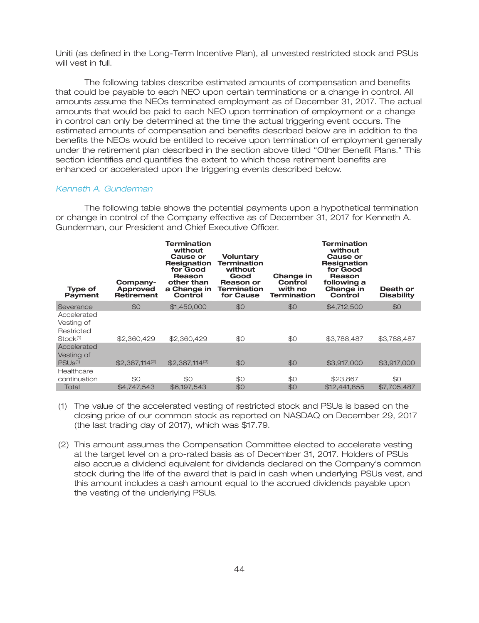Uniti (as defined in the Long-Term Incentive Plan), all unvested restricted stock and PSUs will vest in full.

The following tables describe estimated amounts of compensation and benefits that could be payable to each NEO upon certain terminations or a change in control. All amounts assume the NEOs terminated employment as of December 31, 2017. The actual amounts that would be paid to each NEO upon termination of employment or a change in control can only be determined at the time the actual triggering event occurs. The estimated amounts of compensation and benefits described below are in addition to the benefits the NEOs would be entitled to receive upon termination of employment generally under the retirement plan described in the section above titled ''Other Benefit Plans.'' This section identifies and quantifies the extent to which those retirement benefits are enhanced or accelerated upon the triggering events described below.

### *Kenneth A. Gunderman*

The following table shows the potential payments upon a hypothetical termination or change in control of the Company effective as of December 31, 2017 for Kenneth A. Gunderman, our President and Chief Executive Officer.

| <b>Type of</b><br><b>Payment</b>                                | Company-<br><b>Approved</b><br><b>Retirement</b> | Termination<br>without<br><b>Cause or</b><br>Resignation<br>for Good<br>Reason<br>other than<br>a Change in<br>Control | Voluntary<br><b>Termination</b><br>without<br>Good<br>Reason or<br>Termination<br>for Cause | Change in<br>Control<br>with no<br>Termination | <b>Termination</b><br>without<br><b>Cause or</b><br><b>Resignation</b><br>for Good<br>Reason<br>following a<br>Change in<br>Control | Death or<br><b>Disability</b> |
|-----------------------------------------------------------------|--------------------------------------------------|------------------------------------------------------------------------------------------------------------------------|---------------------------------------------------------------------------------------------|------------------------------------------------|-------------------------------------------------------------------------------------------------------------------------------------|-------------------------------|
| Severance                                                       | \$0                                              | \$1,450,000                                                                                                            | \$0                                                                                         | \$0                                            | \$4,712,500                                                                                                                         | \$0                           |
| Accelerated<br>Vesting of<br>Restricted<br>Stock <sup>(1)</sup> | \$2,360,429                                      | \$2,360,429                                                                                                            | \$0                                                                                         | \$0                                            | \$3,788,487                                                                                                                         | \$3,788,487                   |
| Accelerated<br>Vesting of<br>PSUS <sup>(1)</sup>                | $$2.387.114^{(2)}$                               | $$2,387,114^{(2)}$                                                                                                     | \$0                                                                                         | \$0                                            | \$3,917,000                                                                                                                         | \$3,917,000                   |
| Healthcare<br>continuation                                      | \$0                                              | \$0                                                                                                                    | \$0                                                                                         | \$0                                            | \$23,867                                                                                                                            | \$0                           |
| Total                                                           | \$4,747,543                                      | \$6,197,543                                                                                                            | \$0                                                                                         | \$0                                            | \$12,441,855                                                                                                                        | \$7,705,487                   |

(1) The value of the accelerated vesting of restricted stock and PSUs is based on the closing price of our common stock as reported on NASDAQ on December 29, 2017 (the last trading day of 2017), which was \$17.79.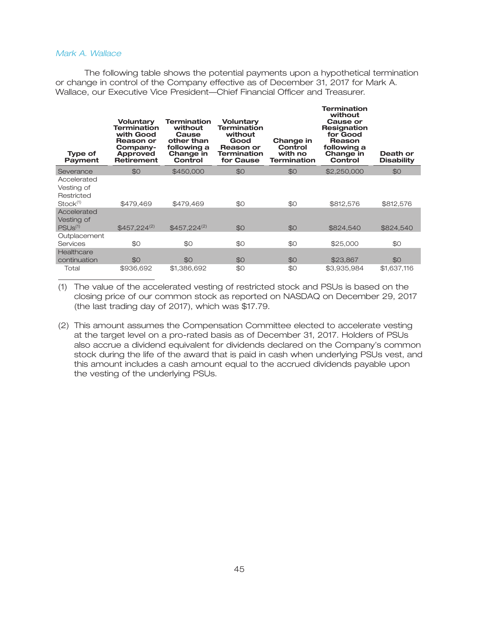### *Mark A. Wallace*

The following table shows the potential payments upon a hypothetical termination or change in control of the Company effective as of December 31, 2017 for Mark A. Wallace, our Executive Vice President—Chief Financial Officer and Treasurer.

**Termination**

| <b>Type of</b><br><b>Payment</b>                                | Voluntary<br><b>Termination</b><br>with Good<br>Reason or<br>Company-<br>Approved<br><b>Retirement</b> | Termination<br>without<br>Cause<br>other than<br>following a<br>Change in<br>Control | Voluntary<br><b>Termination</b><br>without<br>Good<br>Reason or<br>Termination<br>for Cause | Change in<br>Control<br>with no<br><b>Termination</b> | 151 1111 1810 1<br>without<br>Cause or<br><b>Resignation</b><br>for Good<br>Reason<br>following a<br>Change in<br>Control | Death or<br><b>Disability</b> |
|-----------------------------------------------------------------|--------------------------------------------------------------------------------------------------------|--------------------------------------------------------------------------------------|---------------------------------------------------------------------------------------------|-------------------------------------------------------|---------------------------------------------------------------------------------------------------------------------------|-------------------------------|
| Severance                                                       | \$0                                                                                                    | \$450,000                                                                            | \$0                                                                                         | \$0                                                   | \$2,250,000                                                                                                               | \$0                           |
| Accelerated<br>Vesting of<br>Restricted<br>Stock <sup>(1)</sup> | \$479,469                                                                                              | \$479,469                                                                            | \$0                                                                                         | \$0                                                   | \$812,576                                                                                                                 | \$812,576                     |
| Accelerated<br>Vesting of<br>PSUs <sup>(1)</sup>                | $$457.224^{(2)}$$                                                                                      | $$457.224^{(2)}$                                                                     | \$0                                                                                         | \$0                                                   | \$824,540                                                                                                                 | \$824,540                     |
| Outplacement<br>Services                                        | \$0                                                                                                    | \$0                                                                                  | \$0                                                                                         | \$0                                                   | \$25,000                                                                                                                  | \$0                           |
| Healthcare<br>continuation                                      | \$0                                                                                                    | \$0                                                                                  | \$0                                                                                         | \$0                                                   | \$23,867                                                                                                                  | \$0                           |
| Total                                                           | \$936,692                                                                                              | \$1,386,692                                                                          | \$0                                                                                         | \$0                                                   | \$3,935,984                                                                                                               | \$1,637,116                   |

(1) The value of the accelerated vesting of restricted stock and PSUs is based on the closing price of our common stock as reported on NASDAQ on December 29, 2017 (the last trading day of 2017), which was \$17.79.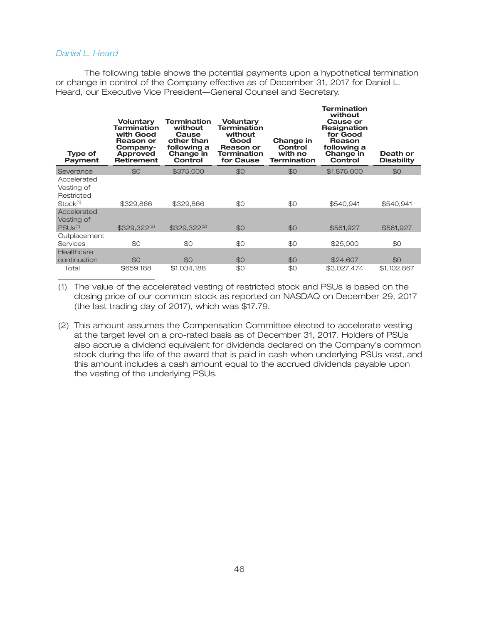### *Daniel L. Heard*

The following table shows the potential payments upon a hypothetical termination or change in control of the Company effective as of December 31, 2017 for Daniel L. Heard, our Executive Vice President—General Counsel and Secretary.

| <b>Type of</b><br><b>Payment</b>                                | <b>Voluntary</b><br><b>Termination</b><br>with Good<br><b>Reason or</b><br>Company-<br><b>Approved</b><br><b>Retirement</b> | <b>Termination</b><br>without<br>Cause<br>other than<br>following a<br>Change in<br>Control | Voluntary<br><b>Termination</b><br>without<br>Good<br>Reason or<br><b>Termination</b><br>for Cause | Change in<br>Control<br>with no<br><b>Termination</b> | <b>Termination</b><br>without<br>Cause or<br><b>Resignation</b><br>for Good<br>Reason<br>following a<br>Change in<br>Control | Death or<br><b>Disability</b> |
|-----------------------------------------------------------------|-----------------------------------------------------------------------------------------------------------------------------|---------------------------------------------------------------------------------------------|----------------------------------------------------------------------------------------------------|-------------------------------------------------------|------------------------------------------------------------------------------------------------------------------------------|-------------------------------|
| Severance                                                       | \$0                                                                                                                         | \$375,000                                                                                   | \$0                                                                                                | \$0                                                   | \$1,875,000                                                                                                                  | \$0                           |
| Accelerated<br>Vesting of<br>Restricted<br>Stock <sup>(1)</sup> | \$329,866                                                                                                                   | \$329,866                                                                                   | \$0                                                                                                | \$0                                                   | \$540,941                                                                                                                    | \$540,941                     |
| Accelerated<br>Vesting of<br>PSUS <sup>(1)</sup>                | $$329,322^{(2)}$                                                                                                            | $$329,322^{(2)}$$                                                                           | \$0                                                                                                | \$0                                                   | \$561,927                                                                                                                    | \$561,927                     |
| Outplacement<br>Services                                        | \$0                                                                                                                         | \$0                                                                                         | \$0                                                                                                | \$0                                                   | \$25,000                                                                                                                     | \$0                           |
| Healthcare<br>continuation                                      | \$0                                                                                                                         | \$0                                                                                         | \$0                                                                                                | \$0                                                   | \$24,607                                                                                                                     | \$0                           |
| Total                                                           | \$659,188                                                                                                                   | \$1,034,188                                                                                 | \$0                                                                                                | \$0                                                   | \$3,027,474                                                                                                                  | \$1,102,867                   |

(1) The value of the accelerated vesting of restricted stock and PSUs is based on the closing price of our common stock as reported on NASDAQ on December 29, 2017 (the last trading day of 2017), which was \$17.79.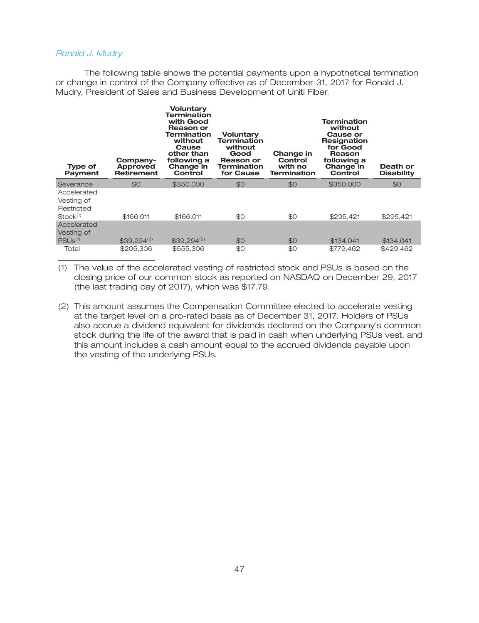#### *Ronald J. Mudry*

The following table shows the potential payments upon a hypothetical termination or change in control of the Company effective as of December 31, 2017 for Ronald J. Mudry, President of Sales and Business Development of Uniti Fiber.

| <b>Type of</b><br>Payment                                       | Company-<br>Approved<br><b>Retirement</b> | <b>Voluntary</b><br>Termination<br>with Good<br>Reason or<br><b>Termination</b><br>without<br>Cause<br>other than<br>following a<br>Change in<br>Control | <b>Voluntary</b><br>Termination<br>without<br>Good<br>Reason or<br>Termination<br>for Cause | Change in<br>Control<br>with no<br><b>Termination</b> | Termination<br>without<br><b>Cause or</b><br>Resignation<br>for Good<br>Reason<br>following a<br>Change in<br>Control | Death or<br><b>Disability</b> |
|-----------------------------------------------------------------|-------------------------------------------|----------------------------------------------------------------------------------------------------------------------------------------------------------|---------------------------------------------------------------------------------------------|-------------------------------------------------------|-----------------------------------------------------------------------------------------------------------------------|-------------------------------|
| Severance                                                       | \$0                                       | \$350,000                                                                                                                                                | \$0                                                                                         | \$0                                                   | \$350,000                                                                                                             | \$0                           |
| Accelerated<br>Vesting of<br>Restricted<br>Stock <sup>(1)</sup> | \$166,011                                 | \$166.011                                                                                                                                                | \$0                                                                                         | \$0                                                   | \$295.421                                                                                                             | \$295,421                     |
| Accelerated<br>Vesting of<br>PSU <sub>s(1)</sub>                | $$39.294^{(2)}$                           | $$39,294^{(2)}$                                                                                                                                          | \$0                                                                                         | \$0                                                   | \$134,041                                                                                                             | \$134,041                     |
| Total                                                           | \$205,306                                 | \$555,306                                                                                                                                                | \$0                                                                                         | \$0                                                   | \$779,462                                                                                                             | \$429,462                     |

(1) The value of the accelerated vesting of restricted stock and PSUs is based on the closing price of our common stock as reported on NASDAQ on December 29, 2017 (the last trading day of 2017), which was \$17.79.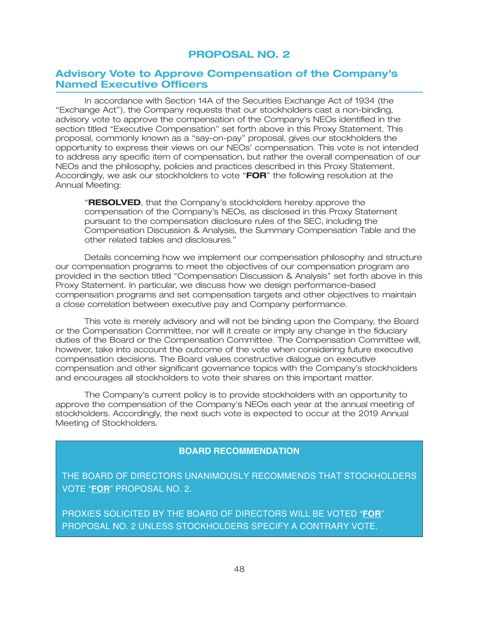## **PROPOSAL NO. 2**

## **Advisory Vote to Approve Compensation of the Company's Named Executive Officers**

In accordance with Section 14A of the Securities Exchange Act of 1934 (the ''Exchange Act''), the Company requests that our stockholders cast a non-binding, advisory vote to approve the compensation of the Company's NEOs identified in the section titled "Executive Compensation" set forth above in this Proxy Statement. This proposal, commonly known as a ''say-on-pay'' proposal, gives our stockholders the opportunity to express their views on our NEOs' compensation. This vote is not intended to address any specific item of compensation, but rather the overall compensation of our NEOs and the philosophy, policies and practices described in this Proxy Statement. Accordingly, we ask our stockholders to vote ''**FOR**'' the following resolution at the Annual Meeting:

''**RESOLVED**, that the Company's stockholders hereby approve the compensation of the Company's NEOs, as disclosed in this Proxy Statement pursuant to the compensation disclosure rules of the SEC, including the Compensation Discussion & Analysis, the Summary Compensation Table and the other related tables and disclosures.''

Details concerning how we implement our compensation philosophy and structure our compensation programs to meet the objectives of our compensation program are provided in the section titled ''Compensation Discussion & Analysis'' set forth above in this Proxy Statement. In particular, we discuss how we design performance-based compensation programs and set compensation targets and other objectives to maintain a close correlation between executive pay and Company performance.

This vote is merely advisory and will not be binding upon the Company, the Board or the Compensation Committee, nor will it create or imply any change in the fiduciary duties of the Board or the Compensation Committee. The Compensation Committee will, however, take into account the outcome of the vote when considering future executive compensation decisions. The Board values constructive dialogue on executive compensation and other significant governance topics with the Company's stockholders and encourages all stockholders to vote their shares on this important matter.

The Company's current policy is to provide stockholders with an opportunity to approve the compensation of the Company's NEOs each year at the annual meeting of stockholders. Accordingly, the next such vote is expected to occur at the 2019 Annual Meeting of Stockholders.

## **BOARD RECOMMENDATION**

THE BOARD OF DIRECTORS UNANIMOUSLY RECOMMENDS THAT STOCKHOLDERS VOTE "**FOR**" PROPOSAL NO. 2.

PROXIES SOLICITED BY THE BOARD OF DIRECTORS WILL BE VOTED "**FOR**" PROPOSAL NO. 2 UNLESS STOCKHOLDERS SPECIFY A CONTRARY VOTE.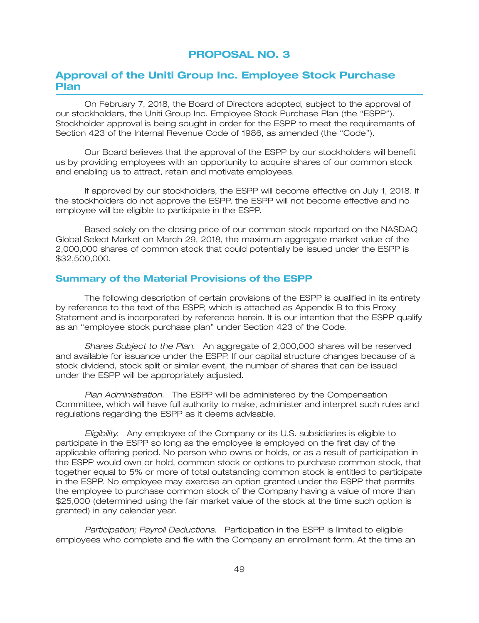## **PROPOSAL NO. 3**

## **Approval of the Uniti Group Inc. Employee Stock Purchase Plan**

On February 7, 2018, the Board of Directors adopted, subject to the approval of our stockholders, the Uniti Group Inc. Employee Stock Purchase Plan (the "ESPP"). Stockholder approval is being sought in order for the ESPP to meet the requirements of Section 423 of the Internal Revenue Code of 1986, as amended (the "Code").

Our Board believes that the approval of the ESPP by our stockholders will benefit us by providing employees with an opportunity to acquire shares of our common stock and enabling us to attract, retain and motivate employees.

If approved by our stockholders, the ESPP will become effective on July 1, 2018. If the stockholders do not approve the ESPP, the ESPP will not become effective and no employee will be eligible to participate in the ESPP.

Based solely on the closing price of our common stock reported on the NASDAQ Global Select Market on March 29, 2018, the maximum aggregate market value of the 2,000,000 shares of common stock that could potentially be issued under the ESPP is \$32,500,000.

### **Summary of the Material Provisions of the ESPP**

The following description of certain provisions of the ESPP is qualified in its entirety by reference to the text of the ESPP, which is attached as Appendix B to this Proxy Statement and is incorporated by reference herein. It is our intention that the ESPP qualify as an ''employee stock purchase plan'' under Section 423 of the Code.

*Shares Subject to the Plan.* An aggregate of 2,000,000 shares will be reserved and available for issuance under the ESPP. If our capital structure changes because of a stock dividend, stock split or similar event, the number of shares that can be issued under the ESPP will be appropriately adjusted.

*Plan Administration.* The ESPP will be administered by the Compensation Committee, which will have full authority to make, administer and interpret such rules and regulations regarding the ESPP as it deems advisable.

*Eligibility.* Any employee of the Company or its U.S. subsidiaries is eligible to participate in the ESPP so long as the employee is employed on the first day of the applicable offering period. No person who owns or holds, or as a result of participation in the ESPP would own or hold, common stock or options to purchase common stock, that together equal to 5% or more of total outstanding common stock is entitled to participate in the ESPP. No employee may exercise an option granted under the ESPP that permits the employee to purchase common stock of the Company having a value of more than \$25,000 (determined using the fair market value of the stock at the time such option is granted) in any calendar year.

*Participation; Payroll Deductions.* Participation in the ESPP is limited to eligible employees who complete and file with the Company an enrollment form. At the time an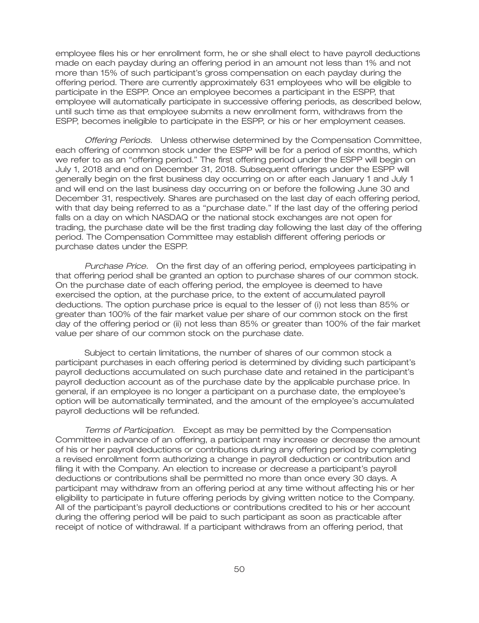employee files his or her enrollment form, he or she shall elect to have payroll deductions made on each payday during an offering period in an amount not less than 1% and not more than 15% of such participant's gross compensation on each payday during the offering period. There are currently approximately 631 employees who will be eligible to participate in the ESPP. Once an employee becomes a participant in the ESPP, that employee will automatically participate in successive offering periods, as described below, until such time as that employee submits a new enrollment form, withdraws from the ESPP, becomes ineligible to participate in the ESPP, or his or her employment ceases.

*Offering Periods.* Unless otherwise determined by the Compensation Committee, each offering of common stock under the ESPP will be for a period of six months, which we refer to as an ''offering period.'' The first offering period under the ESPP will begin on July 1, 2018 and end on December 31, 2018. Subsequent offerings under the ESPP will generally begin on the first business day occurring on or after each January 1 and July 1 and will end on the last business day occurring on or before the following June 30 and December 31, respectively. Shares are purchased on the last day of each offering period, with that day being referred to as a "purchase date." If the last day of the offering period falls on a day on which NASDAQ or the national stock exchanges are not open for trading, the purchase date will be the first trading day following the last day of the offering period. The Compensation Committee may establish different offering periods or purchase dates under the ESPP.

*Purchase Price.* On the first day of an offering period, employees participating in that offering period shall be granted an option to purchase shares of our common stock. On the purchase date of each offering period, the employee is deemed to have exercised the option, at the purchase price, to the extent of accumulated payroll deductions. The option purchase price is equal to the lesser of (i) not less than 85% or greater than 100% of the fair market value per share of our common stock on the first day of the offering period or (ii) not less than 85% or greater than 100% of the fair market value per share of our common stock on the purchase date.

Subject to certain limitations, the number of shares of our common stock a participant purchases in each offering period is determined by dividing such participant's payroll deductions accumulated on such purchase date and retained in the participant's payroll deduction account as of the purchase date by the applicable purchase price. In general, if an employee is no longer a participant on a purchase date, the employee's option will be automatically terminated, and the amount of the employee's accumulated payroll deductions will be refunded.

*Terms of Participation.* Except as may be permitted by the Compensation Committee in advance of an offering, a participant may increase or decrease the amount of his or her payroll deductions or contributions during any offering period by completing a revised enrollment form authorizing a change in payroll deduction or contribution and filing it with the Company. An election to increase or decrease a participant's payroll deductions or contributions shall be permitted no more than once every 30 days. A participant may withdraw from an offering period at any time without affecting his or her eligibility to participate in future offering periods by giving written notice to the Company. All of the participant's payroll deductions or contributions credited to his or her account during the offering period will be paid to such participant as soon as practicable after receipt of notice of withdrawal. If a participant withdraws from an offering period, that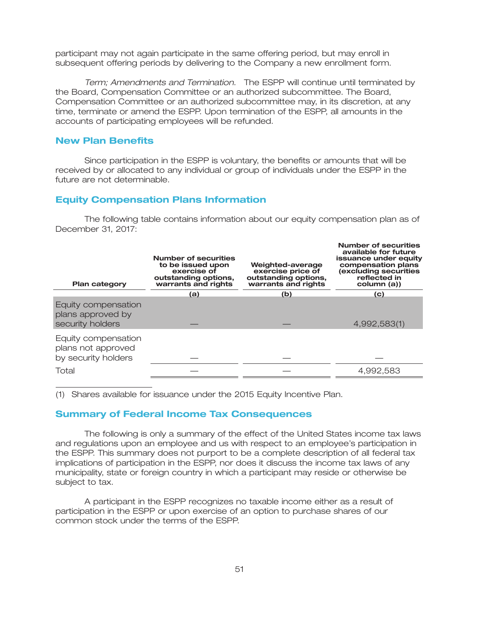participant may not again participate in the same offering period, but may enroll in subsequent offering periods by delivering to the Company a new enrollment form.

*Term; Amendments and Termination.* The ESPP will continue until terminated by the Board, Compensation Committee or an authorized subcommittee. The Board, Compensation Committee or an authorized subcommittee may, in its discretion, at any time, terminate or amend the ESPP. Upon termination of the ESPP, all amounts in the accounts of participating employees will be refunded.

### **New Plan Benefits**

Since participation in the ESPP is voluntary, the benefits or amounts that will be received by or allocated to any individual or group of individuals under the ESPP in the future are not determinable.

### **Equity Compensation Plans Information**

The following table contains information about our equity compensation plan as of December 31, 2017:

**Number of securities**

| <b>Plan category</b>                                             | <b>Number of securities</b><br>to be issued upon<br>exercise of<br>outstanding options,<br>warrants and rights | Weighted-average<br>exercise price of<br>outstanding options,<br>warrants and rights | available for future<br>issuance under equity<br>compensation plans<br>(excluding securities<br>reflected in<br>column (a)) |
|------------------------------------------------------------------|----------------------------------------------------------------------------------------------------------------|--------------------------------------------------------------------------------------|-----------------------------------------------------------------------------------------------------------------------------|
|                                                                  | (a)                                                                                                            | (b)                                                                                  | (c)                                                                                                                         |
| Equity compensation<br>plans approved by<br>security holders     |                                                                                                                |                                                                                      | 4,992,583(1)                                                                                                                |
| Equity compensation<br>plans not approved<br>by security holders |                                                                                                                |                                                                                      |                                                                                                                             |
| Total                                                            |                                                                                                                |                                                                                      | 4,992,583                                                                                                                   |
|                                                                  |                                                                                                                |                                                                                      |                                                                                                                             |

(1) Shares available for issuance under the 2015 Equity Incentive Plan.

### **Summary of Federal Income Tax Consequences**

The following is only a summary of the effect of the United States income tax laws and regulations upon an employee and us with respect to an employee's participation in the ESPP. This summary does not purport to be a complete description of all federal tax implications of participation in the ESPP, nor does it discuss the income tax laws of any municipality, state or foreign country in which a participant may reside or otherwise be subject to tax.

A participant in the ESPP recognizes no taxable income either as a result of participation in the ESPP or upon exercise of an option to purchase shares of our common stock under the terms of the ESPP.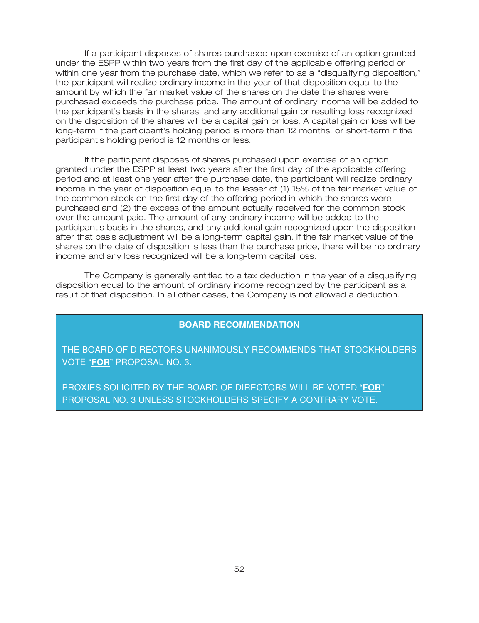If a participant disposes of shares purchased upon exercise of an option granted under the ESPP within two years from the first day of the applicable offering period or within one year from the purchase date, which we refer to as a ''disqualifying disposition,'' the participant will realize ordinary income in the year of that disposition equal to the amount by which the fair market value of the shares on the date the shares were purchased exceeds the purchase price. The amount of ordinary income will be added to the participant's basis in the shares, and any additional gain or resulting loss recognized on the disposition of the shares will be a capital gain or loss. A capital gain or loss will be long-term if the participant's holding period is more than 12 months, or short-term if the participant's holding period is 12 months or less.

If the participant disposes of shares purchased upon exercise of an option granted under the ESPP at least two years after the first day of the applicable offering period and at least one year after the purchase date, the participant will realize ordinary income in the year of disposition equal to the lesser of (1) 15% of the fair market value of the common stock on the first day of the offering period in which the shares were purchased and (2) the excess of the amount actually received for the common stock over the amount paid. The amount of any ordinary income will be added to the participant's basis in the shares, and any additional gain recognized upon the disposition after that basis adjustment will be a long-term capital gain. If the fair market value of the shares on the date of disposition is less than the purchase price, there will be no ordinary income and any loss recognized will be a long-term capital loss.

The Company is generally entitled to a tax deduction in the year of a disqualifying disposition equal to the amount of ordinary income recognized by the participant as a result of that disposition. In all other cases, the Company is not allowed a deduction.

### **BOARD RECOMMENDATION**

THE BOARD OF DIRECTORS UNANIMOUSLY RECOMMENDS THAT STOCKHOLDERS VOTE "**FOR**" PROPOSAL NO. 3.

PROXIES SOLICITED BY THE BOARD OF DIRECTORS WILL BE VOTED "**FOR**" PROPOSAL NO. 3 UNLESS STOCKHOLDERS SPECIFY A CONTRARY VOTE.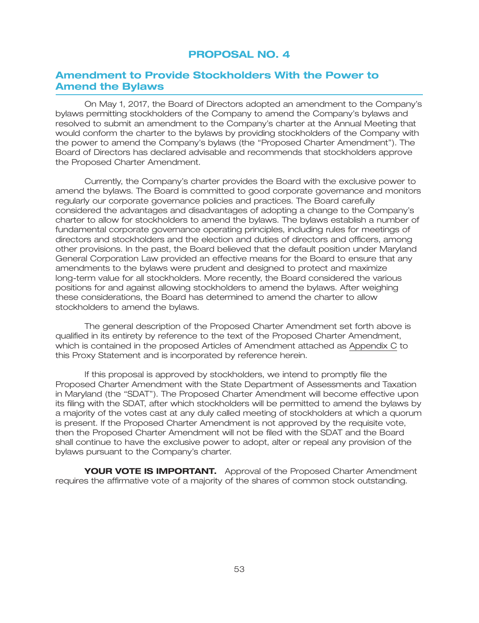## **PROPOSAL NO. 4**

## **Amendment to Provide Stockholders With the Power to Amend the Bylaws**

On May 1, 2017, the Board of Directors adopted an amendment to the Company's bylaws permitting stockholders of the Company to amend the Company's bylaws and resolved to submit an amendment to the Company's charter at the Annual Meeting that would conform the charter to the bylaws by providing stockholders of the Company with the power to amend the Company's bylaws (the ''Proposed Charter Amendment''). The Board of Directors has declared advisable and recommends that stockholders approve the Proposed Charter Amendment.

Currently, the Company's charter provides the Board with the exclusive power to amend the bylaws. The Board is committed to good corporate governance and monitors regularly our corporate governance policies and practices. The Board carefully considered the advantages and disadvantages of adopting a change to the Company's charter to allow for stockholders to amend the bylaws. The bylaws establish a number of fundamental corporate governance operating principles, including rules for meetings of directors and stockholders and the election and duties of directors and officers, among other provisions. In the past, the Board believed that the default position under Maryland General Corporation Law provided an effective means for the Board to ensure that any amendments to the bylaws were prudent and designed to protect and maximize long-term value for all stockholders. More recently, the Board considered the various positions for and against allowing stockholders to amend the bylaws. After weighing these considerations, the Board has determined to amend the charter to allow stockholders to amend the bylaws.

The general description of the Proposed Charter Amendment set forth above is qualified in its entirety by reference to the text of the Proposed Charter Amendment, which is contained in the proposed Articles of Amendment attached as Appendix C to this Proxy Statement and is incorporated by reference herein.

If this proposal is approved by stockholders, we intend to promptly file the Proposed Charter Amendment with the State Department of Assessments and Taxation in Maryland (the ''SDAT''). The Proposed Charter Amendment will become effective upon its filing with the SDAT, after which stockholders will be permitted to amend the bylaws by a majority of the votes cast at any duly called meeting of stockholders at which a quorum is present. If the Proposed Charter Amendment is not approved by the requisite vote, then the Proposed Charter Amendment will not be filed with the SDAT and the Board shall continue to have the exclusive power to adopt, alter or repeal any provision of the bylaws pursuant to the Company's charter.

**YOUR VOTE IS IMPORTANT.** Approval of the Proposed Charter Amendment requires the affirmative vote of a majority of the shares of common stock outstanding.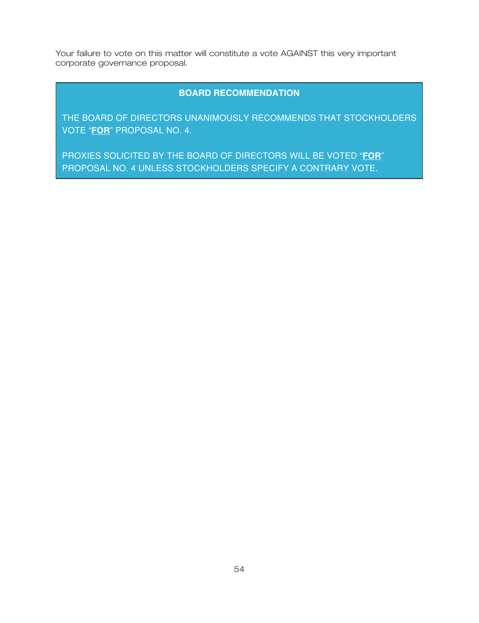Your failure to vote on this matter will constitute a vote AGAINST this very important corporate governance proposal.

## **BOARD RECOMMENDATION**

THE BOARD OF DIRECTORS UNANIMOUSLY RECOMMENDS THAT STOCKHOLDERS VOTE "**FOR**" PROPOSAL NO. 4.

PROXIES SOLICITED BY THE BOARD OF DIRECTORS WILL BE VOTED "**FOR**" PROPOSAL NO. 4 UNLESS STOCKHOLDERS SPECIFY A CONTRARY VOTE.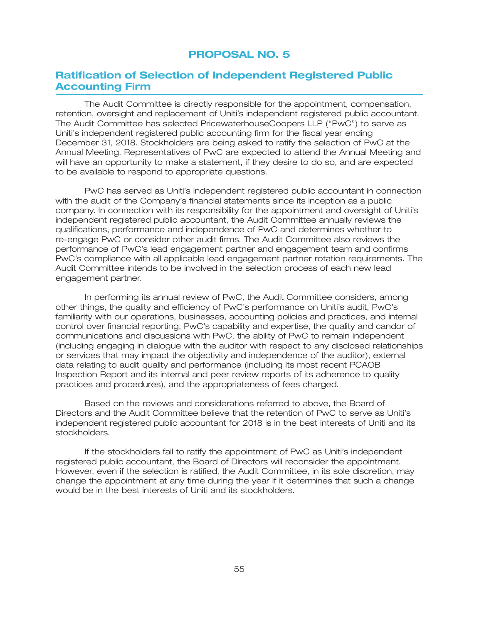## **PROPOSAL NO. 5**

## **Ratification of Selection of Independent Registered Public Accounting Firm**

The Audit Committee is directly responsible for the appointment, compensation, retention, oversight and replacement of Uniti's independent registered public accountant. The Audit Committee has selected PricewaterhouseCoopers LLP (''PwC'') to serve as Uniti's independent registered public accounting firm for the fiscal year ending December 31, 2018. Stockholders are being asked to ratify the selection of PwC at the Annual Meeting. Representatives of PwC are expected to attend the Annual Meeting and will have an opportunity to make a statement, if they desire to do so, and are expected to be available to respond to appropriate questions.

PwC has served as Uniti's independent registered public accountant in connection with the audit of the Company's financial statements since its inception as a public company. In connection with its responsibility for the appointment and oversight of Uniti's independent registered public accountant, the Audit Committee annually reviews the qualifications, performance and independence of PwC and determines whether to re-engage PwC or consider other audit firms. The Audit Committee also reviews the performance of PwC's lead engagement partner and engagement team and confirms PwC's compliance with all applicable lead engagement partner rotation requirements. The Audit Committee intends to be involved in the selection process of each new lead engagement partner.

In performing its annual review of PwC, the Audit Committee considers, among other things, the quality and efficiency of PwC's performance on Uniti's audit, PwC's familiarity with our operations, businesses, accounting policies and practices, and internal control over financial reporting, PwC's capability and expertise, the quality and candor of communications and discussions with PwC, the ability of PwC to remain independent (including engaging in dialogue with the auditor with respect to any disclosed relationships or services that may impact the objectivity and independence of the auditor), external data relating to audit quality and performance (including its most recent PCAOB Inspection Report and its internal and peer review reports of its adherence to quality practices and procedures), and the appropriateness of fees charged.

Based on the reviews and considerations referred to above, the Board of Directors and the Audit Committee believe that the retention of PwC to serve as Uniti's independent registered public accountant for 2018 is in the best interests of Uniti and its stockholders.

If the stockholders fail to ratify the appointment of PwC as Uniti's independent registered public accountant, the Board of Directors will reconsider the appointment. However, even if the selection is ratified, the Audit Committee, in its sole discretion, may change the appointment at any time during the year if it determines that such a change would be in the best interests of Uniti and its stockholders.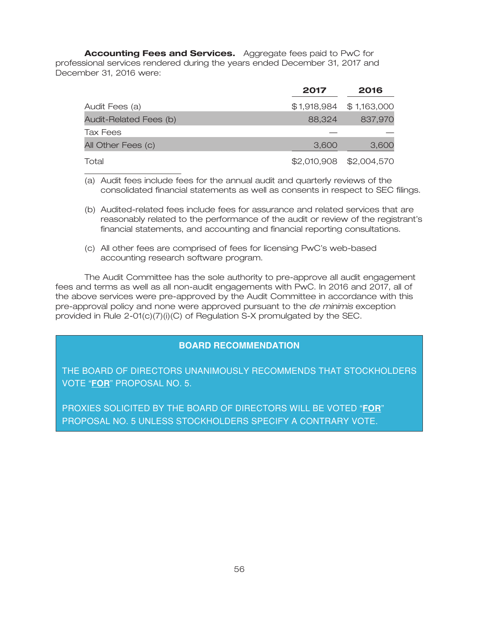**Accounting Fees and Services.** Aggregate fees paid to PwC for professional services rendered during the years ended December 31, 2017 and December 31, 2016 were:

|                        | 2017   | 2016                    |
|------------------------|--------|-------------------------|
| Audit Fees (a)         |        | \$1,918,984 \$1,163,000 |
| Audit-Related Fees (b) | 88,324 | 837,970                 |
| Tax Fees               |        |                         |
| All Other Fees (c)     | 3,600  | 3,600                   |
| Total                  |        | \$2,010,908 \$2,004,570 |

(a) Audit fees include fees for the annual audit and quarterly reviews of the consolidated financial statements as well as consents in respect to SEC filings.

- (b) Audited-related fees include fees for assurance and related services that are reasonably related to the performance of the audit or review of the registrant's financial statements, and accounting and financial reporting consultations.
- (c) All other fees are comprised of fees for licensing PwC's web-based accounting research software program.

The Audit Committee has the sole authority to pre-approve all audit engagement fees and terms as well as all non-audit engagements with PwC. In 2016 and 2017, all of the above services were pre-approved by the Audit Committee in accordance with this pre-approval policy and none were approved pursuant to the *de minimis* exception provided in Rule 2-01(c)(7)(i)(C) of Regulation S-X promulgated by the SEC.

## **BOARD RECOMMENDATION**

THE BOARD OF DIRECTORS UNANIMOUSLY RECOMMENDS THAT STOCKHOLDERS VOTE "**FOR**" PROPOSAL NO. 5.

PROXIES SOLICITED BY THE BOARD OF DIRECTORS WILL BE VOTED "**FOR**" PROPOSAL NO. 5 UNLESS STOCKHOLDERS SPECIFY A CONTRARY VOTE.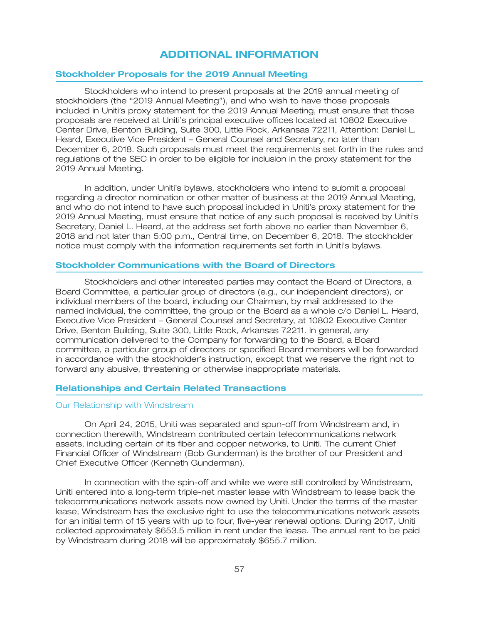## **ADDITIONAL INFORMATION**

#### **Stockholder Proposals for the 2019 Annual Meeting**

Stockholders who intend to present proposals at the 2019 annual meeting of stockholders (the "2019 Annual Meeting"), and who wish to have those proposals included in Uniti's proxy statement for the 2019 Annual Meeting, must ensure that those proposals are received at Uniti's principal executive offices located at 10802 Executive Center Drive, Benton Building, Suite 300, Little Rock, Arkansas 72211, Attention: Daniel L. Heard, Executive Vice President – General Counsel and Secretary, no later than December 6, 2018. Such proposals must meet the requirements set forth in the rules and regulations of the SEC in order to be eligible for inclusion in the proxy statement for the 2019 Annual Meeting.

In addition, under Uniti's bylaws, stockholders who intend to submit a proposal regarding a director nomination or other matter of business at the 2019 Annual Meeting, and who do not intend to have such proposal included in Uniti's proxy statement for the 2019 Annual Meeting, must ensure that notice of any such proposal is received by Uniti's Secretary, Daniel L. Heard, at the address set forth above no earlier than November 6, 2018 and not later than 5:00 p.m., Central time, on December 6, 2018. The stockholder notice must comply with the information requirements set forth in Uniti's bylaws.

#### **Stockholder Communications with the Board of Directors**

Stockholders and other interested parties may contact the Board of Directors, a Board Committee, a particular group of directors (e.g., our independent directors), or individual members of the board, including our Chairman, by mail addressed to the named individual, the committee, the group or the Board as a whole c/o Daniel L. Heard, Executive Vice President – General Counsel and Secretary, at 10802 Executive Center Drive, Benton Building, Suite 300, Little Rock, Arkansas 72211. In general, any communication delivered to the Company for forwarding to the Board, a Board committee, a particular group of directors or specified Board members will be forwarded in accordance with the stockholder's instruction, except that we reserve the right not to forward any abusive, threatening or otherwise inappropriate materials.

#### **Relationships and Certain Related Transactions**

#### Our Relationship with Windstream

On April 24, 2015, Uniti was separated and spun-off from Windstream and, in connection therewith, Windstream contributed certain telecommunications network assets, including certain of its fiber and copper networks, to Uniti. The current Chief Financial Officer of Windstream (Bob Gunderman) is the brother of our President and Chief Executive Officer (Kenneth Gunderman).

In connection with the spin-off and while we were still controlled by Windstream, Uniti entered into a long-term triple-net master lease with Windstream to lease back the telecommunications network assets now owned by Uniti. Under the terms of the master lease, Windstream has the exclusive right to use the telecommunications network assets for an initial term of 15 years with up to four, five-year renewal options. During 2017, Uniti collected approximately \$653.5 million in rent under the lease. The annual rent to be paid by Windstream during 2018 will be approximately \$655.7 million.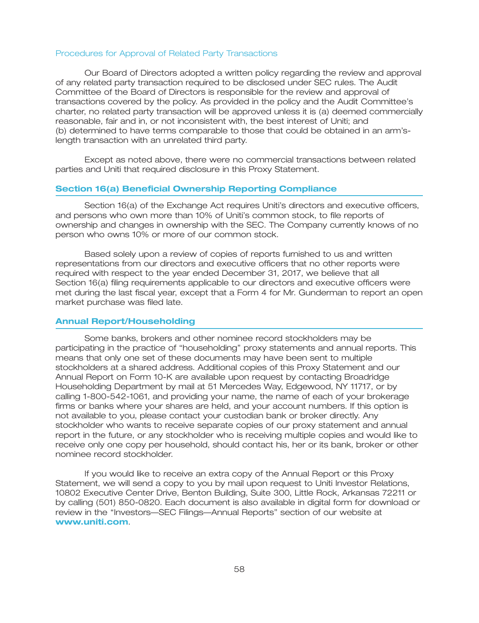#### Procedures for Approval of Related Party Transactions

Our Board of Directors adopted a written policy regarding the review and approval of any related party transaction required to be disclosed under SEC rules. The Audit Committee of the Board of Directors is responsible for the review and approval of transactions covered by the policy. As provided in the policy and the Audit Committee's charter, no related party transaction will be approved unless it is (a) deemed commercially reasonable, fair and in, or not inconsistent with, the best interest of Uniti; and (b) determined to have terms comparable to those that could be obtained in an arm'slength transaction with an unrelated third party.

Except as noted above, there were no commercial transactions between related parties and Uniti that required disclosure in this Proxy Statement.

#### **Section 16(a) Beneficial Ownership Reporting Compliance**

Section 16(a) of the Exchange Act requires Uniti's directors and executive officers, and persons who own more than 10% of Uniti's common stock, to file reports of ownership and changes in ownership with the SEC. The Company currently knows of no person who owns 10% or more of our common stock.

Based solely upon a review of copies of reports furnished to us and written representations from our directors and executive officers that no other reports were required with respect to the year ended December 31, 2017, we believe that all Section 16(a) filing requirements applicable to our directors and executive officers were met during the last fiscal year, except that a Form 4 for Mr. Gunderman to report an open market purchase was filed late.

#### **Annual Report/Householding**

Some banks, brokers and other nominee record stockholders may be participating in the practice of ''householding'' proxy statements and annual reports. This means that only one set of these documents may have been sent to multiple stockholders at a shared address. Additional copies of this Proxy Statement and our Annual Report on Form 10-K are available upon request by contacting Broadridge Householding Department by mail at 51 Mercedes Way, Edgewood, NY 11717, or by calling 1-800-542-1061, and providing your name, the name of each of your brokerage firms or banks where your shares are held, and your account numbers. If this option is not available to you, please contact your custodian bank or broker directly. Any stockholder who wants to receive separate copies of our proxy statement and annual report in the future, or any stockholder who is receiving multiple copies and would like to receive only one copy per household, should contact his, her or its bank, broker or other nominee record stockholder.

If you would like to receive an extra copy of the Annual Report or this Proxy Statement, we will send a copy to you by mail upon request to Uniti Investor Relations, 10802 Executive Center Drive, Benton Building, Suite 300, Little Rock, Arkansas 72211 or by calling (501) 850-0820. Each document is also available in digital form for download or review in the ''Investors—SEC Filings—Annual Reports'' section of our website at . **www.uniti.com**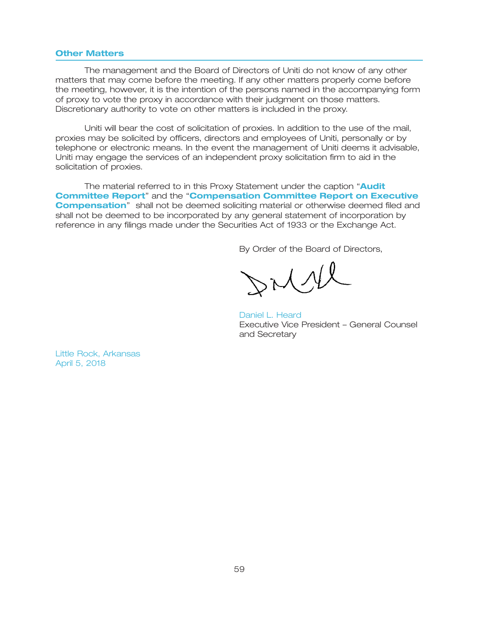### **Other Matters**

The management and the Board of Directors of Uniti do not know of any other matters that may come before the meeting. If any other matters properly come before the meeting, however, it is the intention of the persons named in the accompanying form of proxy to vote the proxy in accordance with their judgment on those matters. Discretionary authority to vote on other matters is included in the proxy.

Uniti will bear the cost of solicitation of proxies. In addition to the use of the mail, proxies may be solicited by officers, directors and employees of Uniti, personally or by telephone or electronic means. In the event the management of Uniti deems it advisable, Uniti may engage the services of an independent proxy solicitation firm to aid in the solicitation of proxies.

The material referred to in this Proxy Statement under the caption '' **Audit Committee Report"** and the "**Compensation Committee Report on Executive Compensation**" shall not be deemed soliciting material or otherwise deemed filed and shall not be deemed to be incorporated by any general statement of incorporation by reference in any filings made under the Securities Act of 1933 or the Exchange Act.

By Order of the Board of Directors,

rilll

Executive Vice President – General Counsel and Secretary Daniel L. Heard

Little Rock, Arkansas April 5, 2018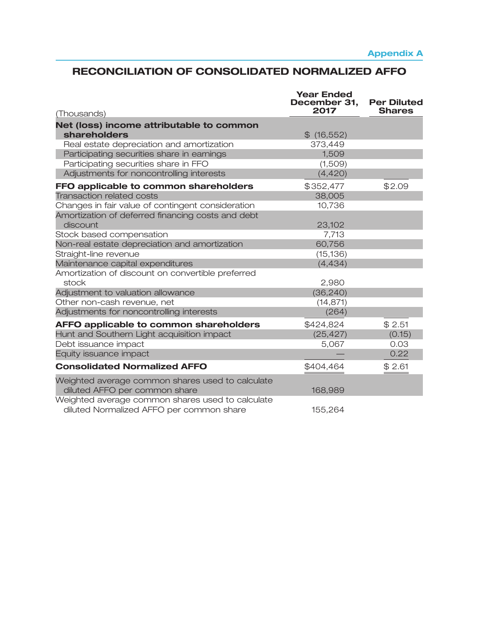# **RECONCILIATION OF CONSOLIDATED NORMALIZED AFFO**

| (Thousands)                                                                                  | <b>Year Ended</b><br>December 31,<br>2017 | <b>Per Diluted</b><br><b>Shares</b> |
|----------------------------------------------------------------------------------------------|-------------------------------------------|-------------------------------------|
| Net (loss) income attributable to common                                                     |                                           |                                     |
| shareholders                                                                                 | $$$ (16,552)                              |                                     |
| Real estate depreciation and amortization                                                    | 373,449                                   |                                     |
| Participating securities share in earnings                                                   | 1,509                                     |                                     |
| Participating securities share in FFO                                                        | (1,509)                                   |                                     |
| Adjustments for noncontrolling interests                                                     | (4,420)                                   |                                     |
| FFO applicable to common shareholders                                                        | \$352,477                                 | \$2.09                              |
| <b>Transaction related costs</b>                                                             | 38,005                                    |                                     |
| Changes in fair value of contingent consideration                                            | 10,736                                    |                                     |
| Amortization of deferred financing costs and debt                                            |                                           |                                     |
| discount                                                                                     | 23,102                                    |                                     |
| Stock based compensation                                                                     | 7,713                                     |                                     |
| Non-real estate depreciation and amortization                                                | 60,756                                    |                                     |
| Straight-line revenue                                                                        | (15, 136)                                 |                                     |
| Maintenance capital expenditures                                                             | (4, 434)                                  |                                     |
| Amortization of discount on convertible preferred                                            |                                           |                                     |
| stock                                                                                        | 2,980                                     |                                     |
| Adjustment to valuation allowance                                                            | (36, 240)                                 |                                     |
| Other non-cash revenue, net                                                                  | (14, 871)                                 |                                     |
| Adjustments for noncontrolling interests                                                     | (264)                                     |                                     |
| AFFO applicable to common shareholders                                                       | \$424,824                                 | \$2.51                              |
| Hunt and Southern Light acquisition impact                                                   | (25, 427)                                 | (0.15)                              |
| Debt issuance impact                                                                         | 5,067                                     | 0.03                                |
| Equity issuance impact                                                                       |                                           | 0.22                                |
| <b>Consolidated Normalized AFFO</b>                                                          | \$404,464                                 | \$2.61                              |
| Weighted average common shares used to calculate<br>diluted AFFO per common share            | 168,989                                   |                                     |
| Weighted average common shares used to calculate<br>diluted Normalized AFFO per common share | 155,264                                   |                                     |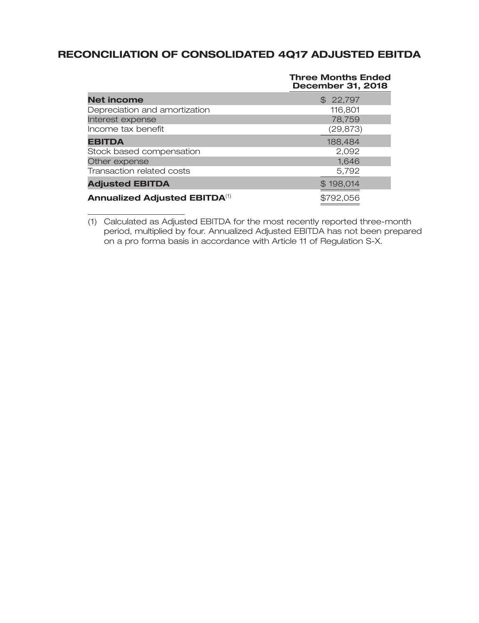# **RECONCILIATION OF CONSOLIDATED 4Q17 ADJUSTED EBITDA**

|                                      | <b>Three Months Ended</b><br><b>December 31, 2018</b> |
|--------------------------------------|-------------------------------------------------------|
| <b>Net income</b>                    | \$22,797                                              |
| Depreciation and amortization        | 116,801                                               |
| Interest expense                     | 78,759                                                |
| Income tax benefit                   | (29, 873)                                             |
| <b>EBITDA</b>                        | 188,484                                               |
| Stock based compensation             | 2,092                                                 |
| Other expense                        | 1,646                                                 |
| Transaction related costs            | 5,792                                                 |
| <b>Adjusted EBITDA</b>               | \$198,014                                             |
| <b>Annualized Adjusted EBITDA(1)</b> | \$792,056                                             |

(1) Calculated as Adjusted EBITDA for the most recently reported three-month period, multiplied by four. Annualized Adjusted EBITDA has not been prepared on a pro forma basis in accordance with Article 11 of Regulation S-X.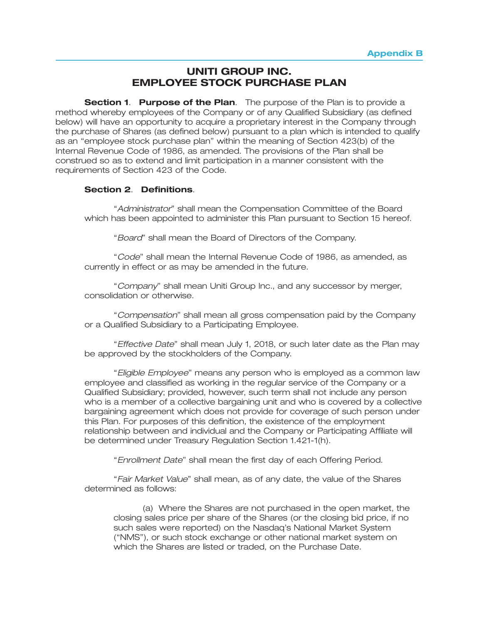## **UNITI GROUP INC. EMPLOYEE STOCK PURCHASE PLAN**

**Section 1. Purpose of the Plan.** The purpose of the Plan is to provide a method whereby employees of the Company or of any Qualified Subsidiary (as defined below) will have an opportunity to acquire a proprietary interest in the Company through the purchase of Shares (as defined below) pursuant to a plan which is intended to qualify as an ''employee stock purchase plan'' within the meaning of Section 423(b) of the Internal Revenue Code of 1986, as amended. The provisions of the Plan shall be construed so as to extend and limit participation in a manner consistent with the requirements of Section 423 of the Code.

### **Section 2**. **Definitions**.

''*Administrator*'' shall mean the Compensation Committee of the Board which has been appointed to administer this Plan pursuant to Section 15 hereof.

''*Board*'' shall mean the Board of Directors of the Company.

''*Code*'' shall mean the Internal Revenue Code of 1986, as amended, as currently in effect or as may be amended in the future.

''*Company*'' shall mean Uniti Group Inc., and any successor by merger, consolidation or otherwise.

''*Compensation*'' shall mean all gross compensation paid by the Company or a Qualified Subsidiary to a Participating Employee.

''*Effective Date*'' shall mean July 1, 2018, or such later date as the Plan may be approved by the stockholders of the Company.

''*Eligible Employee*'' means any person who is employed as a common law employee and classified as working in the regular service of the Company or a Qualified Subsidiary; provided, however, such term shall not include any person who is a member of a collective bargaining unit and who is covered by a collective bargaining agreement which does not provide for coverage of such person under this Plan. For purposes of this definition, the existence of the employment relationship between and individual and the Company or Participating Affiliate will be determined under Treasury Regulation Section 1.421-1(h).

''*Enrollment Date*'' shall mean the first day of each Offering Period.

''*Fair Market Value*'' shall mean, as of any date, the value of the Shares determined as follows:

(a) Where the Shares are not purchased in the open market, the closing sales price per share of the Shares (or the closing bid price, if no such sales were reported) on the Nasdaq's National Market System (''NMS''), or such stock exchange or other national market system on which the Shares are listed or traded, on the Purchase Date.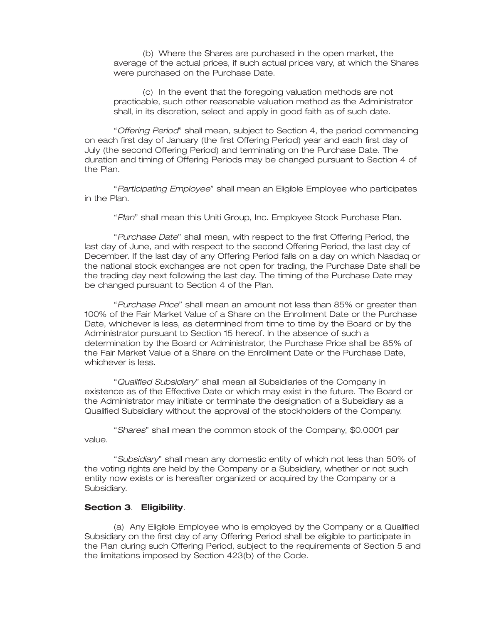(b) Where the Shares are purchased in the open market, the average of the actual prices, if such actual prices vary, at which the Shares were purchased on the Purchase Date.

(c) In the event that the foregoing valuation methods are not practicable, such other reasonable valuation method as the Administrator shall, in its discretion, select and apply in good faith as of such date.

''*Offering Period*'' shall mean, subject to Section 4, the period commencing on each first day of January (the first Offering Period) year and each first day of July (the second Offering Period) and terminating on the Purchase Date. The duration and timing of Offering Periods may be changed pursuant to Section 4 of the Plan.

''*Participating Employee*'' shall mean an Eligible Employee who participates in the Plan.

''*Plan*'' shall mean this Uniti Group, Inc. Employee Stock Purchase Plan.

''*Purchase Date*'' shall mean, with respect to the first Offering Period, the last day of June, and with respect to the second Offering Period, the last day of December. If the last day of any Offering Period falls on a day on which Nasdaq or the national stock exchanges are not open for trading, the Purchase Date shall be the trading day next following the last day. The timing of the Purchase Date may be changed pursuant to Section 4 of the Plan.

''*Purchase Price*'' shall mean an amount not less than 85% or greater than 100% of the Fair Market Value of a Share on the Enrollment Date or the Purchase Date, whichever is less, as determined from time to time by the Board or by the Administrator pursuant to Section 15 hereof. In the absence of such a determination by the Board or Administrator, the Purchase Price shall be 85% of the Fair Market Value of a Share on the Enrollment Date or the Purchase Date, whichever is less.

''*Qualified Subsidiary*'' shall mean all Subsidiaries of the Company in existence as of the Effective Date or which may exist in the future. The Board or the Administrator may initiate or terminate the designation of a Subsidiary as a Qualified Subsidiary without the approval of the stockholders of the Company.

''*Shares*'' shall mean the common stock of the Company, \$0.0001 par value.

''*Subsidiary*'' shall mean any domestic entity of which not less than 50% of the voting rights are held by the Company or a Subsidiary, whether or not such entity now exists or is hereafter organized or acquired by the Company or a Subsidiary.

### **Section 3**. **Eligibility**.

(a) Any Eligible Employee who is employed by the Company or a Qualified Subsidiary on the first day of any Offering Period shall be eligible to participate in the Plan during such Offering Period, subject to the requirements of Section 5 and the limitations imposed by Section 423(b) of the Code.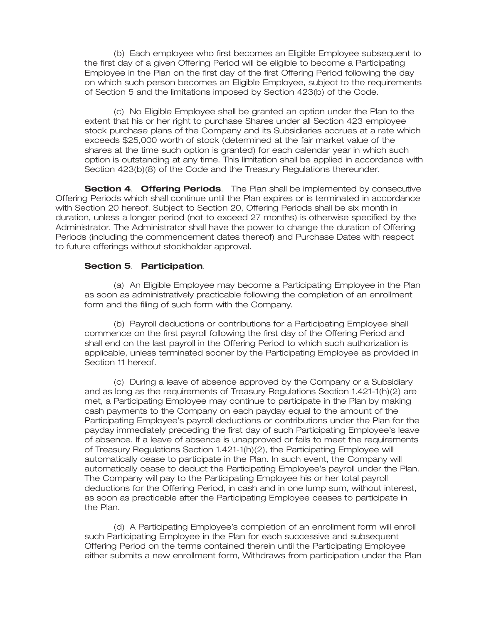(b) Each employee who first becomes an Eligible Employee subsequent to the first day of a given Offering Period will be eligible to become a Participating Employee in the Plan on the first day of the first Offering Period following the day on which such person becomes an Eligible Employee, subject to the requirements of Section 5 and the limitations imposed by Section 423(b) of the Code.

(c) No Eligible Employee shall be granted an option under the Plan to the extent that his or her right to purchase Shares under all Section 423 employee stock purchase plans of the Company and its Subsidiaries accrues at a rate which exceeds \$25,000 worth of stock (determined at the fair market value of the shares at the time such option is granted) for each calendar year in which such option is outstanding at any time. This limitation shall be applied in accordance with Section 423(b)(8) of the Code and the Treasury Regulations thereunder.

**Section 4**. **Offering Periods**. The Plan shall be implemented by consecutive Offering Periods which shall continue until the Plan expires or is terminated in accordance with Section 20 hereof. Subject to Section 20, Offering Periods shall be six month in duration, unless a longer period (not to exceed 27 months) is otherwise specified by the Administrator. The Administrator shall have the power to change the duration of Offering Periods (including the commencement dates thereof) and Purchase Dates with respect to future offerings without stockholder approval.

### **Section 5**. **Participation**.

(a) An Eligible Employee may become a Participating Employee in the Plan as soon as administratively practicable following the completion of an enrollment form and the filing of such form with the Company.

(b) Payroll deductions or contributions for a Participating Employee shall commence on the first payroll following the first day of the Offering Period and shall end on the last payroll in the Offering Period to which such authorization is applicable, unless terminated sooner by the Participating Employee as provided in Section 11 hereof

(c) During a leave of absence approved by the Company or a Subsidiary and as long as the requirements of Treasury Regulations Section 1.421-1(h)(2) are met, a Participating Employee may continue to participate in the Plan by making cash payments to the Company on each payday equal to the amount of the Participating Employee's payroll deductions or contributions under the Plan for the payday immediately preceding the first day of such Participating Employee's leave of absence. If a leave of absence is unapproved or fails to meet the requirements of Treasury Regulations Section 1.421-1(h)(2), the Participating Employee will automatically cease to participate in the Plan. In such event, the Company will automatically cease to deduct the Participating Employee's payroll under the Plan. The Company will pay to the Participating Employee his or her total payroll deductions for the Offering Period, in cash and in one lump sum, without interest, as soon as practicable after the Participating Employee ceases to participate in the Plan.

(d) A Participating Employee's completion of an enrollment form will enroll such Participating Employee in the Plan for each successive and subsequent Offering Period on the terms contained therein until the Participating Employee either submits a new enrollment form, Withdraws from participation under the Plan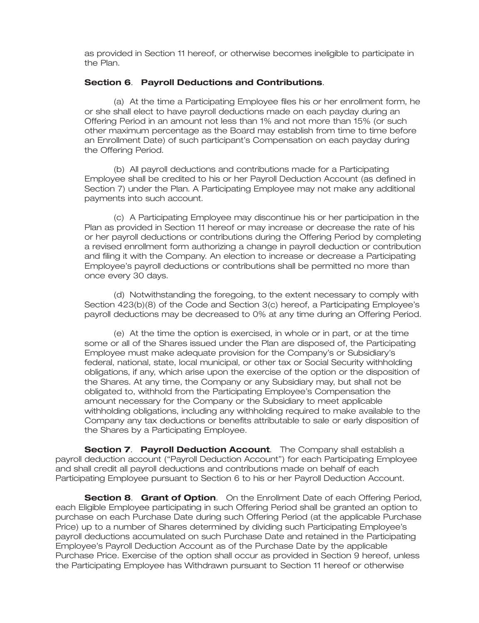as provided in Section 11 hereof, or otherwise becomes ineligible to participate in the Plan.

## **Section 6**. **Payroll Deductions and Contributions**.

(a) At the time a Participating Employee files his or her enrollment form, he or she shall elect to have payroll deductions made on each payday during an Offering Period in an amount not less than 1% and not more than 15% (or such other maximum percentage as the Board may establish from time to time before an Enrollment Date) of such participant's Compensation on each payday during the Offering Period.

(b) All payroll deductions and contributions made for a Participating Employee shall be credited to his or her Payroll Deduction Account (as defined in Section 7) under the Plan. A Participating Employee may not make any additional payments into such account.

(c) A Participating Employee may discontinue his or her participation in the Plan as provided in Section 11 hereof or may increase or decrease the rate of his or her payroll deductions or contributions during the Offering Period by completing a revised enrollment form authorizing a change in payroll deduction or contribution and filing it with the Company. An election to increase or decrease a Participating Employee's payroll deductions or contributions shall be permitted no more than once every 30 days.

(d) Notwithstanding the foregoing, to the extent necessary to comply with Section 423(b)(8) of the Code and Section 3(c) hereof, a Participating Employee's payroll deductions may be decreased to 0% at any time during an Offering Period.

(e) At the time the option is exercised, in whole or in part, or at the time some or all of the Shares issued under the Plan are disposed of, the Participating Employee must make adequate provision for the Company's or Subsidiary's federal, national, state, local municipal, or other tax or Social Security withholding obligations, if any, which arise upon the exercise of the option or the disposition of the Shares. At any time, the Company or any Subsidiary may, but shall not be obligated to, withhold from the Participating Employee's Compensation the amount necessary for the Company or the Subsidiary to meet applicable withholding obligations, including any withholding required to make available to the Company any tax deductions or benefits attributable to sale or early disposition of the Shares by a Participating Employee.

**Section 7**. **Payroll Deduction Account**. The Company shall establish a payroll deduction account (''Payroll Deduction Account'') for each Participating Employee and shall credit all payroll deductions and contributions made on behalf of each Participating Employee pursuant to Section 6 to his or her Payroll Deduction Account.

**Section 8**. **Grant of Option**. On the Enrollment Date of each Offering Period, each Eligible Employee participating in such Offering Period shall be granted an option to purchase on each Purchase Date during such Offering Period (at the applicable Purchase Price) up to a number of Shares determined by dividing such Participating Employee's payroll deductions accumulated on such Purchase Date and retained in the Participating Employee's Payroll Deduction Account as of the Purchase Date by the applicable Purchase Price. Exercise of the option shall occur as provided in Section 9 hereof, unless the Participating Employee has Withdrawn pursuant to Section 11 hereof or otherwise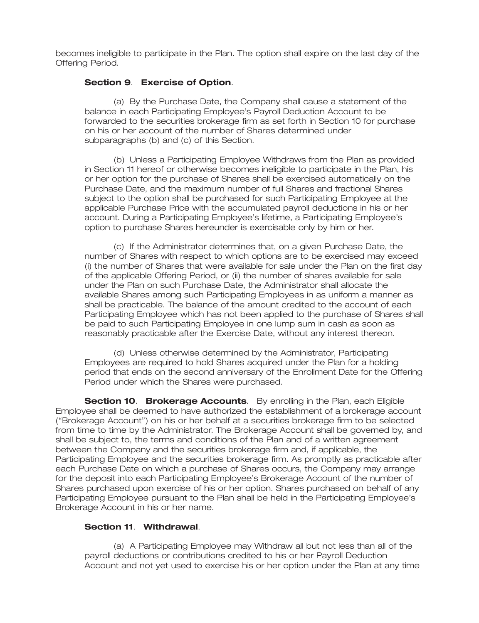becomes ineligible to participate in the Plan. The option shall expire on the last day of the Offering Period.

## **Section 9**. **Exercise of Option**.

(a) By the Purchase Date, the Company shall cause a statement of the balance in each Participating Employee's Payroll Deduction Account to be forwarded to the securities brokerage firm as set forth in Section 10 for purchase on his or her account of the number of Shares determined under subparagraphs (b) and (c) of this Section.

(b) Unless a Participating Employee Withdraws from the Plan as provided in Section 11 hereof or otherwise becomes ineligible to participate in the Plan, his or her option for the purchase of Shares shall be exercised automatically on the Purchase Date, and the maximum number of full Shares and fractional Shares subject to the option shall be purchased for such Participating Employee at the applicable Purchase Price with the accumulated payroll deductions in his or her account. During a Participating Employee's lifetime, a Participating Employee's option to purchase Shares hereunder is exercisable only by him or her.

(c) If the Administrator determines that, on a given Purchase Date, the number of Shares with respect to which options are to be exercised may exceed (i) the number of Shares that were available for sale under the Plan on the first day of the applicable Offering Period, or (ii) the number of shares available for sale under the Plan on such Purchase Date, the Administrator shall allocate the available Shares among such Participating Employees in as uniform a manner as shall be practicable. The balance of the amount credited to the account of each Participating Employee which has not been applied to the purchase of Shares shall be paid to such Participating Employee in one lump sum in cash as soon as reasonably practicable after the Exercise Date, without any interest thereon.

(d) Unless otherwise determined by the Administrator, Participating Employees are required to hold Shares acquired under the Plan for a holding period that ends on the second anniversary of the Enrollment Date for the Offering Period under which the Shares were purchased.

**Section 10**. **Brokerage Accounts**. By enrolling in the Plan, each Eligible Employee shall be deemed to have authorized the establishment of a brokerage account (''Brokerage Account'') on his or her behalf at a securities brokerage firm to be selected from time to time by the Administrator. The Brokerage Account shall be governed by, and shall be subject to, the terms and conditions of the Plan and of a written agreement between the Company and the securities brokerage firm and, if applicable, the Participating Employee and the securities brokerage firm. As promptly as practicable after each Purchase Date on which a purchase of Shares occurs, the Company may arrange for the deposit into each Participating Employee's Brokerage Account of the number of Shares purchased upon exercise of his or her option. Shares purchased on behalf of any Participating Employee pursuant to the Plan shall be held in the Participating Employee's Brokerage Account in his or her name.

## **Section 11**. **Withdrawal**.

(a) A Participating Employee may Withdraw all but not less than all of the payroll deductions or contributions credited to his or her Payroll Deduction Account and not yet used to exercise his or her option under the Plan at any time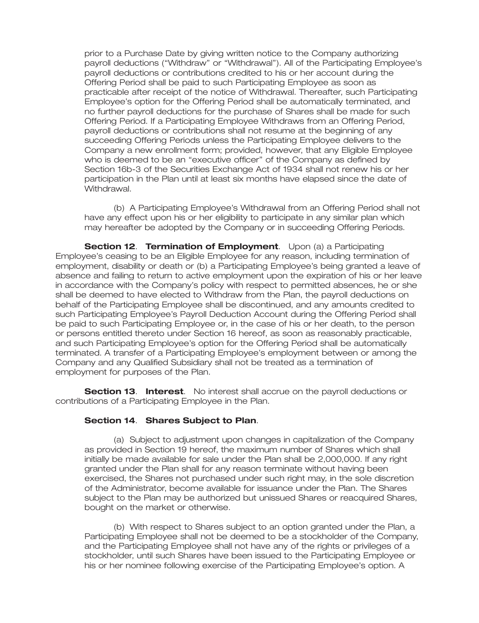prior to a Purchase Date by giving written notice to the Company authorizing payroll deductions (''Withdraw'' or ''Withdrawal''). All of the Participating Employee's payroll deductions or contributions credited to his or her account during the Offering Period shall be paid to such Participating Employee as soon as practicable after receipt of the notice of Withdrawal. Thereafter, such Participating Employee's option for the Offering Period shall be automatically terminated, and no further payroll deductions for the purchase of Shares shall be made for such Offering Period. If a Participating Employee Withdraws from an Offering Period, payroll deductions or contributions shall not resume at the beginning of any succeeding Offering Periods unless the Participating Employee delivers to the Company a new enrollment form; provided, however, that any Eligible Employee who is deemed to be an ''executive officer'' of the Company as defined by Section 16b-3 of the Securities Exchange Act of 1934 shall not renew his or her participation in the Plan until at least six months have elapsed since the date of Withdrawal.

(b) A Participating Employee's Withdrawal from an Offering Period shall not have any effect upon his or her eligibility to participate in any similar plan which may hereafter be adopted by the Company or in succeeding Offering Periods.

**Section 12**. **Termination of Employment**. Upon (a) a Participating Employee's ceasing to be an Eligible Employee for any reason, including termination of employment, disability or death or (b) a Participating Employee's being granted a leave of absence and failing to return to active employment upon the expiration of his or her leave in accordance with the Company's policy with respect to permitted absences, he or she shall be deemed to have elected to Withdraw from the Plan, the payroll deductions on behalf of the Participating Employee shall be discontinued, and any amounts credited to such Participating Employee's Payroll Deduction Account during the Offering Period shall be paid to such Participating Employee or, in the case of his or her death, to the person or persons entitled thereto under Section 16 hereof, as soon as reasonably practicable, and such Participating Employee's option for the Offering Period shall be automatically terminated. A transfer of a Participating Employee's employment between or among the Company and any Qualified Subsidiary shall not be treated as a termination of employment for purposes of the Plan.

**Section 13**. **Interest**. No interest shall accrue on the payroll deductions or contributions of a Participating Employee in the Plan.

### **Section 14**. **Shares Subject to Plan**.

(a) Subject to adjustment upon changes in capitalization of the Company as provided in Section 19 hereof, the maximum number of Shares which shall initially be made available for sale under the Plan shall be 2,000,000. If any right granted under the Plan shall for any reason terminate without having been exercised, the Shares not purchased under such right may, in the sole discretion of the Administrator, become available for issuance under the Plan. The Shares subject to the Plan may be authorized but unissued Shares or reacquired Shares, bought on the market or otherwise.

(b) With respect to Shares subject to an option granted under the Plan, a Participating Employee shall not be deemed to be a stockholder of the Company, and the Participating Employee shall not have any of the rights or privileges of a stockholder, until such Shares have been issued to the Participating Employee or his or her nominee following exercise of the Participating Employee's option. A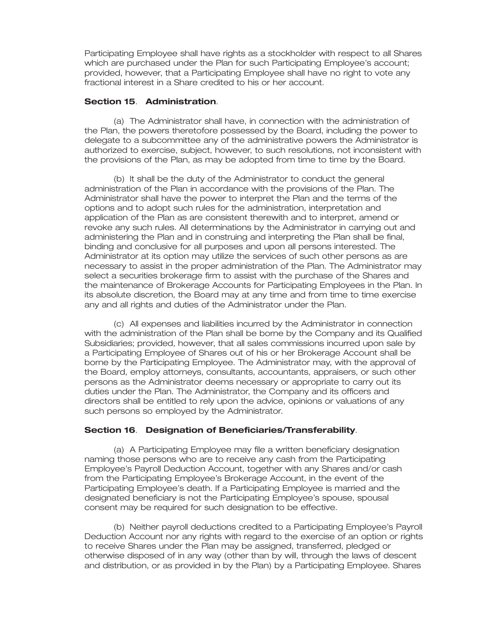Participating Employee shall have rights as a stockholder with respect to all Shares which are purchased under the Plan for such Participating Employee's account; provided, however, that a Participating Employee shall have no right to vote any fractional interest in a Share credited to his or her account.

## **Section 15**. **Administration**.

(a) The Administrator shall have, in connection with the administration of the Plan, the powers theretofore possessed by the Board, including the power to delegate to a subcommittee any of the administrative powers the Administrator is authorized to exercise, subject, however, to such resolutions, not inconsistent with the provisions of the Plan, as may be adopted from time to time by the Board.

(b) It shall be the duty of the Administrator to conduct the general administration of the Plan in accordance with the provisions of the Plan. The Administrator shall have the power to interpret the Plan and the terms of the options and to adopt such rules for the administration, interpretation and application of the Plan as are consistent therewith and to interpret, amend or revoke any such rules. All determinations by the Administrator in carrying out and administering the Plan and in construing and interpreting the Plan shall be final, binding and conclusive for all purposes and upon all persons interested. The Administrator at its option may utilize the services of such other persons as are necessary to assist in the proper administration of the Plan. The Administrator may select a securities brokerage firm to assist with the purchase of the Shares and the maintenance of Brokerage Accounts for Participating Employees in the Plan. In its absolute discretion, the Board may at any time and from time to time exercise any and all rights and duties of the Administrator under the Plan.

(c) All expenses and liabilities incurred by the Administrator in connection with the administration of the Plan shall be borne by the Company and its Qualified Subsidiaries; provided, however, that all sales commissions incurred upon sale by a Participating Employee of Shares out of his or her Brokerage Account shall be borne by the Participating Employee. The Administrator may, with the approval of the Board, employ attorneys, consultants, accountants, appraisers, or such other persons as the Administrator deems necessary or appropriate to carry out its duties under the Plan. The Administrator, the Company and its officers and directors shall be entitled to rely upon the advice, opinions or valuations of any such persons so employed by the Administrator.

# **Section 16**. **Designation of Beneficiaries/Transferability**.

(a) A Participating Employee may file a written beneficiary designation naming those persons who are to receive any cash from the Participating Employee's Payroll Deduction Account, together with any Shares and/or cash from the Participating Employee's Brokerage Account, in the event of the Participating Employee's death. If a Participating Employee is married and the designated beneficiary is not the Participating Employee's spouse, spousal consent may be required for such designation to be effective.

(b) Neither payroll deductions credited to a Participating Employee's Payroll Deduction Account nor any rights with regard to the exercise of an option or rights to receive Shares under the Plan may be assigned, transferred, pledged or otherwise disposed of in any way (other than by will, through the laws of descent and distribution, or as provided in by the Plan) by a Participating Employee. Shares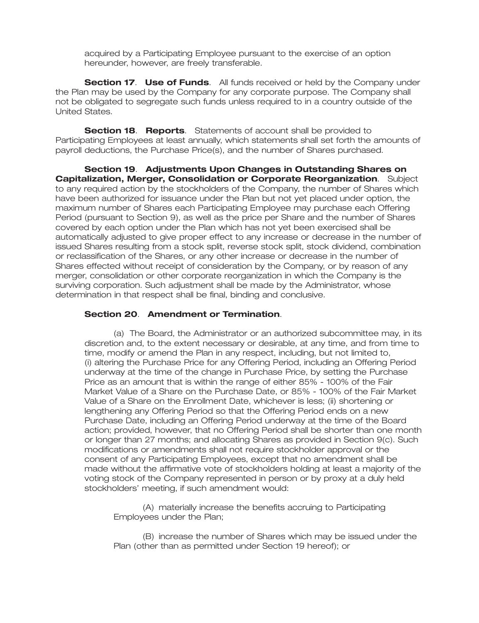acquired by a Participating Employee pursuant to the exercise of an option hereunder, however, are freely transferable.

**Section 17**. **Use of Funds**. All funds received or held by the Company under the Plan may be used by the Company for any corporate purpose. The Company shall not be obligated to segregate such funds unless required to in a country outside of the United States.

**Section 18**. **Reports**. Statements of account shall be provided to Participating Employees at least annually, which statements shall set forth the amounts of payroll deductions, the Purchase Price(s), and the number of Shares purchased.

**Section 19**. **Adjustments Upon Changes in Outstanding Shares on Capitalization, Merger, Consolidation or Corporate Reorganization**. Subject to any required action by the stockholders of the Company, the number of Shares which have been authorized for issuance under the Plan but not yet placed under option, the maximum number of Shares each Participating Employee may purchase each Offering Period (pursuant to Section 9), as well as the price per Share and the number of Shares covered by each option under the Plan which has not yet been exercised shall be automatically adjusted to give proper effect to any increase or decrease in the number of issued Shares resulting from a stock split, reverse stock split, stock dividend, combination or reclassification of the Shares, or any other increase or decrease in the number of Shares effected without receipt of consideration by the Company, or by reason of any merger, consolidation or other corporate reorganization in which the Company is the surviving corporation. Such adjustment shall be made by the Administrator, whose determination in that respect shall be final, binding and conclusive.

### **Section 20**. **Amendment or Termination**.

(a) The Board, the Administrator or an authorized subcommittee may, in its discretion and, to the extent necessary or desirable, at any time, and from time to time, modify or amend the Plan in any respect, including, but not limited to, (i) altering the Purchase Price for any Offering Period, including an Offering Period underway at the time of the change in Purchase Price, by setting the Purchase Price as an amount that is within the range of either 85% - 100% of the Fair Market Value of a Share on the Purchase Date, or 85% - 100% of the Fair Market Value of a Share on the Enrollment Date, whichever is less; (ii) shortening or lengthening any Offering Period so that the Offering Period ends on a new Purchase Date, including an Offering Period underway at the time of the Board action; provided, however, that no Offering Period shall be shorter than one month or longer than 27 months; and allocating Shares as provided in Section 9(c). Such modifications or amendments shall not require stockholder approval or the consent of any Participating Employees, except that no amendment shall be made without the affirmative vote of stockholders holding at least a majority of the voting stock of the Company represented in person or by proxy at a duly held stockholders' meeting, if such amendment would:

(A) materially increase the benefits accruing to Participating Employees under the Plan;

(B) increase the number of Shares which may be issued under the Plan (other than as permitted under Section 19 hereof); or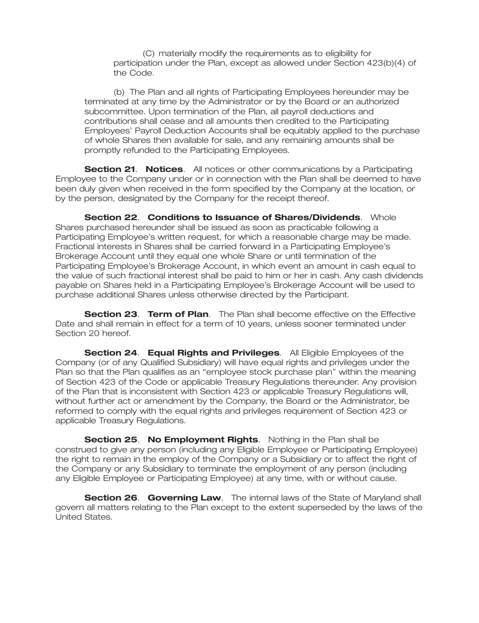(C) materially modify the requirements as to eligibility for participation under the Plan, except as allowed under Section 423(b)(4) of the Code.

(b) The Plan and all rights of Participating Employees hereunder may be terminated at any time by the Administrator or by the Board or an authorized subcommittee. Upon termination of the Plan, all payroll deductions and contributions shall cease and all amounts then credited to the Participating Employees' Payroll Deduction Accounts shall be equitably applied to the purchase of whole Shares then available for sale, and any remaining amounts shall be promptly refunded to the Participating Employees.

**Section 21**. **Notices**. All notices or other communications by a Participating Employee to the Company under or in connection with the Plan shall be deemed to have been duly given when received in the form specified by the Company at the location, or by the person, designated by the Company for the receipt thereof.

**Section 22**. **Conditions to Issuance of Shares/Dividends**. Whole Shares purchased hereunder shall be issued as soon as practicable following a Participating Employee's written request, for which a reasonable charge may be made. Fractional interests in Shares shall be carried forward in a Participating Employee's Brokerage Account until they equal one whole Share or until termination of the Participating Employee's Brokerage Account, in which event an amount in cash equal to the value of such fractional interest shall be paid to him or her in cash. Any cash dividends payable on Shares held in a Participating Employee's Brokerage Account will be used to purchase additional Shares unless otherwise directed by the Participant.

**Section 23**. **Term of Plan**. The Plan shall become effective on the Effective Date and shall remain in effect for a term of 10 years, unless sooner terminated under Section 20 hereof.

**Section 24**. **Equal Rights and Privileges**. All Eligible Employees of the Company (or of any Qualified Subsidiary) will have equal rights and privileges under the Plan so that the Plan qualifies as an ''employee stock purchase plan'' within the meaning of Section 423 of the Code or applicable Treasury Regulations thereunder. Any provision of the Plan that is inconsistent with Section 423 or applicable Treasury Regulations will, without further act or amendment by the Company, the Board or the Administrator, be reformed to comply with the equal rights and privileges requirement of Section 423 or applicable Treasury Regulations.

**Section 25**. **No Employment Rights**. Nothing in the Plan shall be construed to give any person (including any Eligible Employee or Participating Employee) the right to remain in the employ of the Company or a Subsidiary or to affect the right of the Company or any Subsidiary to terminate the employment of any person (including any Eligible Employee or Participating Employee) at any time, with or without cause.

**Section 26. Governing Law.** The internal laws of the State of Maryland shall govern all matters relating to the Plan except to the extent superseded by the laws of the United States.